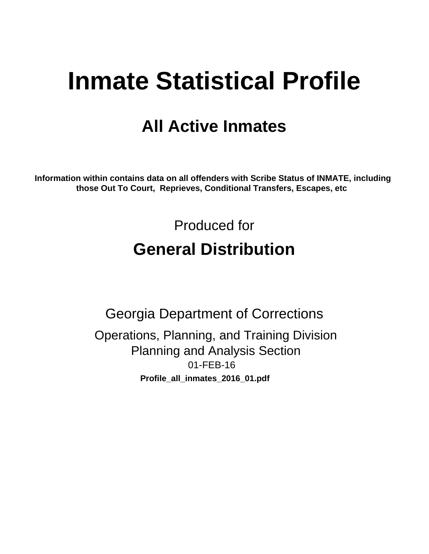# **Inmate Statistical Profile**

# **All Active Inmates**

Information within contains data on all offenders with Scribe Status of INMATE, including those Out To Court, Reprieves, Conditional Transfers, Escapes, etc

> Produced for **General Distribution**

**Georgia Department of Corrections** Operations, Planning, and Training Division **Planning and Analysis Section** 01-FEB-16 Profile\_all\_inmates\_2016\_01.pdf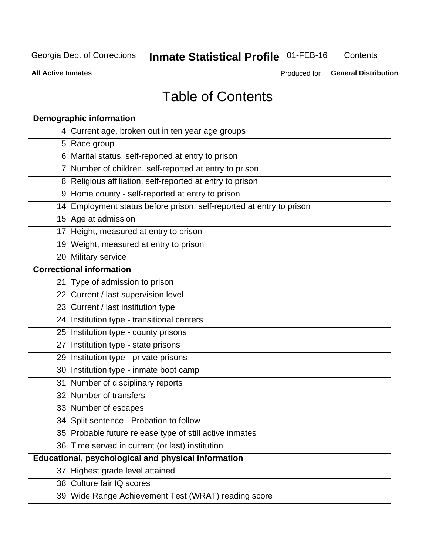#### **Inmate Statistical Profile 01-FEB-16** Contents

**All Active Inmates** 

Produced for General Distribution

# **Table of Contents**

| <b>Demographic information</b>                                       |
|----------------------------------------------------------------------|
| 4 Current age, broken out in ten year age groups                     |
| 5 Race group                                                         |
| 6 Marital status, self-reported at entry to prison                   |
| 7 Number of children, self-reported at entry to prison               |
| 8 Religious affiliation, self-reported at entry to prison            |
| 9 Home county - self-reported at entry to prison                     |
| 14 Employment status before prison, self-reported at entry to prison |
| 15 Age at admission                                                  |
| 17 Height, measured at entry to prison                               |
| 19 Weight, measured at entry to prison                               |
| 20 Military service                                                  |
| <b>Correctional information</b>                                      |
| 21 Type of admission to prison                                       |
| 22 Current / last supervision level                                  |
| 23 Current / last institution type                                   |
| 24 Institution type - transitional centers                           |
| 25 Institution type - county prisons                                 |
| 27 Institution type - state prisons                                  |
| 29 Institution type - private prisons                                |
| 30 Institution type - inmate boot camp                               |
| 31 Number of disciplinary reports                                    |
| 32 Number of transfers                                               |
| 33 Number of escapes                                                 |
| 34 Split sentence - Probation to follow                              |
| 35 Probable future release type of still active inmates              |
| 36 Time served in current (or last) institution                      |
| <b>Educational, psychological and physical information</b>           |
| 37 Highest grade level attained                                      |
| 38 Culture fair IQ scores                                            |
| 39 Wide Range Achievement Test (WRAT) reading score                  |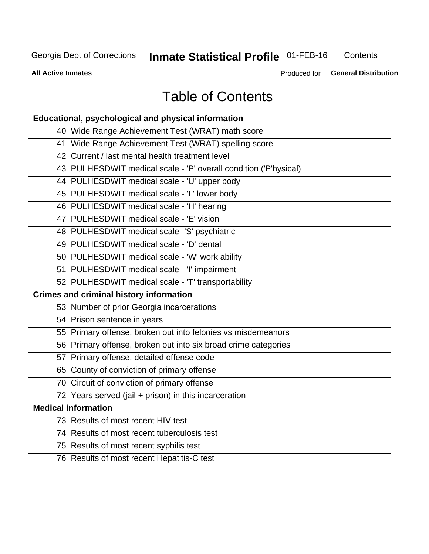# **Inmate Statistical Profile 01-FEB-16**

Contents

**All Active Inmates** 

Produced for General Distribution

# **Table of Contents**

| Educational, psychological and physical information              |
|------------------------------------------------------------------|
| 40 Wide Range Achievement Test (WRAT) math score                 |
| 41 Wide Range Achievement Test (WRAT) spelling score             |
| 42 Current / last mental health treatment level                  |
| 43 PULHESDWIT medical scale - 'P' overall condition ('P'hysical) |
| 44 PULHESDWIT medical scale - 'U' upper body                     |
| 45 PULHESDWIT medical scale - 'L' lower body                     |
| 46 PULHESDWIT medical scale - 'H' hearing                        |
| 47 PULHESDWIT medical scale - 'E' vision                         |
| 48 PULHESDWIT medical scale -'S' psychiatric                     |
| 49 PULHESDWIT medical scale - 'D' dental                         |
| 50 PULHESDWIT medical scale - 'W' work ability                   |
| 51 PULHESDWIT medical scale - 'I' impairment                     |
| 52 PULHESDWIT medical scale - 'T' transportability               |
|                                                                  |
| <b>Crimes and criminal history information</b>                   |
| 53 Number of prior Georgia incarcerations                        |
| 54 Prison sentence in years                                      |
| 55 Primary offense, broken out into felonies vs misdemeanors     |
| 56 Primary offense, broken out into six broad crime categories   |
| 57 Primary offense, detailed offense code                        |
| 65 County of conviction of primary offense                       |
| 70 Circuit of conviction of primary offense                      |
| 72 Years served (jail + prison) in this incarceration            |
| <b>Medical information</b>                                       |
| 73 Results of most recent HIV test                               |
| 74 Results of most recent tuberculosis test                      |
| 75 Results of most recent syphilis test                          |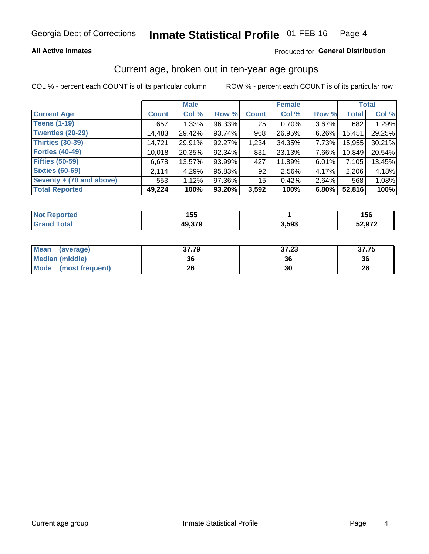### **All Active Inmates**

### Produced for General Distribution

# Current age, broken out in ten-year age groups

COL % - percent each COUNT is of its particular column

|                          | <b>Male</b>  |        |        | <b>Female</b>   |          |          | <b>Total</b> |        |
|--------------------------|--------------|--------|--------|-----------------|----------|----------|--------------|--------|
| <b>Current Age</b>       | <b>Count</b> | Col %  | Row %  | <b>Count</b>    | Col %    | Row %    | <b>Total</b> | Col %  |
| <b>Teens (1-19)</b>      | 657          | 1.33%  | 96.33% | 25              | 0.70%    | 3.67%    | 682          | 1.29%  |
| <b>Twenties (20-29)</b>  | 14,483       | 29.42% | 93.74% | 968             | 26.95%   | 6.26%    | 15,451       | 29.25% |
| Thirties (30-39)         | 14,721       | 29.91% | 92.27% | 1,234           | 34.35%   | 7.73%    | 15,955       | 30.21% |
| <b>Forties (40-49)</b>   | 10,018       | 20.35% | 92.34% | 831             | 23.13%   | 7.66%    | 10,849       | 20.54% |
| <b>Fifties (50-59)</b>   | 6,678        | 13.57% | 93.99% | 427             | 11.89%   | $6.01\%$ | 7,105        | 13.45% |
| <b>Sixties (60-69)</b>   | 2.114        | 4.29%  | 95.83% | 92              | $2.56\%$ | 4.17%    | 2,206        | 4.18%  |
| Seventy + (70 and above) | 553          | 1.12%  | 97.36% | 15 <sup>2</sup> | 0.42%    | $2.64\%$ | 568          | 1.08%  |
| <b>Total Reported</b>    | 49,224       | 100%   | 93.20% | 3,592           | 100%     | 6.80%    | 52,816       | 100%   |

| <b>Not Reported</b> | , , ,<br>155 |       | 156    |
|---------------------|--------------|-------|--------|
| Total               | 49,379       | 3,593 | 52,972 |

| <b>Mean</b><br>(average) | 37.79 | 37.23 | 37.75 |
|--------------------------|-------|-------|-------|
| Median (middle)          | 36    | 36    | 36    |
| Mode<br>(most frequent)  | 26    | 30    | 26    |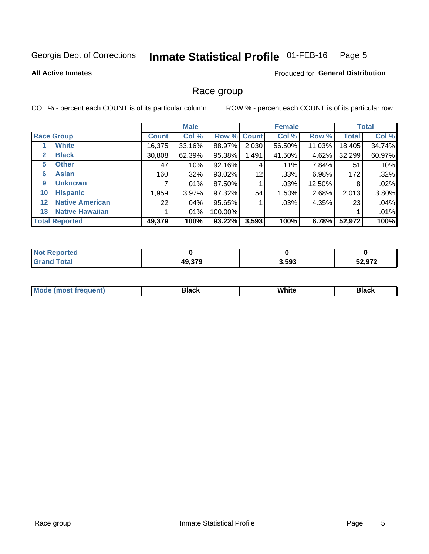#### Inmate Statistical Profile 01-FEB-16 Page 5

#### **All Active Inmates**

### **Produced for General Distribution**

### Race group

COL % - percent each COUNT is of its particular column

|                   |                        | <b>Male</b>  |          |             | <b>Female</b> |         |        | <b>Total</b> |        |
|-------------------|------------------------|--------------|----------|-------------|---------------|---------|--------|--------------|--------|
|                   | <b>Race Group</b>      | <b>Count</b> | Col %    | Row % Count |               | Col %   | Row %  | <b>Total</b> | Col %  |
|                   | <b>White</b>           | 16,375       | 33.16%   | 88.97%      | 2,030         | 56.50%  | 11.03% | 18,405       | 34.74% |
| 2                 | <b>Black</b>           | 30,808       | 62.39%   | 95.38%      | 1,491         | 41.50%  | 4.62%  | 32,299       | 60.97% |
| 5                 | <b>Other</b>           | 47           | .10%     | 92.16%      | 4             | $.11\%$ | 7.84%  | 51           | .10%   |
| 6                 | <b>Asian</b>           | 160          | $.32\%$  | 93.02%      | 12            | .33%    | 6.98%  | 172          | .32%   |
| 9                 | <b>Unknown</b>         |              | $.01\%$  | 87.50%      |               | .03%    | 12.50% | 8            | .02%   |
| 10                | <b>Hispanic</b>        | ,959         | $3.97\%$ | 97.32%      | 54            | 1.50%   | 2.68%  | 2,013        | 3.80%  |
| $12 \overline{ }$ | <b>Native American</b> | 22           | .04%     | 95.65%      |               | .03%    | 4.35%  | 23           | .04%   |
| 13                | <b>Native Hawaiian</b> |              | $.01\%$  | 100.00%     |               |         |        |              | .01%   |
|                   | <b>Total Reported</b>  | 49,379       | 100%     | 93.22%      | 3,593         | 100%    | 6.78%  | 52,972       | 100%   |

| <b>Not Reported</b>     |        |       |        |
|-------------------------|--------|-------|--------|
| ' Total<br><b>Grand</b> | 49,379 | 3,593 | 52,972 |

| <b>Mode</b><br>---<br>most frequent) | Black | White | <b>Black</b> |
|--------------------------------------|-------|-------|--------------|
|                                      |       |       |              |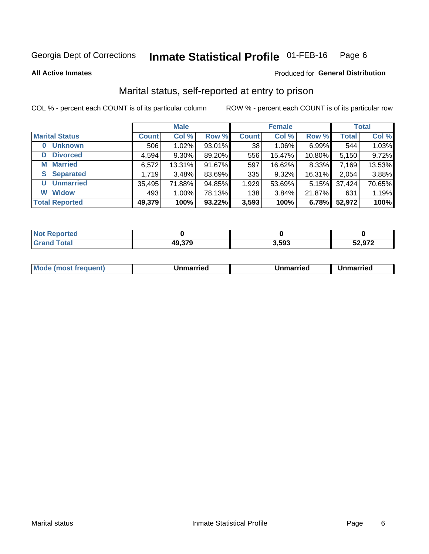#### Inmate Statistical Profile 01-FEB-16 Page 6

**All Active Inmates** 

### Produced for General Distribution

# Marital status, self-reported at entry to prison

COL % - percent each COUNT is of its particular column

|                            | <b>Male</b>  |        |        |              | <b>Female</b> | <b>Total</b> |              |        |
|----------------------------|--------------|--------|--------|--------------|---------------|--------------|--------------|--------|
| <b>Marital Status</b>      | <b>Count</b> | Col %  | Row %  | <b>Count</b> | Col %         | Row %        | <b>Total</b> | Col %  |
| <b>Unknown</b><br>$\bf{0}$ | 506          | 1.02%  | 93.01% | 38           | 1.06%         | 6.99%        | 544          | 1.03%  |
| <b>Divorced</b><br>D       | 4,594        | 9.30%  | 89.20% | 556          | 15.47%        | 10.80%       | 5,150        | 9.72%  |
| <b>Married</b><br>М        | 6,572        | 13.31% | 91.67% | 597          | 16.62%        | 8.33%        | 7,169        | 13.53% |
| <b>Separated</b><br>S.     | 1,719        | 3.48%  | 83.69% | 335          | 9.32%         | 16.31%       | 2,054        | 3.88%  |
| <b>Unmarried</b><br>U      | 35,495       | 71.88% | 94.85% | 1,929        | 53.69%        | 5.15%        | 37,424       | 70.65% |
| <b>Widow</b><br>W          | 493          | 1.00%  | 78.13% | 138          | 3.84%         | 21.87%       | 631          | 1.19%  |
| <b>Total Reported</b>      | 49,379       | 100%   | 93.22% | 3,593        | 100%          | 6.78%        | 52,972       | 100%   |

| N <sub>of</sub><br>ື∩rted |            |       |       |
|---------------------------|------------|-------|-------|
| <b>Total</b>              | -220<br>44 | 3,593 | 52972 |

|--|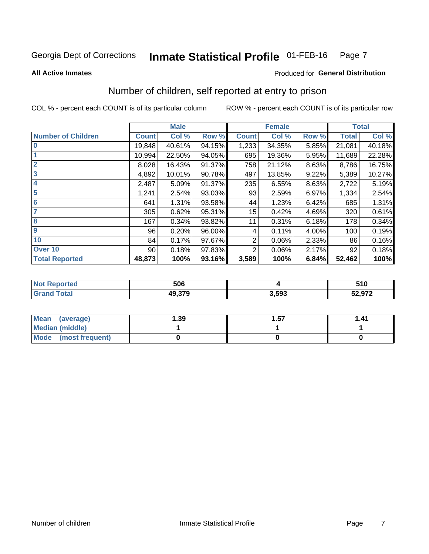#### Inmate Statistical Profile 01-FEB-16 Page 7

**All Active Inmates** 

### **Produced for General Distribution**

# Number of children, self reported at entry to prison

COL % - percent each COUNT is of its particular column

|                           |              | <b>Male</b> |        |              | <b>Female</b> |       |              | <b>Total</b> |
|---------------------------|--------------|-------------|--------|--------------|---------------|-------|--------------|--------------|
| <b>Number of Children</b> | <b>Count</b> | Col %       | Row %  | <b>Count</b> | Col %         | Row % | <b>Total</b> | Col %        |
| $\bf{0}$                  | 19,848       | 40.61%      | 94.15% | 1,233        | 34.35%        | 5.85% | 21,081       | 40.18%       |
|                           | 10,994       | 22.50%      | 94.05% | 695          | 19.36%        | 5.95% | 11,689       | 22.28%       |
| $\overline{2}$            | 8,028        | 16.43%      | 91.37% | 758          | 21.12%        | 8.63% | 8,786        | 16.75%       |
| 3                         | 4,892        | 10.01%      | 90.78% | 497          | 13.85%        | 9.22% | 5,389        | 10.27%       |
| 4                         | 2,487        | 5.09%       | 91.37% | 235          | 6.55%         | 8.63% | 2,722        | 5.19%        |
| 5                         | 1,241        | 2.54%       | 93.03% | 93           | 2.59%         | 6.97% | 1,334        | 2.54%        |
| 6                         | 641          | 1.31%       | 93.58% | 44           | 1.23%         | 6.42% | 685          | 1.31%        |
| 7                         | 305          | 0.62%       | 95.31% | 15           | 0.42%         | 4.69% | 320          | 0.61%        |
| 8                         | 167          | 0.34%       | 93.82% | 11           | 0.31%         | 6.18% | 178          | 0.34%        |
| 9                         | 96           | 0.20%       | 96.00% | 4            | 0.11%         | 4.00% | 100          | 0.19%        |
| 10                        | 84           | 0.17%       | 97.67% | 2            | 0.06%         | 2.33% | 86           | 0.16%        |
| Over 10                   | 90           | 0.18%       | 97.83% | 2            | 0.06%         | 2.17% | 92           | 0.18%        |
| <b>Total Reported</b>     | 48,873       | 100%        | 93.16% | 3,589        | 100%          | 6.84% | 52,462       | 100%         |

| nu d | 506    |      | 510    |
|------|--------|------|--------|
| υιαι | 49.379 | .593 | 52,972 |

| Mean (average)         | 1.39 | 1.57 | 1.41 |
|------------------------|------|------|------|
| <b>Median (middle)</b> |      |      |      |
| Mode (most frequent)   |      |      |      |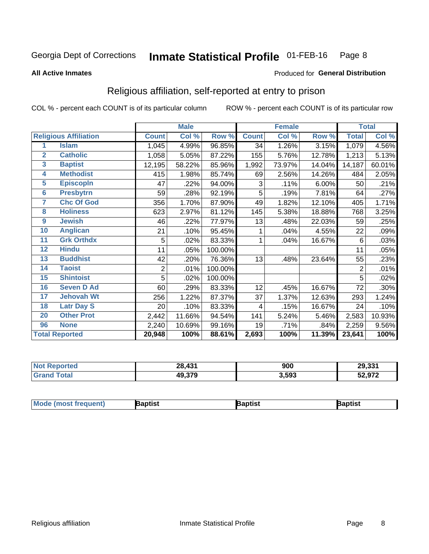#### **Inmate Statistical Profile 01-FEB-16** Page 8

#### **All Active Inmates**

### Produced for General Distribution

# Religious affiliation, self-reported at entry to prison

COL % - percent each COUNT is of its particular column

|                 |                              |                | <b>Male</b> |         |                         | <b>Female</b> |        |                | <b>Total</b> |
|-----------------|------------------------------|----------------|-------------|---------|-------------------------|---------------|--------|----------------|--------------|
|                 | <b>Religious Affiliation</b> | <b>Count</b>   | Col %       | Row %   | <b>Count</b>            | Col %         | Row %  | <b>Total</b>   | Col %        |
| 1               | <b>Islam</b>                 | 1,045          | 4.99%       | 96.85%  | 34                      | 1.26%         | 3.15%  | 1,079          | 4.56%        |
| $\overline{2}$  | <b>Catholic</b>              | 1,058          | 5.05%       | 87.22%  | 155                     | 5.76%         | 12.78% | 1,213          | 5.13%        |
| $\mathbf{3}$    | <b>Baptist</b>               | 12,195         | 58.22%      | 85.96%  | 1,992                   | 73.97%        | 14.04% | 14,187         | 60.01%       |
| 4               | <b>Methodist</b>             | 415            | 1.98%       | 85.74%  | 69                      | 2.56%         | 14.26% | 484            | 2.05%        |
| 5               | <b>EpiscopIn</b>             | 47             | .22%        | 94.00%  | 3                       | .11%          | 6.00%  | 50             | .21%         |
| $6\phantom{a}$  | <b>Presbytrn</b>             | 59             | .28%        | 92.19%  | 5                       | .19%          | 7.81%  | 64             | .27%         |
| 7               | <b>Chc Of God</b>            | 356            | 1.70%       | 87.90%  | 49                      | 1.82%         | 12.10% | 405            | 1.71%        |
| 8               | <b>Holiness</b>              | 623            | 2.97%       | 81.12%  | 145                     | 5.38%         | 18.88% | 768            | 3.25%        |
| 9               | <b>Jewish</b>                | 46             | .22%        | 77.97%  | 13                      | .48%          | 22.03% | 59             | .25%         |
| 10              | <b>Anglican</b>              | 21             | .10%        | 95.45%  |                         | .04%          | 4.55%  | 22             | .09%         |
| 11              | <b>Grk Orthdx</b>            | 5              | .02%        | 83.33%  | 1                       | .04%          | 16.67% | 6              | .03%         |
| 12              | <b>Hindu</b>                 | 11             | .05%        | 100.00% |                         |               |        | 11             | .05%         |
| 13              | <b>Buddhist</b>              | 42             | .20%        | 76.36%  | 13                      | .48%          | 23.64% | 55             | .23%         |
| 14              | <b>Taoist</b>                | $\overline{2}$ | .01%        | 100.00% |                         |               |        | $\overline{2}$ | .01%         |
| 15              | <b>Shintoist</b>             | 5              | .02%        | 100.00% |                         |               |        | 5              | .02%         |
| 16              | <b>Seven D Ad</b>            | 60             | .29%        | 83.33%  | 12                      | .45%          | 16.67% | 72             | .30%         |
| $\overline{17}$ | <b>Jehovah Wt</b>            | 256            | 1.22%       | 87.37%  | 37                      | 1.37%         | 12.63% | 293            | 1.24%        |
| 18              | <b>Latr Day S</b>            | 20             | .10%        | 83.33%  | $\overline{\mathbf{4}}$ | .15%          | 16.67% | 24             | .10%         |
| 20              | <b>Other Prot</b>            | 2,442          | 11.66%      | 94.54%  | 141                     | 5.24%         | 5.46%  | 2,583          | 10.93%       |
| 96              | <b>None</b>                  | 2,240          | 10.69%      | 99.16%  | 19                      | .71%          | .84%   | 2,259          | 9.56%        |
|                 | <b>Total Reported</b>        | 20,948         | 100%        | 88.61%  | 2,693                   | 100%          | 11.39% | 23,641         | 100%         |

|        | .431<br>28,<br>$\sim$ | nnn<br>yuu | 29,331 |
|--------|-----------------------|------------|--------|
| $\sim$ | 49.379                | 3,593      | 52,972 |

| <b>Mode</b><br>aptist<br>3aptist<br>Baptist<br>a imast.<br>Treduent) |
|----------------------------------------------------------------------|
|----------------------------------------------------------------------|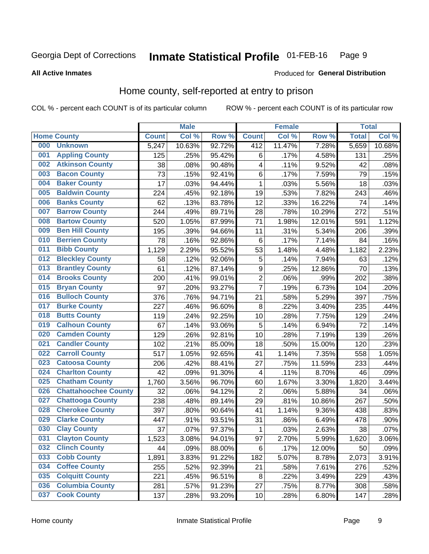#### Inmate Statistical Profile 01-FEB-16 Page 9

#### **All Active Inmates**

### Produced for General Distribution

# Home county, self-reported at entry to prison

COL % - percent each COUNT is of its particular column

|     |                             |              | <b>Male</b> |        |                  | <b>Female</b> |        | <b>Total</b> |        |
|-----|-----------------------------|--------------|-------------|--------|------------------|---------------|--------|--------------|--------|
|     | <b>Home County</b>          | <b>Count</b> | Col %       | Row %  | <b>Count</b>     | Col %         | Row %  | <b>Total</b> | Col %  |
| 000 | <b>Unknown</b>              | 5,247        | 10.63%      | 92.72% | 412              | 11.47%        | 7.28%  | 5,659        | 10.68% |
| 001 | <b>Appling County</b>       | 125          | .25%        | 95.42% | $\,6$            | .17%          | 4.58%  | 131          | .25%   |
| 002 | <b>Atkinson County</b>      | 38           | .08%        | 90.48% | 4                | .11%          | 9.52%  | 42           | .08%   |
| 003 | <b>Bacon County</b>         | 73           | .15%        | 92.41% | $\,6$            | .17%          | 7.59%  | 79           | .15%   |
| 004 | <b>Baker County</b>         | 17           | .03%        | 94.44% | $\mathbf{1}$     | .03%          | 5.56%  | 18           | .03%   |
| 005 | <b>Baldwin County</b>       | 224          | .45%        | 92.18% | 19               | .53%          | 7.82%  | 243          | .46%   |
| 006 | <b>Banks County</b>         | 62           | .13%        | 83.78% | 12               | .33%          | 16.22% | 74           | .14%   |
| 007 | <b>Barrow County</b>        | 244          | .49%        | 89.71% | 28               | .78%          | 10.29% | 272          | .51%   |
| 008 | <b>Bartow County</b>        | 520          | 1.05%       | 87.99% | 71               | 1.98%         | 12.01% | 591          | 1.12%  |
| 009 | <b>Ben Hill County</b>      | 195          | .39%        | 94.66% | 11               | .31%          | 5.34%  | 206          | .39%   |
| 010 | <b>Berrien County</b>       | 78           | .16%        | 92.86% | $\,6$            | .17%          | 7.14%  | 84           | .16%   |
| 011 | <b>Bibb County</b>          | 1,129        | 2.29%       | 95.52% | 53               | 1.48%         | 4.48%  | 1,182        | 2.23%  |
| 012 | <b>Bleckley County</b>      | 58           | .12%        | 92.06% | 5                | .14%          | 7.94%  | 63           | .12%   |
| 013 | <b>Brantley County</b>      | 61           | .12%        | 87.14% | $\boldsymbol{9}$ | .25%          | 12.86% | 70           | .13%   |
| 014 | <b>Brooks County</b>        | 200          | .41%        | 99.01% | $\overline{2}$   | .06%          | .99%   | 202          | .38%   |
| 015 | <b>Bryan County</b>         | 97           | .20%        | 93.27% | $\overline{7}$   | .19%          | 6.73%  | 104          | .20%   |
| 016 | <b>Bulloch County</b>       | 376          | .76%        | 94.71% | 21               | .58%          | 5.29%  | 397          | .75%   |
| 017 | <b>Burke County</b>         | 227          | .46%        | 96.60% | 8                | .22%          | 3.40%  | 235          | .44%   |
| 018 | <b>Butts County</b>         | 119          | .24%        | 92.25% | 10               | .28%          | 7.75%  | 129          | .24%   |
| 019 | <b>Calhoun County</b>       | 67           | .14%        | 93.06% | 5                | .14%          | 6.94%  | 72           | .14%   |
| 020 | <b>Camden County</b>        | 129          | .26%        | 92.81% | 10               | .28%          | 7.19%  | 139          | .26%   |
| 021 | <b>Candler County</b>       | 102          | .21%        | 85.00% | 18               | .50%          | 15.00% | 120          | .23%   |
| 022 | <b>Carroll County</b>       | 517          | 1.05%       | 92.65% | 41               | 1.14%         | 7.35%  | 558          | 1.05%  |
| 023 | <b>Catoosa County</b>       | 206          | .42%        | 88.41% | 27               | .75%          | 11.59% | 233          | .44%   |
| 024 | <b>Charlton County</b>      | 42           | .09%        | 91.30% | 4                | .11%          | 8.70%  | 46           | .09%   |
| 025 | <b>Chatham County</b>       | 1,760        | 3.56%       | 96.70% | 60               | 1.67%         | 3.30%  | 1,820        | 3.44%  |
| 026 | <b>Chattahoochee County</b> | 32           | .06%        | 94.12% | $\overline{c}$   | .06%          | 5.88%  | 34           | .06%   |
| 027 | <b>Chattooga County</b>     | 238          | .48%        | 89.14% | 29               | .81%          | 10.86% | 267          | .50%   |
| 028 | <b>Cherokee County</b>      | 397          | .80%        | 90.64% | 41               | 1.14%         | 9.36%  | 438          | .83%   |
| 029 | <b>Clarke County</b>        | 447          | .91%        | 93.51% | 31               | .86%          | 6.49%  | 478          | .90%   |
| 030 | <b>Clay County</b>          | 37           | .07%        | 97.37% | $\mathbf{1}$     | .03%          | 2.63%  | 38           | .07%   |
| 031 | <b>Clayton County</b>       | 1,523        | 3.08%       | 94.01% | 97               | 2.70%         | 5.99%  | 1,620        | 3.06%  |
| 032 | <b>Clinch County</b>        | 44           | .09%        | 88.00% | 6                | .17%          | 12.00% | 50           | .09%   |
| 033 | <b>Cobb County</b>          | 1,891        | 3.83%       | 91.22% | 182              | 5.07%         | 8.78%  | 2,073        | 3.91%  |
| 034 | <b>Coffee County</b>        | 255          | .52%        | 92.39% | 21               | .58%          | 7.61%  | 276          | .52%   |
| 035 | <b>Colquitt County</b>      | 221          | .45%        | 96.51% | 8                | .22%          | 3.49%  | 229          | .43%   |
| 036 | <b>Columbia County</b>      | 281          | .57%        | 91.23% | 27               | .75%          | 8.77%  | 308          | .58%   |
| 037 | <b>Cook County</b>          | 137          | .28%        | 93.20% | 10               | .28%          | 6.80%  | 147          | .28%   |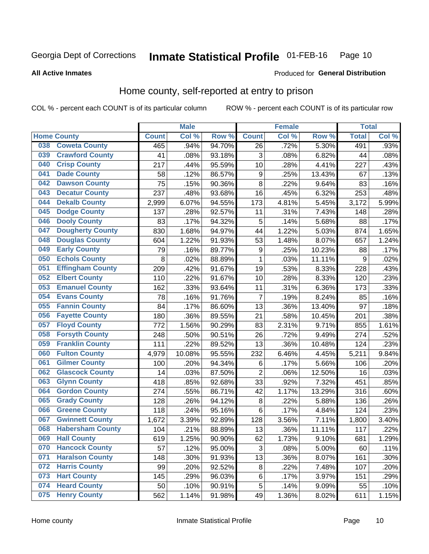#### Inmate Statistical Profile 01-FEB-16 Page 10

### **All Active Inmates**

### Produced for General Distribution

## Home county, self-reported at entry to prison

COL % - percent each COUNT is of its particular column

|     |                         |              | <b>Male</b> |                  |                  | <b>Female</b> |        | <b>Total</b> |       |
|-----|-------------------------|--------------|-------------|------------------|------------------|---------------|--------|--------------|-------|
|     | <b>Home County</b>      | <b>Count</b> | Col %       | Row <sup>%</sup> | <b>Count</b>     | Col %         | Row %  | <b>Total</b> | Col % |
| 038 | <b>Coweta County</b>    | 465          | .94%        | 94.70%           | 26               | .72%          | 5.30%  | 491          | .93%  |
| 039 | <b>Crawford County</b>  | 41           | .08%        | 93.18%           | 3                | .08%          | 6.82%  | 44           | .08%  |
| 040 | <b>Crisp County</b>     | 217          | .44%        | 95.59%           | 10               | .28%          | 4.41%  | 227          | .43%  |
| 041 | <b>Dade County</b>      | 58           | .12%        | 86.57%           | $\boldsymbol{9}$ | .25%          | 13.43% | 67           | .13%  |
| 042 | <b>Dawson County</b>    | 75           | .15%        | 90.36%           | 8                | 22%           | 9.64%  | 83           | .16%  |
| 043 | <b>Decatur County</b>   | 237          | .48%        | 93.68%           | 16               | .45%          | 6.32%  | 253          | .48%  |
| 044 | <b>Dekalb County</b>    | 2,999        | 6.07%       | 94.55%           | 173              | 4.81%         | 5.45%  | 3,172        | 5.99% |
| 045 | <b>Dodge County</b>     | 137          | .28%        | 92.57%           | 11               | .31%          | 7.43%  | 148          | .28%  |
| 046 | <b>Dooly County</b>     | 83           | .17%        | 94.32%           | 5                | .14%          | 5.68%  | 88           | .17%  |
| 047 | <b>Dougherty County</b> | 830          | 1.68%       | 94.97%           | 44               | 1.22%         | 5.03%  | 874          | 1.65% |
| 048 | <b>Douglas County</b>   | 604          | 1.22%       | 91.93%           | 53               | 1.48%         | 8.07%  | 657          | 1.24% |
| 049 | <b>Early County</b>     | 79           | .16%        | 89.77%           | $\boldsymbol{9}$ | .25%          | 10.23% | 88           | .17%  |
| 050 | <b>Echols County</b>    | 8            | .02%        | 88.89%           | 1                | .03%          | 11.11% | 9            | .02%  |
| 051 | <b>Effingham County</b> | 209          | .42%        | 91.67%           | 19               | .53%          | 8.33%  | 228          | .43%  |
| 052 | <b>Elbert County</b>    | 110          | .22%        | 91.67%           | 10               | .28%          | 8.33%  | 120          | .23%  |
| 053 | <b>Emanuel County</b>   | 162          | .33%        | 93.64%           | 11               | .31%          | 6.36%  | 173          | .33%  |
| 054 | <b>Evans County</b>     | 78           | .16%        | 91.76%           | 7                | .19%          | 8.24%  | 85           | .16%  |
| 055 | <b>Fannin County</b>    | 84           | .17%        | 86.60%           | 13               | .36%          | 13.40% | 97           | .18%  |
| 056 | <b>Fayette County</b>   | 180          | .36%        | 89.55%           | 21               | .58%          | 10.45% | 201          | .38%  |
| 057 | <b>Floyd County</b>     | 772          | 1.56%       | 90.29%           | 83               | 2.31%         | 9.71%  | 855          | 1.61% |
| 058 | <b>Forsyth County</b>   | 248          | .50%        | 90.51%           | 26               | .72%          | 9.49%  | 274          | .52%  |
| 059 | <b>Franklin County</b>  | 111          | .22%        | 89.52%           | 13               | .36%          | 10.48% | 124          | .23%  |
| 060 | <b>Fulton County</b>    | 4,979        | 10.08%      | 95.55%           | 232              | 6.46%         | 4.45%  | 5,211        | 9.84% |
| 061 | <b>Gilmer County</b>    | 100          | .20%        | 94.34%           | 6                | .17%          | 5.66%  | 106          | .20%  |
| 062 | <b>Glascock County</b>  | 14           | .03%        | 87.50%           | $\overline{2}$   | .06%          | 12.50% | 16           | .03%  |
| 063 | <b>Glynn County</b>     | 418          | .85%        | 92.68%           | 33               | .92%          | 7.32%  | 451          | .85%  |
| 064 | <b>Gordon County</b>    | 274          | .55%        | 86.71%           | 42               | 1.17%         | 13.29% | 316          | .60%  |
| 065 | <b>Grady County</b>     | 128          | .26%        | 94.12%           | 8                | .22%          | 5.88%  | 136          | .26%  |
| 066 | <b>Greene County</b>    | 118          | .24%        | 95.16%           | 6                | .17%          | 4.84%  | 124          | .23%  |
| 067 | <b>Gwinnett County</b>  | 1,672        | 3.39%       | 92.89%           | 128              | 3.56%         | 7.11%  | 1,800        | 3.40% |
| 068 | <b>Habersham County</b> | 104          | .21%        | 88.89%           | 13               | .36%          | 11.11% | 117          | .22%  |
| 069 | <b>Hall County</b>      | 619          | 1.25%       | 90.90%           | 62               | 1.73%         | 9.10%  | 681          | 1.29% |
| 070 | <b>Hancock County</b>   | 57           | .12%        | 95.00%           | 3                | .08%          | 5.00%  | 60           | .11%  |
| 071 | <b>Haralson County</b>  | 148          | .30%        | 91.93%           | 13               | .36%          | 8.07%  | 161          | .30%  |
| 072 | <b>Harris County</b>    | 99           | .20%        | 92.52%           | $\bf 8$          | .22%          | 7.48%  | 107          | .20%  |
| 073 | <b>Hart County</b>      | 145          | .29%        | 96.03%           | 6                | .17%          | 3.97%  | 151          | .29%  |
| 074 | <b>Heard County</b>     | 50           | .10%        | 90.91%           | 5                | .14%          | 9.09%  | 55           | .10%  |
| 075 | <b>Henry County</b>     | 562          | 1.14%       | 91.98%           | 49               | 1.36%         | 8.02%  | 611          | 1.15% |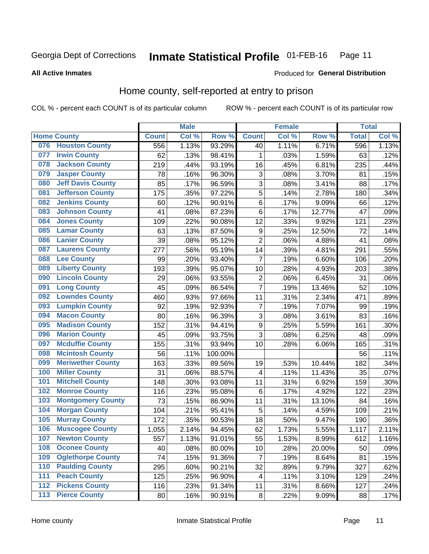**All Active Inmates** 

#### **Inmate Statistical Profile 01-FEB-16** Page 11

Produced for General Distribution

# Home county, self-reported at entry to prison

COL % - percent each COUNT is of its particular column

|     |                          |              | <b>Male</b> |         |                  | <b>Female</b> |        | <b>Total</b> |       |
|-----|--------------------------|--------------|-------------|---------|------------------|---------------|--------|--------------|-------|
|     | <b>Home County</b>       | <b>Count</b> | Col %       | Row %   | <b>Count</b>     | Col %         | Row %  | <b>Total</b> | Col % |
| 076 | <b>Houston County</b>    | 556          | 1.13%       | 93.29%  | 40               | 1.11%         | 6.71%  | 596          | 1.13% |
| 077 | <b>Irwin County</b>      | 62           | .13%        | 98.41%  | 1                | .03%          | 1.59%  | 63           | .12%  |
| 078 | <b>Jackson County</b>    | 219          | .44%        | 93.19%  | 16               | .45%          | 6.81%  | 235          | .44%  |
| 079 | <b>Jasper County</b>     | 78           | .16%        | 96.30%  | 3                | .08%          | 3.70%  | 81           | .15%  |
| 080 | <b>Jeff Davis County</b> | 85           | .17%        | 96.59%  | 3                | .08%          | 3.41%  | 88           | .17%  |
| 081 | <b>Jefferson County</b>  | 175          | .35%        | 97.22%  | 5                | .14%          | 2.78%  | 180          | .34%  |
| 082 | <b>Jenkins County</b>    | 60           | .12%        | 90.91%  | $\,6$            | .17%          | 9.09%  | 66           | .12%  |
| 083 | <b>Johnson County</b>    | 41           | .08%        | 87.23%  | $\,6$            | .17%          | 12.77% | 47           | .09%  |
| 084 | <b>Jones County</b>      | 109          | .22%        | 90.08%  | 12               | .33%          | 9.92%  | 121          | .23%  |
| 085 | <b>Lamar County</b>      | 63           | .13%        | 87.50%  | $\boldsymbol{9}$ | .25%          | 12.50% | 72           | .14%  |
| 086 | <b>Lanier County</b>     | 39           | .08%        | 95.12%  | $\mathbf 2$      | .06%          | 4.88%  | 41           | .08%  |
| 087 | <b>Laurens County</b>    | 277          | .56%        | 95.19%  | 14               | .39%          | 4.81%  | 291          | .55%  |
| 088 | <b>Lee County</b>        | 99           | .20%        | 93.40%  | $\overline{7}$   | .19%          | 6.60%  | 106          | .20%  |
| 089 | <b>Liberty County</b>    | 193          | .39%        | 95.07%  | 10               | .28%          | 4.93%  | 203          | .38%  |
| 090 | <b>Lincoln County</b>    | 29           | .06%        | 93.55%  | $\mathbf 2$      | .06%          | 6.45%  | 31           | .06%  |
| 091 | <b>Long County</b>       | 45           | .09%        | 86.54%  | $\overline{7}$   | .19%          | 13.46% | 52           | .10%  |
| 092 | <b>Lowndes County</b>    | 460          | .93%        | 97.66%  | 11               | .31%          | 2.34%  | 471          | .89%  |
| 093 | <b>Lumpkin County</b>    | 92           | .19%        | 92.93%  | $\overline{7}$   | .19%          | 7.07%  | 99           | .19%  |
| 094 | <b>Macon County</b>      | 80           | .16%        | 96.39%  | $\overline{3}$   | .08%          | 3.61%  | 83           | .16%  |
| 095 | <b>Madison County</b>    | 152          | .31%        | 94.41%  | $\boldsymbol{9}$ | .25%          | 5.59%  | 161          | .30%  |
| 096 | <b>Marion County</b>     | 45           | .09%        | 93.75%  | 3                | .08%          | 6.25%  | 48           | .09%  |
| 097 | <b>Mcduffie County</b>   | 155          | .31%        | 93.94%  | 10               | .28%          | 6.06%  | 165          | .31%  |
| 098 | <b>Mcintosh County</b>   | 56           | .11%        | 100.00% |                  |               |        | 56           | .11%  |
| 099 | <b>Meriwether County</b> | 163          | .33%        | 89.56%  | 19               | .53%          | 10.44% | 182          | .34%  |
| 100 | <b>Miller County</b>     | 31           | .06%        | 88.57%  | 4                | .11%          | 11.43% | 35           | .07%  |
| 101 | <b>Mitchell County</b>   | 148          | .30%        | 93.08%  | 11               | .31%          | 6.92%  | 159          | .30%  |
| 102 | <b>Monroe County</b>     | 116          | .23%        | 95.08%  | $\,6$            | .17%          | 4.92%  | 122          | .23%  |
| 103 | <b>Montgomery County</b> | 73           | .15%        | 86.90%  | 11               | .31%          | 13.10% | 84           | .16%  |
| 104 | <b>Morgan County</b>     | 104          | .21%        | 95.41%  | 5                | .14%          | 4.59%  | 109          | .21%  |
| 105 | <b>Murray County</b>     | 172          | .35%        | 90.53%  | 18               | .50%          | 9.47%  | 190          | .36%  |
| 106 | <b>Muscogee County</b>   | 1,055        | 2.14%       | 94.45%  | 62               | 1.73%         | 5.55%  | 1,117        | 2.11% |
| 107 | <b>Newton County</b>     | 557          | 1.13%       | 91.01%  | 55               | 1.53%         | 8.99%  | 612          | 1.16% |
| 108 | <b>Oconee County</b>     | 40           | .08%        | 80.00%  | 10               | .28%          | 20.00% | 50           | .09%  |
| 109 | <b>Oglethorpe County</b> | 74           | .15%        | 91.36%  | $\boldsymbol{7}$ | .19%          | 8.64%  | 81           | .15%  |
| 110 | <b>Paulding County</b>   | 295          | .60%        | 90.21%  | 32               | .89%          | 9.79%  | 327          | .62%  |
| 111 | <b>Peach County</b>      | 125          | .25%        | 96.90%  | 4                | .11%          | 3.10%  | 129          | .24%  |
| 112 | <b>Pickens County</b>    | 116          | .23%        | 91.34%  | 11               | .31%          | 8.66%  | 127          | .24%  |
| 113 | <b>Pierce County</b>     | 80           | .16%        | 90.91%  | $\bf 8$          | .22%          | 9.09%  | 88           | .17%  |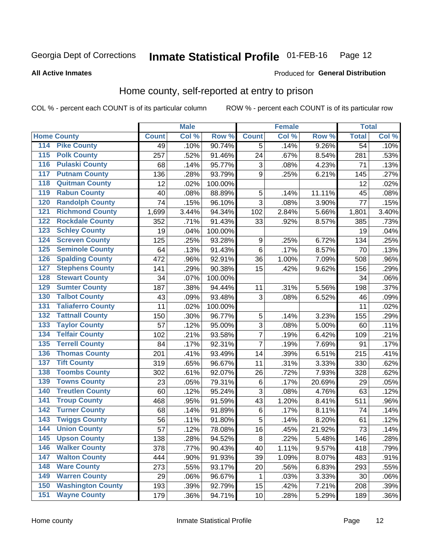#### Inmate Statistical Profile 01-FEB-16 Page 12

### **All Active Inmates**

### Produced for General Distribution

## Home county, self-reported at entry to prison

COL % - percent each COUNT is of its particular column

|                  |                          |              | <b>Male</b> |                  |                | <b>Female</b> |        | <b>Total</b>    |         |
|------------------|--------------------------|--------------|-------------|------------------|----------------|---------------|--------|-----------------|---------|
|                  | <b>Home County</b>       | <b>Count</b> | Col %       | Row <sup>%</sup> | <b>Count</b>   | Col %         | Row %  | <b>Total</b>    | Col %   |
| 114              | <b>Pike County</b>       | 49           | .10%        | 90.74%           | 5              | .14%          | 9.26%  | $\overline{54}$ | .10%    |
| 115              | <b>Polk County</b>       | 257          | .52%        | 91.46%           | 24             | .67%          | 8.54%  | 281             | .53%    |
| 116              | <b>Pulaski County</b>    | 68           | .14%        | 95.77%           | $\mathbf{3}$   | .08%          | 4.23%  | 71              | .13%    |
| 117              | <b>Putnam County</b>     | 136          | .28%        | 93.79%           | 9              | .25%          | 6.21%  | 145             | .27%    |
| 118              | <b>Quitman County</b>    | 12           | .02%        | 100.00%          |                |               |        | 12              | .02%    |
| 119              | <b>Rabun County</b>      | 40           | .08%        | 88.89%           | 5              | .14%          | 11.11% | 45              | .08%    |
| 120              | <b>Randolph County</b>   | 74           | .15%        | 96.10%           | 3              | .08%          | 3.90%  | 77              | .15%    |
| 121              | <b>Richmond County</b>   | 1,699        | 3.44%       | 94.34%           | 102            | 2.84%         | 5.66%  | 1,801           | 3.40%   |
| 122              | <b>Rockdale County</b>   | 352          | .71%        | 91.43%           | 33             | .92%          | 8.57%  | 385             | .73%    |
| 123              | <b>Schley County</b>     | 19           | .04%        | 100.00%          |                |               |        | 19              | .04%    |
| 124              | <b>Screven County</b>    | 125          | .25%        | 93.28%           | 9              | .25%          | 6.72%  | 134             | .25%    |
| 125              | <b>Seminole County</b>   | 64           | .13%        | 91.43%           | 6              | .17%          | 8.57%  | 70              | .13%    |
| 126              | <b>Spalding County</b>   | 472          | .96%        | 92.91%           | 36             | 1.00%         | 7.09%  | 508             | .96%    |
| 127              | <b>Stephens County</b>   | 141          | .29%        | 90.38%           | 15             | .42%          | 9.62%  | 156             | .29%    |
| 128              | <b>Stewart County</b>    | 34           | .07%        | 100.00%          |                |               |        | 34              | .06%    |
| 129              | <b>Sumter County</b>     | 187          | .38%        | 94.44%           | 11             | .31%          | 5.56%  | 198             | .37%    |
| 130              | <b>Talbot County</b>     | 43           | .09%        | 93.48%           | 3              | .08%          | 6.52%  | 46              | .09%    |
| 131              | <b>Taliaferro County</b> | 11           | .02%        | 100.00%          |                |               |        | 11              | .02%    |
| 132              | <b>Tattnall County</b>   | 150          | .30%        | 96.77%           | 5              | .14%          | 3.23%  | 155             | .29%    |
| 133              | <b>Taylor County</b>     | 57           | .12%        | 95.00%           | 3              | .08%          | 5.00%  | 60              | .11%    |
| 134              | <b>Telfair County</b>    | 102          | .21%        | 93.58%           | $\overline{7}$ | .19%          | 6.42%  | 109             | .21%    |
| $\overline{135}$ | <b>Terrell County</b>    | 84           | .17%        | 92.31%           | $\overline{7}$ | .19%          | 7.69%  | 91              | .17%    |
| 136              | <b>Thomas County</b>     | 201          | .41%        | 93.49%           | 14             | .39%          | 6.51%  | 215             | .41%    |
| 137              | <b>Tift County</b>       | 319          | .65%        | 96.67%           | 11             | .31%          | 3.33%  | 330             | .62%    |
| 138              | <b>Toombs County</b>     | 302          | .61%        | 92.07%           | 26             | .72%          | 7.93%  | 328             | .62%    |
| 139              | <b>Towns County</b>      | 23           | .05%        | 79.31%           | $\,6$          | .17%          | 20.69% | 29              | .05%    |
| 140              | <b>Treutlen County</b>   | 60           | .12%        | 95.24%           | $\mathbf{3}$   | .08%          | 4.76%  | 63              | .12%    |
| 141              | <b>Troup County</b>      | 468          | .95%        | 91.59%           | 43             | 1.20%         | 8.41%  | 511             | .96%    |
| $\overline{142}$ | <b>Turner County</b>     | 68           | .14%        | 91.89%           | $\,6$          | .17%          | 8.11%  | 74              | .14%    |
| 143              | <b>Twiggs County</b>     | 56           | .11%        | 91.80%           | 5              | .14%          | 8.20%  | 61              | .12%    |
| 144              | <b>Union County</b>      | 57           | .12%        | 78.08%           | 16             | .45%          | 21.92% | 73              | .14%    |
| 145              | <b>Upson County</b>      | 138          | .28%        | 94.52%           | $\bf 8$        | .22%          | 5.48%  | 146             | .28%    |
| 146              | <b>Walker County</b>     | 378          | .77%        | 90.43%           | 40             | 1.11%         | 9.57%  | 418             | .79%    |
| 147              | <b>Walton County</b>     | 444          | .90%        | 91.93%           | 39             | 1.09%         | 8.07%  | 483             | .91%    |
| 148              | <b>Ware County</b>       | 273          | .55%        | 93.17%           | 20             | .56%          | 6.83%  | 293             | .55%    |
| 149              | <b>Warren County</b>     | 29           | .06%        | 96.67%           | 1              | .03%          | 3.33%  | 30              | .06%    |
| 150              | <b>Washington County</b> | 193          | .39%        | 92.79%           | 15             | .42%          | 7.21%  | 208             | .39%    |
| 151              | <b>Wayne County</b>      | 179          | .36%        | 94.71%           | 10             | .28%          | 5.29%  | 189             | $.36\%$ |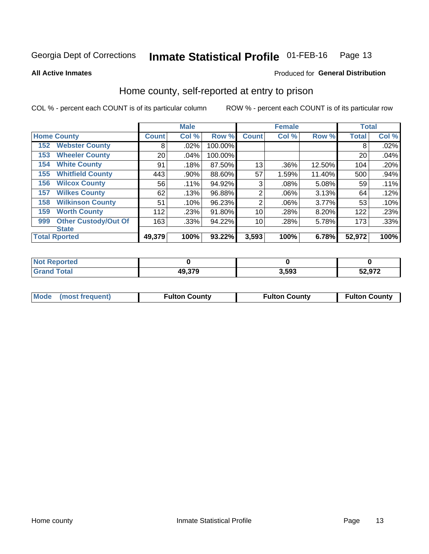#### Inmate Statistical Profile 01-FEB-16 Page 13

**All Active Inmates** 

### Produced for General Distribution

# Home county, self-reported at entry to prison

COL % - percent each COUNT is of its particular column

|     |                             |              | <b>Male</b> |         |                | <b>Female</b> |        | <b>Total</b> |       |
|-----|-----------------------------|--------------|-------------|---------|----------------|---------------|--------|--------------|-------|
|     | <b>Home County</b>          | <b>Count</b> | Col %       | Row %   | <b>Count</b>   | Col %         | Row %  | <b>Total</b> | Col % |
| 152 | <b>Webster County</b>       | 8            | .02%        | 100.00% |                |               |        | 8            | .02%  |
| 153 | <b>Wheeler County</b>       | 20           | .04%        | 100.00% |                |               |        | 20           | .04%  |
| 154 | <b>White County</b>         | 91           | .18%        | 87.50%  | 13             | .36%          | 12.50% | 104          | .20%  |
| 155 | <b>Whitfield County</b>     | 443          | .90%        | 88.60%  | 57             | 1.59%         | 11.40% | 500          | .94%  |
| 156 | <b>Wilcox County</b>        | 56           | .11%        | 94.92%  | 3              | .08%          | 5.08%  | 59           | .11%  |
| 157 | <b>Wilkes County</b>        | 62           | .13%        | 96.88%  | $\overline{2}$ | .06%          | 3.13%  | 64           | .12%  |
| 158 | <b>Wilkinson County</b>     | 51           | .10%        | 96.23%  | 2              | .06%          | 3.77%  | 53           | .10%  |
| 159 | <b>Worth County</b>         | 112          | .23%        | 91.80%  | 10             | .28%          | 8.20%  | 122          | .23%  |
| 999 | <b>Other Custody/Out Of</b> | 163          | .33%        | 94.22%  | 10             | .28%          | 5.78%  | 173          | .33%  |
|     | <b>State</b>                |              |             |         |                |               |        |              |       |
|     | <b>Total Rported</b>        | 49,379       | 100%        | 93.22%  | 3,593          | 100%          | 6.78%  | 52,972       | 100%  |

| ported<br>n n |        |           |        |
|---------------|--------|-----------|--------|
| <b>otal</b>   | 49,379 | 3503<br>, | 52,972 |

| Mode (most frequent) | <b>Fulton County</b> | <b>Fulton County</b> | <b>Fulton County</b> |
|----------------------|----------------------|----------------------|----------------------|
|                      |                      |                      |                      |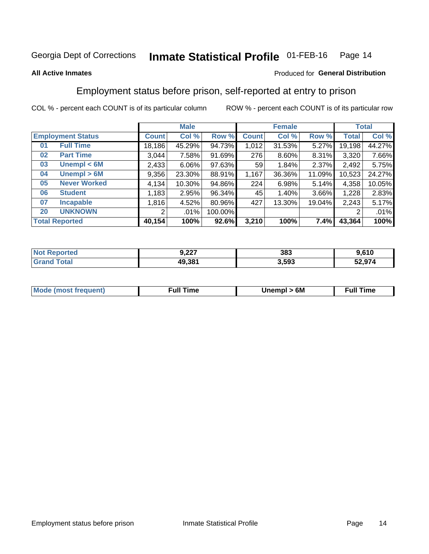#### Inmate Statistical Profile 01-FEB-16 Page 14

### **All Active Inmates**

### Produced for General Distribution

# Employment status before prison, self-reported at entry to prison

COL % - percent each COUNT is of its particular column

|                           |              | <b>Male</b> |         |                 | <b>Female</b> |          |        | <b>Total</b> |
|---------------------------|--------------|-------------|---------|-----------------|---------------|----------|--------|--------------|
| <b>Employment Status</b>  | <b>Count</b> | Col %       | Row %   | <b>Count</b>    | Col %         | Row %    | Total  | Col %        |
| <b>Full Time</b><br>01    | 18,186       | 45.29%      | 94.73%  | 1,012           | 31.53%        | 5.27%    | 19,198 | 44.27%       |
| <b>Part Time</b><br>02    | 3,044        | 7.58%       | 91.69%  | 276             | 8.60%         | $8.31\%$ | 3,320  | 7.66%        |
| Unempl $<$ 6M<br>03       | 2,433        | $6.06\%$    | 97.63%  | 59 <sub>1</sub> | 1.84%         | 2.37%    | 2,492  | 5.75%        |
| Unempl > 6M<br>04         | 9,356        | 23.30%      | 88.91%  | 1,167           | 36.36%        | 11.09%   | 10,523 | 24.27%       |
| <b>Never Worked</b><br>05 | 4,134        | 10.30%      | 94.86%  | 224             | 6.98%         | 5.14%    | 4,358  | 10.05%       |
| <b>Student</b><br>06      | 1,183        | 2.95%       | 96.34%  | 45              | 1.40%         | 3.66%    | 1,228  | 2.83%        |
| <b>Incapable</b><br>07    | 1,816        | 4.52%       | 80.96%  | 427             | 13.30%        | 19.04%   | 2,243  | 5.17%        |
| <b>UNKNOWN</b><br>20      | 2            | .01%        | 100.00% |                 |               |          | 2      | .01%         |
| <b>Total Reported</b>     | 40,154       | 100%        | 92.6%   | 3,210           | 100%          | 7.4%     | 43,364 | 100%         |

| <b>Not Reported</b> | 9,227  | 383   | 9,610  |
|---------------------|--------|-------|--------|
| <b>Grand Total</b>  | 49,381 | 3,593 | 52,974 |

| <b>Mode (most frequent)</b> | Unempl > 6M | <b>Full Time</b> |
|-----------------------------|-------------|------------------|
|                             |             |                  |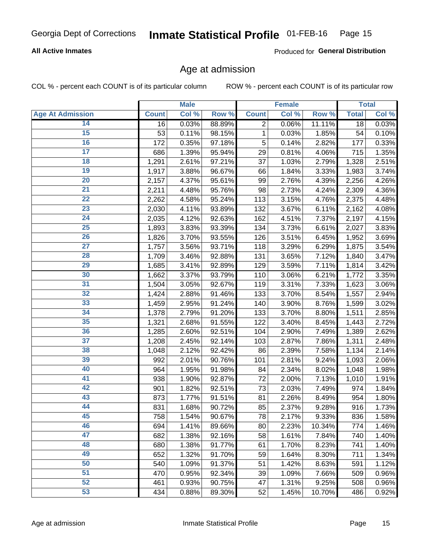### **All Active Inmates**

Produced for General Distribution

## Age at admission

COL % - percent each COUNT is of its particular column

|                         |              | <b>Male</b> |        |                | <b>Female</b> |        |              | <b>Total</b> |
|-------------------------|--------------|-------------|--------|----------------|---------------|--------|--------------|--------------|
| <b>Age At Admission</b> | <b>Count</b> | Col %       | Row %  | <b>Count</b>   | Col %         | Row %  | <b>Total</b> | Col %        |
| 14                      | 16           | 0.03%       | 88.89% | $\overline{2}$ | 0.06%         | 11.11% | 18           | 0.03%        |
| $\overline{15}$         | 53           | 0.11%       | 98.15% | 1              | 0.03%         | 1.85%  | 54           | 0.10%        |
| 16                      | 172          | 0.35%       | 97.18% | 5              | 0.14%         | 2.82%  | 177          | 0.33%        |
| $\overline{17}$         | 686          | 1.39%       | 95.94% | 29             | 0.81%         | 4.06%  | 715          | 1.35%        |
| $\overline{18}$         | 1,291        | 2.61%       | 97.21% | 37             | 1.03%         | 2.79%  | 1,328        | 2.51%        |
| 19                      | 1,917        | 3.88%       | 96.67% | 66             | 1.84%         | 3.33%  | 1,983        | 3.74%        |
| 20                      | 2,157        | 4.37%       | 95.61% | 99             | 2.76%         | 4.39%  | 2,256        | 4.26%        |
| $\overline{21}$         | 2,211        | 4.48%       | 95.76% | 98             | 2.73%         | 4.24%  | 2,309        | 4.36%        |
| $\overline{22}$         | 2,262        | 4.58%       | 95.24% | 113            | 3.15%         | 4.76%  | 2,375        | 4.48%        |
| 23                      | 2,030        | 4.11%       | 93.89% | 132            | 3.67%         | 6.11%  | 2,162        | 4.08%        |
| 24                      | 2,035        | 4.12%       | 92.63% | 162            | 4.51%         | 7.37%  | 2,197        | 4.15%        |
| $\overline{25}$         | 1,893        | 3.83%       | 93.39% | 134            | 3.73%         | 6.61%  | 2,027        | 3.83%        |
| $\overline{26}$         | 1,826        | 3.70%       | 93.55% | 126            | 3.51%         | 6.45%  | 1,952        | 3.69%        |
| $\overline{27}$         | 1,757        | 3.56%       | 93.71% | 118            | 3.29%         | 6.29%  | 1,875        | 3.54%        |
| 28                      | 1,709        | 3.46%       | 92.88% | 131            | 3.65%         | 7.12%  | 1,840        | 3.47%        |
| 29                      | 1,685        | 3.41%       | 92.89% | 129            | 3.59%         | 7.11%  | 1,814        | 3.42%        |
| 30                      | 1,662        | 3.37%       | 93.79% | 110            | 3.06%         | 6.21%  | 1,772        | 3.35%        |
| 31                      | 1,504        | 3.05%       | 92.67% | 119            | 3.31%         | 7.33%  | 1,623        | 3.06%        |
| 32                      | 1,424        | 2.88%       | 91.46% | 133            | 3.70%         | 8.54%  | 1,557        | 2.94%        |
| 33                      | 1,459        | 2.95%       | 91.24% | 140            | 3.90%         | 8.76%  | 1,599        | 3.02%        |
| 34                      | 1,378        | 2.79%       | 91.20% | 133            | 3.70%         | 8.80%  | 1,511        | 2.85%        |
| 35                      | 1,321        | 2.68%       | 91.55% | 122            | 3.40%         | 8.45%  | 1,443        | 2.72%        |
| 36                      | 1,285        | 2.60%       | 92.51% | 104            | 2.90%         | 7.49%  | 1,389        | 2.62%        |
| $\overline{37}$         | 1,208        | 2.45%       | 92.14% | 103            | 2.87%         | 7.86%  | 1,311        | 2.48%        |
| 38                      | 1,048        | 2.12%       | 92.42% | 86             | 2.39%         | 7.58%  | 1,134        | 2.14%        |
| 39                      | 992          | 2.01%       | 90.76% | 101            | 2.81%         | 9.24%  | 1,093        | 2.06%        |
| 40                      | 964          | 1.95%       | 91.98% | 84             | 2.34%         | 8.02%  | 1,048        | 1.98%        |
| 41                      | 938          | 1.90%       | 92.87% | 72             | 2.00%         | 7.13%  | 1,010        | 1.91%        |
| 42                      | 901          | 1.82%       | 92.51% | 73             | 2.03%         | 7.49%  | 974          | 1.84%        |
| 43                      | 873          | 1.77%       | 91.51% | 81             | 2.26%         | 8.49%  | 954          | 1.80%        |
| 44                      | 831          | 1.68%       | 90.72% | 85             | 2.37%         | 9.28%  | 916          | 1.73%        |
| 45                      | 758          | 1.54%       | 90.67% | 78             | 2.17%         | 9.33%  | 836          | 1.58%        |
| 46                      | 694          | 1.41%       | 89.66% | 80             | 2.23%         | 10.34% | 774          | 1.46%        |
| 47                      | 682          | 1.38%       | 92.16% | 58             | 1.61%         | 7.84%  | 740          | 1.40%        |
| 48                      | 680          | 1.38%       | 91.77% | 61             | 1.70%         | 8.23%  | 741          | 1.40%        |
| 49                      | 652          | 1.32%       | 91.70% | 59             | 1.64%         | 8.30%  | 711          | 1.34%        |
| 50                      | 540          | 1.09%       | 91.37% | 51             | 1.42%         | 8.63%  | 591          | 1.12%        |
| 51                      | 470          | 0.95%       | 92.34% | 39             | 1.09%         | 7.66%  | 509          | 0.96%        |
| 52                      | 461          | 0.93%       | 90.75% | 47             | 1.31%         | 9.25%  | 508          | 0.96%        |
| 53                      | 434          | 0.88%       | 89.30% | 52             | 1.45%         | 10.70% | 486          | 0.92%        |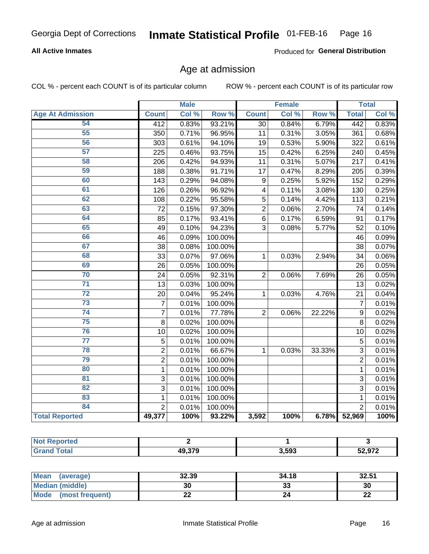### **All Active Inmates**

Produced for General Distribution

### Age at admission

COL % - percent each COUNT is of its particular column

|                         |                | <b>Male</b> |         |                 | <b>Female</b> |        |                 | <b>Total</b> |
|-------------------------|----------------|-------------|---------|-----------------|---------------|--------|-----------------|--------------|
| <b>Age At Admission</b> | <b>Count</b>   | Col %       | Row %   | <b>Count</b>    | Col %         | Row %  | <b>Total</b>    | Col %        |
| 54                      | 412            | 0.83%       | 93.21%  | 30              | 0.84%         | 6.79%  | 442             | 0.83%        |
| 55                      | 350            | 0.71%       | 96.95%  | 11              | 0.31%         | 3.05%  | 361             | 0.68%        |
| 56                      | 303            | 0.61%       | 94.10%  | $\overline{19}$ | 0.53%         | 5.90%  | 322             | 0.61%        |
| 57                      | 225            | 0.46%       | 93.75%  | 15              | 0.42%         | 6.25%  | 240             | 0.45%        |
| 58                      | 206            | 0.42%       | 94.93%  | 11              | 0.31%         | 5.07%  | 217             | 0.41%        |
| 59                      | 188            | 0.38%       | 91.71%  | 17              | 0.47%         | 8.29%  | 205             | 0.39%        |
| 60                      | 143            | 0.29%       | 94.08%  | 9               | 0.25%         | 5.92%  | 152             | 0.29%        |
| 61                      | 126            | 0.26%       | 96.92%  | 4               | 0.11%         | 3.08%  | 130             | 0.25%        |
| 62                      | 108            | 0.22%       | 95.58%  | 5               | 0.14%         | 4.42%  | 113             | 0.21%        |
| 63                      | 72             | 0.15%       | 97.30%  | $\overline{2}$  | 0.06%         | 2.70%  | 74              | 0.14%        |
| 64                      | 85             | 0.17%       | 93.41%  | 6               | 0.17%         | 6.59%  | 91              | 0.17%        |
| 65                      | 49             | 0.10%       | 94.23%  | 3               | 0.08%         | 5.77%  | 52              | 0.10%        |
| 66                      | 46             | 0.09%       | 100.00% |                 |               |        | 46              | 0.09%        |
| 67                      | 38             | 0.08%       | 100.00% |                 |               |        | $\overline{38}$ | 0.07%        |
| 68                      | 33             | 0.07%       | 97.06%  | $\mathbf{1}$    | 0.03%         | 2.94%  | 34              | 0.06%        |
| 69                      | 26             | 0.05%       | 100.00% |                 |               |        | 26              | 0.05%        |
| 70                      | 24             | 0.05%       | 92.31%  | $\overline{2}$  | 0.06%         | 7.69%  | 26              | 0.05%        |
| $\overline{71}$         | 13             | 0.03%       | 100.00% |                 |               |        | 13              | 0.02%        |
| $\overline{72}$         | 20             | 0.04%       | 95.24%  | 1               | 0.03%         | 4.76%  | 21              | 0.04%        |
| $\overline{73}$         | $\overline{7}$ | 0.01%       | 100.00% |                 |               |        | 7               | 0.01%        |
| $\overline{74}$         | $\overline{7}$ | 0.01%       | 77.78%  | $\overline{2}$  | 0.06%         | 22.22% | 9               | 0.02%        |
| 75                      | 8              | 0.02%       | 100.00% |                 |               |        | 8               | 0.02%        |
| 76                      | 10             | 0.02%       | 100.00% |                 |               |        | 10              | 0.02%        |
| $\overline{77}$         | $\overline{5}$ | 0.01%       | 100.00% |                 |               |        | $\overline{5}$  | 0.01%        |
| 78                      | $\overline{2}$ | 0.01%       | 66.67%  | $\mathbf{1}$    | 0.03%         | 33.33% | $\overline{3}$  | 0.01%        |
| 79                      | $\overline{2}$ | 0.01%       | 100.00% |                 |               |        | $\overline{2}$  | 0.01%        |
| 80                      | $\mathbf{1}$   | 0.01%       | 100.00% |                 |               |        | $\mathbf{1}$    | 0.01%        |
| $\overline{81}$         | 3              | 0.01%       | 100.00% |                 |               |        | 3               | 0.01%        |
| $\overline{82}$         | $\overline{3}$ | 0.01%       | 100.00% |                 |               |        | $\overline{3}$  | 0.01%        |
| 83                      | $\mathbf{1}$   | 0.01%       | 100.00% |                 |               |        | $\mathbf{1}$    | 0.01%        |
| 84                      | $\overline{2}$ | 0.01%       | 100.00% |                 |               |        | $\overline{2}$  | 0.01%        |
| <b>Total Reported</b>   | 49,377         | 100%        | 93.22%  | 3,592           | 100%          | 6.78%  | 52,969          | 100%         |

| ported<br><b>NOT</b> |        |       |        |
|----------------------|--------|-------|--------|
| 「otal<br>Gr:         | 49 370 | 3,593 | 52,972 |

| Mean (average)          | 32.39 | 34.18   | 32.51    |
|-------------------------|-------|---------|----------|
| <b>Median (middle)</b>  | 30    | ົ<br>33 | 30       |
| Mode<br>(most frequent) | ∸∸    | 24      | ጣጣ<br>LL |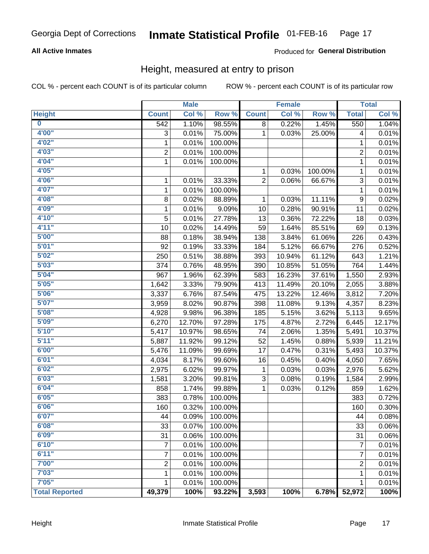### **All Active Inmates**

### Produced for General Distribution

### Height, measured at entry to prison

COL % - percent each COUNT is of its particular column

|                         |                | <b>Male</b> |         |                | <b>Female</b> |         |                  | <b>Total</b> |
|-------------------------|----------------|-------------|---------|----------------|---------------|---------|------------------|--------------|
| <b>Height</b>           | <b>Count</b>   | Col %       | Row %   | <b>Count</b>   | Col %         | Row %   | <b>Total</b>     | Col %        |
| $\overline{\mathbf{0}}$ | 542            | 1.10%       | 98.55%  | 8              | 0.22%         | 1.45%   | 550              | 1.04%        |
| 4'00"                   | 3              | 0.01%       | 75.00%  | 1              | 0.03%         | 25.00%  | 4                | 0.01%        |
| 4'02"                   | $\mathbf{1}$   | 0.01%       | 100.00% |                |               |         | 1                | 0.01%        |
| 4'03''                  | $\overline{2}$ | 0.01%       | 100.00% |                |               |         | 2                | 0.01%        |
| 4'04"                   | $\mathbf{1}$   | 0.01%       | 100.00% |                |               |         | 1                | 0.01%        |
| 4'05"                   |                |             |         | 1              | 0.03%         | 100.00% | $\mathbf{1}$     | 0.01%        |
| 4'06"                   | 1              | 0.01%       | 33.33%  | $\overline{2}$ | 0.06%         | 66.67%  | 3                | 0.01%        |
| 4'07"                   | 1              | 0.01%       | 100.00% |                |               |         | 1                | 0.01%        |
| 4'08"                   | 8              | 0.02%       | 88.89%  | 1              | 0.03%         | 11.11%  | $\boldsymbol{9}$ | 0.02%        |
| 4'09"                   | $\mathbf{1}$   | 0.01%       | 9.09%   | 10             | 0.28%         | 90.91%  | 11               | 0.02%        |
| 4'10"                   | 5              | 0.01%       | 27.78%  | 13             | 0.36%         | 72.22%  | 18               | 0.03%        |
| 4'11''                  | 10             | 0.02%       | 14.49%  | 59             | 1.64%         | 85.51%  | 69               | 0.13%        |
| 5'00''                  | 88             | 0.18%       | 38.94%  | 138            | 3.84%         | 61.06%  | 226              | 0.43%        |
| 5'01"                   | 92             | 0.19%       | 33.33%  | 184            | 5.12%         | 66.67%  | 276              | 0.52%        |
| 5'02"                   | 250            | 0.51%       | 38.88%  | 393            | 10.94%        | 61.12%  | 643              | 1.21%        |
| 5'03"                   | 374            | 0.76%       | 48.95%  | 390            | 10.85%        | 51.05%  | 764              | 1.44%        |
| 5'04"                   | 967            | 1.96%       | 62.39%  | 583            | 16.23%        | 37.61%  | 1,550            | 2.93%        |
| 5'05"                   | 1,642          | 3.33%       | 79.90%  | 413            | 11.49%        | 20.10%  | 2,055            | 3.88%        |
| 5'06''                  | 3,337          | 6.76%       | 87.54%  | 475            | 13.22%        | 12.46%  | 3,812            | 7.20%        |
| 5'07''                  | 3,959          | 8.02%       | 90.87%  | 398            | 11.08%        | 9.13%   | 4,357            | 8.23%        |
| 5'08''                  | 4,928          | 9.98%       | 96.38%  | 185            | 5.15%         | 3.62%   | 5,113            | 9.65%        |
| 5'09''                  | 6,270          | 12.70%      | 97.28%  | 175            | 4.87%         | 2.72%   | 6,445            | 12.17%       |
| 5'10''                  | 5,417          | 10.97%      | 98.65%  | 74             | 2.06%         | 1.35%   | 5,491            | 10.37%       |
| 5'11"                   | 5,887          | 11.92%      | 99.12%  | 52             | 1.45%         | 0.88%   | 5,939            | 11.21%       |
| 6'00''                  | 5,476          | 11.09%      | 99.69%  | 17             | 0.47%         | 0.31%   | 5,493            | 10.37%       |
| 6'01''                  | 4,034          | 8.17%       | 99.60%  | 16             | 0.45%         | 0.40%   | 4,050            | 7.65%        |
| 6'02"                   | 2,975          | 6.02%       | 99.97%  | 1              | 0.03%         | 0.03%   | 2,976            | 5.62%        |
| 6'03''                  | 1,581          | 3.20%       | 99.81%  | 3              | 0.08%         | 0.19%   | 1,584            | 2.99%        |
| 6'04"                   | 858            | 1.74%       | 99.88%  | 1              | 0.03%         | 0.12%   | 859              | 1.62%        |
| 6'05"                   | 383            | 0.78%       | 100.00% |                |               |         | 383              | 0.72%        |
| 6'06"                   | 160            | 0.32%       | 100.00% |                |               |         | 160              | 0.30%        |
| 6'07"                   | 44             | 0.09%       | 100.00% |                |               |         | 44               | 0.08%        |
| 6'08''                  | 33             | 0.07%       | 100.00% |                |               |         | 33               | 0.06%        |
| 6'09''                  | 31             | 0.06%       | 100.00% |                |               |         | 31               | 0.06%        |
| 6'10''                  | 7              | 0.01%       | 100.00% |                |               |         | 7                | 0.01%        |
| 6'11''                  | 7              | 0.01%       | 100.00% |                |               |         | 7                | 0.01%        |
| 7'00''                  | 2              | 0.01%       | 100.00% |                |               |         | $\overline{2}$   | 0.01%        |
| 7'03''                  | 1              | 0.01%       | 100.00% |                |               |         | 1                | 0.01%        |
| 7'05''                  | 1              | 0.01%       | 100.00% |                |               |         | 1                | 0.01%        |
| <b>Total Reported</b>   | 49,379         | 100%        | 93.22%  | 3,593          | 100%          | 6.78%   | 52,972           | 100%         |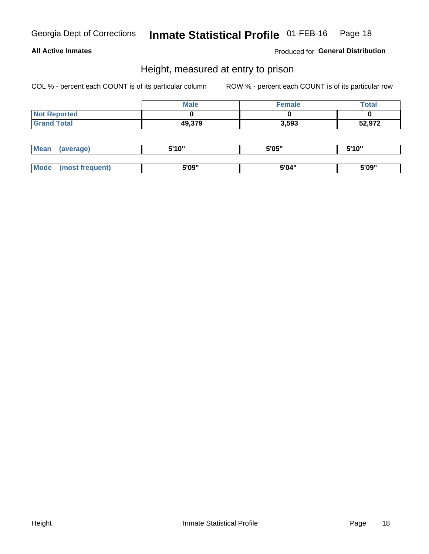### **All Active Inmates**

Produced for General Distribution

### Height, measured at entry to prison

COL % - percent each COUNT is of its particular column

|                     | <b>Male</b> | Female | $\tau$ otal |
|---------------------|-------------|--------|-------------|
| <b>Not Reported</b> |             |        |             |
| <b>Grand Total</b>  | 49,379      | 3,593  | 52,972      |

| <b>Mean</b> | erage) | 5'10" | 5'05" | <b>CIA AIL</b><br>. . |
|-------------|--------|-------|-------|-----------------------|
|             |        |       |       |                       |
| <b>Mode</b> |        | 5'09" | 5'04" | 5'09"                 |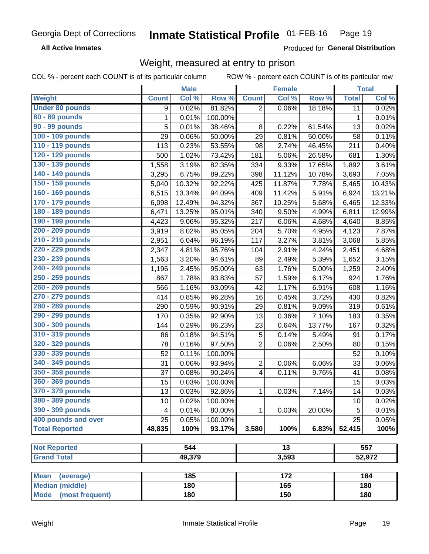**All Active Inmates** 

Produced for General Distribution

# Weight, measured at entry to prison

COL % - percent each COUNT is of its particular column

|                                     |              | <b>Male</b> |         |                         | <b>Female</b>   |        |              | <b>Total</b> |
|-------------------------------------|--------------|-------------|---------|-------------------------|-----------------|--------|--------------|--------------|
| Weight                              | <b>Count</b> | Col %       | Row %   | <b>Count</b>            | Col %           | Row %  | <b>Total</b> | Col %        |
| <b>Under 80 pounds</b>              | 9            | 0.02%       | 81.82%  | $\overline{2}$          | 0.06%           | 18.18% | 11           | 0.02%        |
| 80 - 89 pounds                      | 1            | 0.01%       | 100.00% |                         |                 |        | $\mathbf 1$  | 0.01%        |
| 90 - 99 pounds                      | 5            | 0.01%       | 38.46%  | 8                       | 0.22%           | 61.54% | 13           | 0.02%        |
| 100 - 109 pounds                    | 29           | 0.06%       | 50.00%  | 29                      | 0.81%           | 50.00% | 58           | 0.11%        |
| 110 - 119 pounds                    | 113          | 0.23%       | 53.55%  | 98                      | 2.74%           | 46.45% | 211          | 0.40%        |
| 120 - 129 pounds                    | 500          | 1.02%       | 73.42%  | 181                     | 5.06%           | 26.58% | 681          | 1.30%        |
| 130 - 139 pounds                    | 1,558        | 3.19%       | 82.35%  | 334                     | 9.33%           | 17.65% | 1,892        | 3.61%        |
| 140 - 149 pounds                    | 3,295        | 6.75%       | 89.22%  | 398                     | 11.12%          | 10.78% | 3,693        | 7.05%        |
| 150 - 159 pounds                    | 5,040        | 10.32%      | 92.22%  | 425                     | 11.87%          | 7.78%  | 5,465        | 10.43%       |
| 160 - 169 pounds                    | 6,515        | 13.34%      | 94.09%  | 409                     | 11.42%          | 5.91%  | 6,924        | 13.21%       |
| 170 - 179 pounds                    | 6,098        | 12.49%      | 94.32%  | 367                     | 10.25%          | 5.68%  | 6,465        | 12.33%       |
| 180 - 189 pounds                    | 6,471        | 13.25%      | 95.01%  | 340                     | 9.50%           | 4.99%  | 6,811        | 12.99%       |
| 190 - 199 pounds                    | 4,423        | 9.06%       | 95.32%  | 217                     | 6.06%           | 4.68%  | 4,640        | 8.85%        |
| 200 - 209 pounds                    | 3,919        | 8.02%       | 95.05%  | 204                     | 5.70%           | 4.95%  | 4,123        | 7.87%        |
| 210 - 219 pounds                    | 2,951        | 6.04%       | 96.19%  | 117                     | 3.27%           | 3.81%  | 3,068        | 5.85%        |
| 220 - 229 pounds                    | 2,347        | 4.81%       | 95.76%  | 104                     | 2.91%           | 4.24%  | 2,451        | 4.68%        |
| 230 - 239 pounds                    | 1,563        | 3.20%       | 94.61%  | 89                      | 2.49%           | 5.39%  | 1,652        | 3.15%        |
| 240 - 249 pounds                    | 1,196        | 2.45%       | 95.00%  | 63                      | 1.76%           | 5.00%  | 1,259        | 2.40%        |
| 250 - 259 pounds                    | 867          | 1.78%       | 93.83%  | 57                      | 1.59%           | 6.17%  | 924          | 1.76%        |
| 260 - 269 pounds                    | 566          | 1.16%       | 93.09%  | 42                      | 1.17%           | 6.91%  | 608          | 1.16%        |
| 270 - 279 pounds                    | 414          | 0.85%       | 96.28%  | 16                      | 0.45%           | 3.72%  | 430          | 0.82%        |
| 280 - 289 pounds                    | 290          | 0.59%       | 90.91%  | 29                      | 0.81%           | 9.09%  | 319          | 0.61%        |
| 290 - 299 pounds                    | 170          | 0.35%       | 92.90%  | 13                      | 0.36%           | 7.10%  | 183          | 0.35%        |
| 300 - 309 pounds                    | 144          | 0.29%       | 86.23%  | 23                      | 0.64%           | 13.77% | 167          | 0.32%        |
| 310 - 319 pounds                    | 86           | 0.18%       | 94.51%  | 5                       | 0.14%           | 5.49%  | 91           | 0.17%        |
| 320 - 329 pounds                    | 78           | 0.16%       | 97.50%  | $\overline{2}$          | 0.06%           | 2.50%  | 80           | 0.15%        |
| 330 - 339 pounds                    | 52           | 0.11%       | 100.00% |                         |                 |        | 52           | 0.10%        |
| 340 - 349 pounds                    | 31           | 0.06%       | 93.94%  | $\overline{2}$          | 0.06%           | 6.06%  | 33           | 0.06%        |
| 350 - 359 pounds                    | 37           | 0.08%       | 90.24%  | $\overline{\mathbf{4}}$ | 0.11%           | 9.76%  | 41           | 0.08%        |
| 360 - 369 pounds                    | 15           | 0.03%       | 100.00% |                         |                 |        | 15           | 0.03%        |
| 370 - 379 pounds                    | 13           | 0.03%       | 92.86%  | 1                       | 0.03%           | 7.14%  | 14           | 0.03%        |
| 380 - 389 pounds                    | 10           | 0.02%       | 100.00% |                         |                 |        | 10           | 0.02%        |
| 390 - 399 pounds                    | 4            | 0.01%       | 80.00%  | 1                       | 0.03%           | 20.00% | 5            | 0.01%        |
| 400 pounds and over                 | 25           | 0.05%       | 100.00% |                         |                 |        | 25           | 0.05%        |
| <b>Total Reported</b>               | 48,835       | 100%        | 93.17%  | 3,580                   | 100%            | 6.83%  | 52,415       | 100%         |
|                                     |              |             |         |                         |                 |        |              |              |
| <b>Not Reported</b>                 |              | 544         |         |                         | $\overline{13}$ |        |              | 557          |
| <b>Grand Total</b>                  |              | 49,379      |         |                         | 3,593           |        |              | 52,972       |
| <b>Mean</b>                         |              | 185         |         |                         | 172             |        |              | 184          |
| (average)<br><b>Median (middle)</b> |              | 180         |         |                         | 165             |        |              | 180          |
| <b>Mode</b><br>(most frequent)      |              | 180         |         |                         | 150             |        |              | 180          |
|                                     |              |             |         |                         |                 |        |              |              |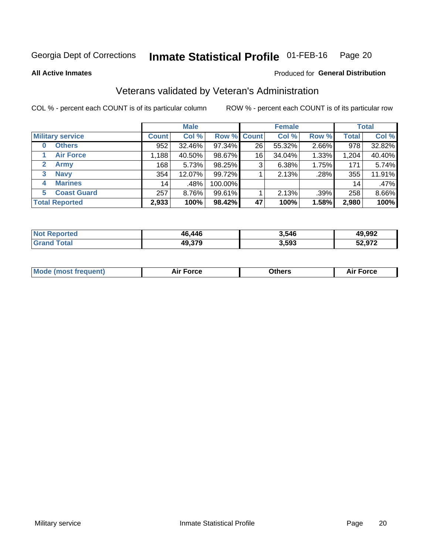#### Inmate Statistical Profile 01-FEB-16 Page 20

**All Active Inmates** 

### Produced for General Distribution

# Veterans validated by Veteran's Administration

COL % - percent each COUNT is of its particular column

|                             |              | <b>Male</b> |             |    | <b>Female</b> |       |              | <b>Total</b> |  |
|-----------------------------|--------------|-------------|-------------|----|---------------|-------|--------------|--------------|--|
| <b>Military service</b>     | <b>Count</b> | Col %       | Row % Count |    | Col %         | Row % | <b>Total</b> | Col %        |  |
| <b>Others</b><br>0          | 952          | 32.46%      | 97.34%      | 26 | 55.32%        | 2.66% | 978          | 32.82%       |  |
| <b>Air Force</b>            | 1,188        | 40.50%      | 98.67%      | 16 | 34.04%        | 1.33% | 1,204        | 40.40%       |  |
| <b>Army</b><br>$\mathbf{2}$ | 168          | 5.73%       | 98.25%      | 3  | 6.38%         | 1.75% | 171          | 5.74%        |  |
| <b>Navy</b><br>3            | 354          | 12.07%      | 99.72%      |    | 2.13%         | .28%  | 355          | 11.91%       |  |
| <b>Marines</b><br>4         | 14           | .48%        | 100.00%     |    |               |       | 14           | .47%         |  |
| <b>Coast Guard</b><br>5.    | 257          | 8.76%       | 99.61%      |    | 2.13%         | .39%  | 258          | 8.66%        |  |
| <b>Total Reported</b>       | 2,933        | 100%        | 98.42%      | 47 | 100%          | 1.58% | 2,980        | 100%         |  |

| orted<br>'N ( | 46,446 | 3,546 | 49,992 |
|---------------|--------|-------|--------|
| 'ota.         | 49.379 | 3,593 | 52,972 |

|  |  | <b>Mode (most frequent)</b> | <b>Force</b><br>Aır | วthers | orce |
|--|--|-----------------------------|---------------------|--------|------|
|--|--|-----------------------------|---------------------|--------|------|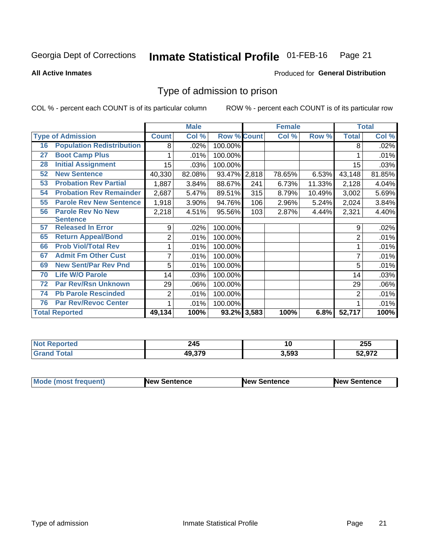#### Inmate Statistical Profile 01-FEB-16 Page 21

**All Active Inmates** 

### Produced for General Distribution

# Type of admission to prison

COL % - percent each COUNT is of its particular column

|    |                                  |                | <b>Male</b> |                    |     | <b>Female</b> |        |                | <b>Total</b> |
|----|----------------------------------|----------------|-------------|--------------------|-----|---------------|--------|----------------|--------------|
|    | <b>Type of Admission</b>         | <b>Count</b>   | Col %       | <b>Row % Count</b> |     | Col %         | Row %  | <b>Total</b>   | Col %        |
| 16 | <b>Population Redistribution</b> | 8              | .02%        | 100.00%            |     |               |        | 8              | .02%         |
| 27 | <b>Boot Camp Plus</b>            |                | .01%        | 100.00%            |     |               |        |                | .01%         |
| 28 | <b>Initial Assignment</b>        | 15             | .03%        | 100.00%            |     |               |        | 15             | .03%         |
| 52 | <b>New Sentence</b>              | 40,330         | 82.08%      | 93.47% 2,818       |     | 78.65%        | 6.53%  | 43,148         | 81.85%       |
| 53 | <b>Probation Rev Partial</b>     | 1,887          | 3.84%       | 88.67%             | 241 | 6.73%         | 11.33% | 2,128          | 4.04%        |
| 54 | <b>Probation Rev Remainder</b>   | 2,687          | 5.47%       | 89.51%             | 315 | 8.79%         | 10.49% | 3,002          | 5.69%        |
| 55 | <b>Parole Rev New Sentence</b>   | 1,918          | 3.90%       | 94.76%             | 106 | 2.96%         | 5.24%  | 2,024          | 3.84%        |
| 56 | <b>Parole Rev No New</b>         | 2,218          | 4.51%       | 95.56%             | 103 | 2.87%         | 4.44%  | 2,321          | 4.40%        |
|    | <b>Sentence</b>                  |                |             |                    |     |               |        |                |              |
| 57 | <b>Released In Error</b>         | 9              | .02%        | 100.00%            |     |               |        | 9              | .02%         |
| 65 | <b>Return Appeal/Bond</b>        | $\overline{2}$ | .01%        | 100.00%            |     |               |        | $\overline{2}$ | .01%         |
| 66 | <b>Prob Viol/Total Rev</b>       |                | .01%        | 100.00%            |     |               |        |                | .01%         |
| 67 | <b>Admit Fm Other Cust</b>       | 7              | .01%        | 100.00%            |     |               |        | 7              | .01%         |
| 69 | <b>New Sent/Par Rev Pnd</b>      | 5              | .01%        | 100.00%            |     |               |        | 5              | .01%         |
| 70 | <b>Life W/O Parole</b>           | 14             | .03%        | 100.00%            |     |               |        | 14             | .03%         |
| 72 | <b>Par Rev/Rsn Unknown</b>       | 29             | .06%        | 100.00%            |     |               |        | 29             | .06%         |
| 74 | <b>Pb Parole Rescinded</b>       | 2              | .01%        | 100.00%            |     |               |        | $\overline{2}$ | .01%         |
| 76 | <b>Par Rev/Revoc Center</b>      |                | .01%        | 100.00%            |     |               |        |                | .01%         |
|    | <b>Total Reported</b>            | 49,134         | 100%        | 93.2% 3,583        |     | 100%          | 6.8%   | 52,717         | 100%         |

| <b>Not</b><br>тео | - - -<br>"м.<br>24J<br>$\sim$ | ιv    | 255   |
|-------------------|-------------------------------|-------|-------|
|                   | 49.37 <sup>c</sup>            | 3,593 | רמ ה: |

| <b>Mode (most frequent)</b> | New Sentence | <b>New Sentence</b> | <b>New Sentence</b> |
|-----------------------------|--------------|---------------------|---------------------|
|                             |              |                     |                     |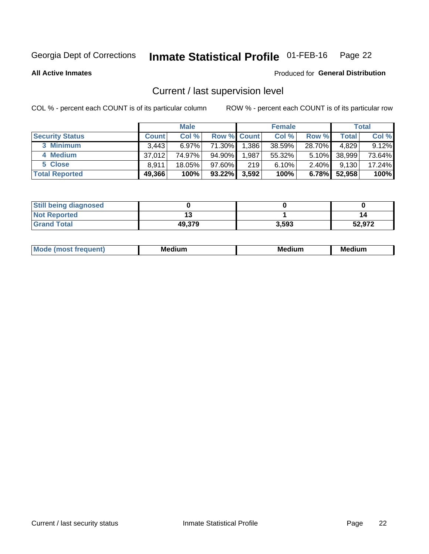# Inmate Statistical Profile 01-FEB-16 Page 22

**All Active Inmates** 

### Produced for General Distribution

# Current / last supervision level

COL % - percent each COUNT is of its particular column

|                        |              | <b>Male</b> |                    |       | <b>Female</b> |          |        | <b>Total</b> |
|------------------------|--------------|-------------|--------------------|-------|---------------|----------|--------|--------------|
| <b>Security Status</b> | <b>Count</b> | Col %       | <b>Row % Count</b> |       | Col %         | Row %    | Total  | Col %        |
| 3 Minimum              | 3.443        | $6.97\%$    | 71.30%             | .386  | 38.59%        | 28.70%   | 4,829  | 9.12%        |
| 4 Medium               | 37.012       | 74.97%      | 94.90%             | .987  | 55.32%        | $5.10\%$ | 38,999 | 73.64%       |
| 5 Close                | 8.911        | 18.05%      | $97.60\%$          | 219   | 6.10%         | $2.40\%$ | 9,130  | 17.24%       |
| <b>Total Reported</b>  | 49,366       | 100%        | $93.22\%$          | 3,592 | 100%          | $6.78\%$ | 52,958 | 100%         |

| <b>Still being diagnosed</b> |        |       |        |
|------------------------------|--------|-------|--------|
| <b>Not Reported</b>          |        |       | 14     |
| <b>Grand Total</b>           | 49,379 | 3,593 | 52,972 |

| M | . | -- |
|---|---|----|
|   |   |    |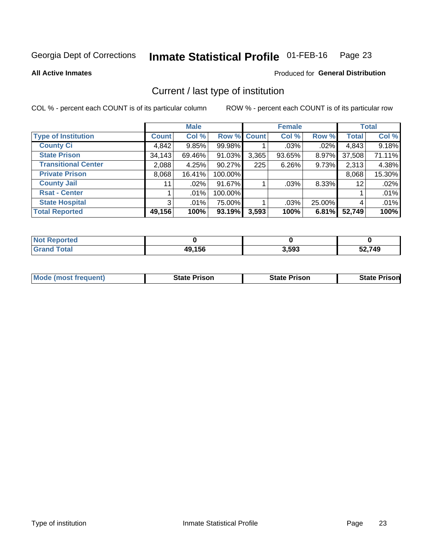#### Inmate Statistical Profile 01-FEB-16 Page 23

**All Active Inmates** 

### **Produced for General Distribution**

# Current / last type of institution

COL % - percent each COUNT is of its particular column

|                            |                | <b>Male</b> |             |       | <b>Female</b> |        |              | <b>Total</b> |
|----------------------------|----------------|-------------|-------------|-------|---------------|--------|--------------|--------------|
| <b>Type of Institution</b> | <b>Count</b>   | Col %       | Row % Count |       | Col %         | Row %  | <b>Total</b> | Col %        |
| <b>County Ci</b>           | 4,842          | 9.85%       | 99.98%      |       | .03%          | .02%   | 4,843        | 9.18%        |
| <b>State Prison</b>        | 34,143         | 69.46%      | 91.03%      | 3,365 | 93.65%        | 8.97%  | 37,508       | 71.11%       |
| <b>Transitional Center</b> | 2,088          | 4.25%       | 90.27%      | 225   | 6.26%         | 9.73%  | 2,313        | 4.38%        |
| <b>Private Prison</b>      | 8,068          | 16.41%      | 100.00%     |       |               |        | 8,068        | 15.30%       |
| <b>County Jail</b>         | 11             | .02%        | 91.67%      |       | .03%          | 8.33%  | 12           | .02%         |
| <b>Rsat - Center</b>       |                | $.01\%$     | 100.00%     |       |               |        |              | .01%         |
| <b>State Hospital</b>      | 3 <sup>1</sup> | $.01\%$     | 75.00%      |       | .03%          | 25.00% | 4            | .01%         |
| <b>Total Reported</b>      | 49,156         | 100%        | 93.19%      | 3,593 | 100%          | 6.81%  | 52,749       | 100%         |

| ported<br><b>NOT</b> |        |       |        |
|----------------------|--------|-------|--------|
| <b>otal</b>          | 49,156 | 3,593 | 52,749 |

| <b>Mode (most frequent)</b> | <b>State Prison</b> | <b>State Prison</b> | <b>State Prison</b> |
|-----------------------------|---------------------|---------------------|---------------------|
|                             |                     |                     |                     |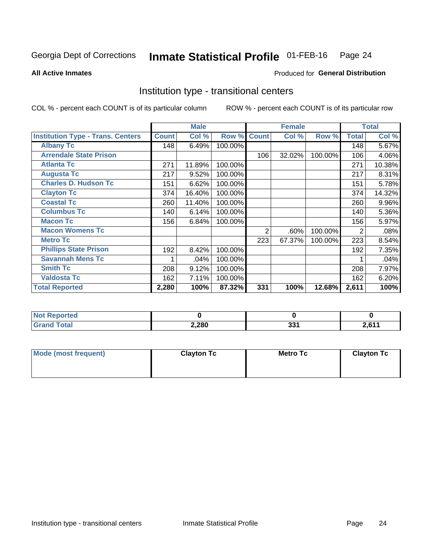#### Inmate Statistical Profile 01-FEB-16 Page 24

Produced for General Distribution

### **All Active Inmates**

# Institution type - transitional centers

COL % - percent each COUNT is of its particular column

|                                          |              | <b>Male</b> |         |              | <b>Female</b> |         |              | <b>Total</b> |
|------------------------------------------|--------------|-------------|---------|--------------|---------------|---------|--------------|--------------|
| <b>Institution Type - Trans. Centers</b> | <b>Count</b> | Col %       | Row %   | <b>Count</b> | Col %         | Row %   | <b>Total</b> | Col %        |
| <b>Albany Tc</b>                         | 148          | 6.49%       | 100.00% |              |               |         | 148          | 5.67%        |
| <b>Arrendale State Prison</b>            |              |             |         | 106          | 32.02%        | 100.00% | 106          | 4.06%        |
| <b>Atlanta Tc</b>                        | 271          | 11.89%      | 100.00% |              |               |         | 271          | 10.38%       |
| <b>Augusta Tc</b>                        | 217          | 9.52%       | 100.00% |              |               |         | 217          | 8.31%        |
| <b>Charles D. Hudson Tc</b>              | 151          | 6.62%       | 100.00% |              |               |         | 151          | 5.78%        |
| <b>Clayton Tc</b>                        | 374          | 16.40%      | 100.00% |              |               |         | 374          | 14.32%       |
| <b>Coastal Tc</b>                        | 260          | 11.40%      | 100.00% |              |               |         | 260          | $9.96\%$     |
| <b>Columbus Tc</b>                       | 140          | 6.14%       | 100.00% |              |               |         | 140          | 5.36%        |
| <b>Macon Tc</b>                          | 156          | 6.84%       | 100.00% |              |               |         | 156          | 5.97%        |
| <b>Macon Womens Tc</b>                   |              |             |         | 2            | .60%          | 100.00% | 2            | .08%         |
| <b>Metro Tc</b>                          |              |             |         | 223          | 67.37%        | 100.00% | 223          | 8.54%        |
| <b>Phillips State Prison</b>             | 192          | 8.42%       | 100.00% |              |               |         | 192          | 7.35%        |
| <b>Savannah Mens Tc</b>                  |              | .04%        | 100.00% |              |               |         |              | .04%         |
| <b>Smith Tc</b>                          | 208          | 9.12%       | 100.00% |              |               |         | 208          | 7.97%        |
| <b>Valdosta Tc</b>                       | 162          | 7.11%       | 100.00% |              |               |         | 162          | 6.20%        |
| <b>Total Reported</b>                    | 2,280        | 100%        | 87.32%  | 331          | 100%          | 12.68%  | 2,611        | 100%         |

| orted<br>$\sim$ |       |     |               |
|-----------------|-------|-----|---------------|
|                 | 2,280 | nn, | . <i>ca</i> / |

| Mode (most frequent) | <b>Clayton Tc</b> | <b>Metro Tc</b> | <b>Clayton Tc</b> |
|----------------------|-------------------|-----------------|-------------------|
|                      |                   |                 |                   |
|                      |                   |                 |                   |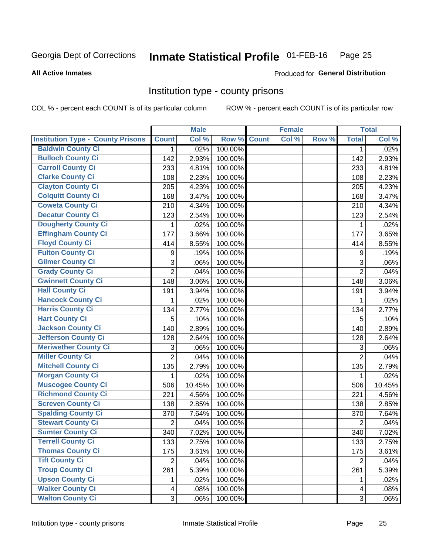# Inmate Statistical Profile 01-FEB-16 Page 25

#### **All Active Inmates**

### Produced for General Distribution

### Institution type - county prisons

COL % - percent each COUNT is of its particular column

|                                          |                | <b>Male</b> |         |              | <b>Female</b> |       |                         | <b>Total</b> |
|------------------------------------------|----------------|-------------|---------|--------------|---------------|-------|-------------------------|--------------|
| <b>Institution Type - County Prisons</b> | <b>Count</b>   | Col %       | Row %   | <b>Count</b> | Col %         | Row % | <b>Total</b>            | Col %        |
| <b>Baldwin County Ci</b>                 | $\mathbf{1}$   | .02%        | 100.00% |              |               |       | $\mathbf 1$             | .02%         |
| <b>Bulloch County Ci</b>                 | 142            | 2.93%       | 100.00% |              |               |       | 142                     | 2.93%        |
| <b>Carroll County Ci</b>                 | 233            | 4.81%       | 100.00% |              |               |       | 233                     | 4.81%        |
| <b>Clarke County Ci</b>                  | 108            | 2.23%       | 100.00% |              |               |       | 108                     | 2.23%        |
| <b>Clayton County Ci</b>                 | 205            | 4.23%       | 100.00% |              |               |       | 205                     | 4.23%        |
| <b>Colquitt County Ci</b>                | 168            | 3.47%       | 100.00% |              |               |       | 168                     | 3.47%        |
| <b>Coweta County Ci</b>                  | 210            | 4.34%       | 100.00% |              |               |       | 210                     | 4.34%        |
| <b>Decatur County Ci</b>                 | 123            | 2.54%       | 100.00% |              |               |       | 123                     | 2.54%        |
| <b>Dougherty County Ci</b>               | 1              | .02%        | 100.00% |              |               |       | 1                       | .02%         |
| <b>Effingham County Ci</b>               | 177            | 3.66%       | 100.00% |              |               |       | 177                     | 3.65%        |
| <b>Floyd County Ci</b>                   | 414            | 8.55%       | 100.00% |              |               |       | 414                     | 8.55%        |
| <b>Fulton County Ci</b>                  | 9              | .19%        | 100.00% |              |               |       | 9                       | .19%         |
| <b>Gilmer County Ci</b>                  | 3              | .06%        | 100.00% |              |               |       | 3                       | .06%         |
| <b>Grady County Ci</b>                   | $\overline{2}$ | .04%        | 100.00% |              |               |       | $\overline{2}$          | .04%         |
| <b>Gwinnett County Ci</b>                | 148            | 3.06%       | 100.00% |              |               |       | 148                     | 3.06%        |
| <b>Hall County Ci</b>                    | 191            | 3.94%       | 100.00% |              |               |       | 191                     | 3.94%        |
| <b>Hancock County Ci</b>                 | 1              | .02%        | 100.00% |              |               |       | 1                       | .02%         |
| <b>Harris County Ci</b>                  | 134            | 2.77%       | 100.00% |              |               |       | 134                     | 2.77%        |
| <b>Hart County Ci</b>                    | 5              | .10%        | 100.00% |              |               |       | 5                       | .10%         |
| <b>Jackson County Ci</b>                 | 140            | 2.89%       | 100.00% |              |               |       | 140                     | 2.89%        |
| Jefferson County Ci                      | 128            | 2.64%       | 100.00% |              |               |       | 128                     | 2.64%        |
| <b>Meriwether County Ci</b>              | 3              | .06%        | 100.00% |              |               |       | 3                       | .06%         |
| <b>Miller County Ci</b>                  | $\overline{2}$ | .04%        | 100.00% |              |               |       | $\overline{2}$          | .04%         |
| <b>Mitchell County Ci</b>                | 135            | 2.79%       | 100.00% |              |               |       | 135                     | 2.79%        |
| <b>Morgan County Ci</b>                  | 1              | .02%        | 100.00% |              |               |       | 1                       | .02%         |
| <b>Muscogee County Ci</b>                | 506            | 10.45%      | 100.00% |              |               |       | 506                     | 10.45%       |
| <b>Richmond County Ci</b>                | 221            | 4.56%       | 100.00% |              |               |       | 221                     | 4.56%        |
| <b>Screven County Ci</b>                 | 138            | 2.85%       | 100.00% |              |               |       | 138                     | 2.85%        |
| <b>Spalding County Ci</b>                | 370            | 7.64%       | 100.00% |              |               |       | 370                     | 7.64%        |
| <b>Stewart County Ci</b>                 | $\overline{2}$ | .04%        | 100.00% |              |               |       | $\overline{2}$          | .04%         |
| <b>Sumter County Ci</b>                  | 340            | 7.02%       | 100.00% |              |               |       | 340                     | 7.02%        |
| <b>Terrell County Ci</b>                 | 133            | 2.75%       | 100.00% |              |               |       | 133                     | 2.75%        |
| <b>Thomas County Ci</b>                  | 175            | 3.61%       | 100.00% |              |               |       | 175                     | 3.61%        |
| <b>Tift County Ci</b>                    | $\overline{2}$ | .04%        | 100.00% |              |               |       | $\overline{2}$          | .04%         |
| <b>Troup County Ci</b>                   | 261            | 5.39%       | 100.00% |              |               |       | 261                     | 5.39%        |
| <b>Upson County Ci</b>                   | 1              | .02%        | 100.00% |              |               |       | 1                       | .02%         |
| <b>Walker County Ci</b>                  | $\overline{4}$ | .08%        | 100.00% |              |               |       | $\overline{\mathbf{4}}$ | .08%         |
| <b>Walton County Ci</b>                  | 3              | .06%        | 100.00% |              |               |       | 3                       | .06%         |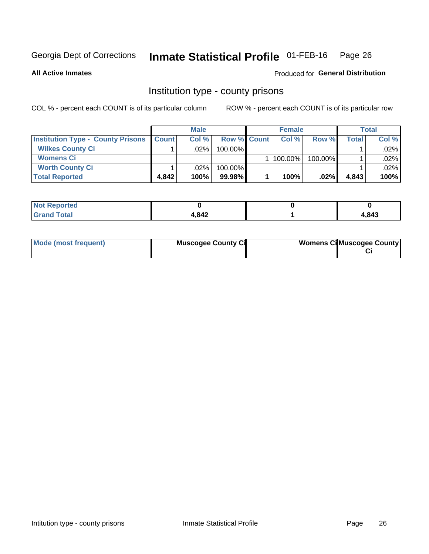# Inmate Statistical Profile 01-FEB-16 Page 26

**All Active Inmates** 

### Produced for General Distribution

### Institution type - county prisons

COL % - percent each COUNT is of its particular column

|                                          | <b>Male</b>      |         |                    | <b>Female</b> |         |         | <b>Total</b> |         |
|------------------------------------------|------------------|---------|--------------------|---------------|---------|---------|--------------|---------|
| <b>Institution Type - County Prisons</b> | <b>I</b> Count I | Col%    | <b>Row % Count</b> |               | Col%    | Row %   | Total        | Col %   |
| <b>Wilkes County Ci</b>                  |                  | .02%    | 100.00%            |               |         |         |              | $.02\%$ |
| <b>Womens Ci</b>                         |                  |         |                    |               | 100.00% | 100.00% |              | .02%    |
| <b>Worth County Ci</b>                   |                  | $.02\%$ | 100.00%            |               |         |         |              | $.02\%$ |
| <b>Total Reported</b>                    | 4.842            | 100%    | $99.98\%$          |               | 100%    | $.02\%$ | 4,843        | 100%    |

| <b>N</b><br>rtea |      |       |
|------------------|------|-------|
| _____            | ,842 | 1,843 |

| Mode (most frequent) | <b>Muscogee County Ci</b> | <b>Womens Ci</b> Muscogee County |
|----------------------|---------------------------|----------------------------------|
|----------------------|---------------------------|----------------------------------|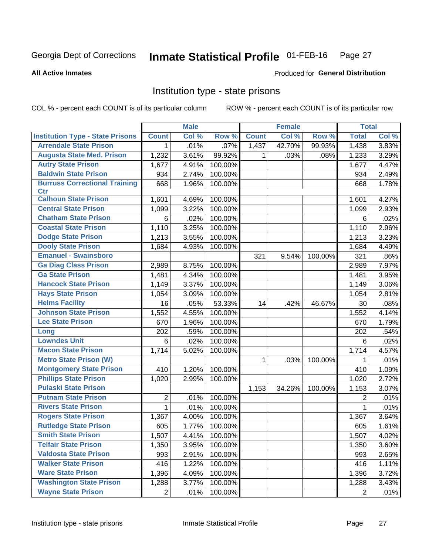#### Inmate Statistical Profile 01-FEB-16 Page 27

#### **All Active Inmates**

### **Produced for General Distribution**

### Institution type - state prisons

COL % - percent each COUNT is of its particular column

|                                         |                | <b>Male</b> |         |              | <b>Female</b> |         | <b>Total</b>   |       |
|-----------------------------------------|----------------|-------------|---------|--------------|---------------|---------|----------------|-------|
| <b>Institution Type - State Prisons</b> | <b>Count</b>   | Col %       | Row %   | <b>Count</b> | Col %         | Row %   | <b>Total</b>   | Col % |
| <b>Arrendale State Prison</b>           | 1              | .01%        | .07%    | 1,437        | 42.70%        | 99.93%  | 1,438          | 3.83% |
| <b>Augusta State Med. Prison</b>        | 1,232          | 3.61%       | 99.92%  | 1.           | .03%          | .08%    | 1,233          | 3.29% |
| <b>Autry State Prison</b>               | 1,677          | 4.91%       | 100.00% |              |               |         | 1,677          | 4.47% |
| <b>Baldwin State Prison</b>             | 934            | 2.74%       | 100.00% |              |               |         | 934            | 2.49% |
| <b>Burruss Correctional Training</b>    | 668            | 1.96%       | 100.00% |              |               |         | 668            | 1.78% |
| <b>Ctr</b>                              |                |             |         |              |               |         |                |       |
| <b>Calhoun State Prison</b>             | 1,601          | 4.69%       | 100.00% |              |               |         | 1,601          | 4.27% |
| <b>Central State Prison</b>             | 1,099          | 3.22%       | 100.00% |              |               |         | 1,099          | 2.93% |
| <b>Chatham State Prison</b>             | 6              | .02%        | 100.00% |              |               |         | 6              | .02%  |
| <b>Coastal State Prison</b>             | 1,110          | 3.25%       | 100.00% |              |               |         | 1,110          | 2.96% |
| <b>Dodge State Prison</b>               | 1,213          | 3.55%       | 100.00% |              |               |         | 1,213          | 3.23% |
| <b>Dooly State Prison</b>               | 1,684          | 4.93%       | 100.00% |              |               |         | 1,684          | 4.49% |
| <b>Emanuel - Swainsboro</b>             |                |             |         | 321          | 9.54%         | 100.00% | 321            | .86%  |
| <b>Ga Diag Class Prison</b>             | 2,989          | 8.75%       | 100.00% |              |               |         | 2,989          | 7.97% |
| <b>Ga State Prison</b>                  | 1,481          | 4.34%       | 100.00% |              |               |         | 1,481          | 3.95% |
| <b>Hancock State Prison</b>             | 1,149          | 3.37%       | 100.00% |              |               |         | 1,149          | 3.06% |
| <b>Hays State Prison</b>                | 1,054          | 3.09%       | 100.00% |              |               |         | 1,054          | 2.81% |
| <b>Helms Facility</b>                   | 16             | .05%        | 53.33%  | 14           | .42%          | 46.67%  | 30             | .08%  |
| <b>Johnson State Prison</b>             | 1,552          | 4.55%       | 100.00% |              |               |         | 1,552          | 4.14% |
| <b>Lee State Prison</b>                 | 670            | 1.96%       | 100.00% |              |               |         | 670            | 1.79% |
| Long                                    | 202            | .59%        | 100.00% |              |               |         | 202            | .54%  |
| <b>Lowndes Unit</b>                     | 6              | .02%        | 100.00% |              |               |         | 6              | .02%  |
| <b>Macon State Prison</b>               | 1,714          | 5.02%       | 100.00% |              |               |         | 1,714          | 4.57% |
| <b>Metro State Prison (W)</b>           |                |             |         | 1            | .03%          | 100.00% | 1              | .01%  |
| <b>Montgomery State Prison</b>          | 410            | 1.20%       | 100.00% |              |               |         | 410            | 1.09% |
| <b>Phillips State Prison</b>            | 1,020          | 2.99%       | 100.00% |              |               |         | 1,020          | 2.72% |
| <b>Pulaski State Prison</b>             |                |             |         | 1,153        | 34.26%        | 100.00% | 1,153          | 3.07% |
| <b>Putnam State Prison</b>              | 2              | .01%        | 100.00% |              |               |         | 2              | .01%  |
| <b>Rivers State Prison</b>              | 1              | .01%        | 100.00% |              |               |         | 1              | .01%  |
| <b>Rogers State Prison</b>              | 1,367          | 4.00%       | 100.00% |              |               |         | 1,367          | 3.64% |
| <b>Rutledge State Prison</b>            | 605            | 1.77%       | 100.00% |              |               |         | 605            | 1.61% |
| <b>Smith State Prison</b>               | 1,507          | 4.41%       | 100.00% |              |               |         | 1,507          | 4.02% |
| <b>Telfair State Prison</b>             | 1,350          | 3.95%       | 100.00% |              |               |         | 1,350          | 3.60% |
| <b>Valdosta State Prison</b>            | 993            | 2.91%       | 100.00% |              |               |         | 993            | 2.65% |
| <b>Walker State Prison</b>              | 416            | 1.22%       | 100.00% |              |               |         | 416            | 1.11% |
| <b>Ware State Prison</b>                | 1,396          | 4.09%       | 100.00% |              |               |         | 1,396          | 3.72% |
| <b>Washington State Prison</b>          | 1,288          | 3.77%       | 100.00% |              |               |         | 1,288          | 3.43% |
| <b>Wayne State Prison</b>               | $\overline{2}$ | .01%        | 100.00% |              |               |         | $\overline{2}$ | .01%  |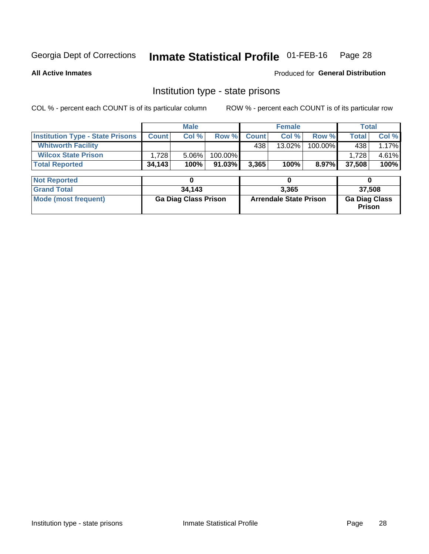#### Inmate Statistical Profile 01-FEB-16 Page 28

**All Active Inmates** 

Produced for General Distribution

# Institution type - state prisons

COL % - percent each COUNT is of its particular column

|                                         | <b>Male</b>                 |        |         | <b>Female</b>                 |           |         | <b>Total</b>                   |       |  |
|-----------------------------------------|-----------------------------|--------|---------|-------------------------------|-----------|---------|--------------------------------|-------|--|
| <b>Institution Type - State Prisons</b> | <b>Count</b>                | Col %  | Row %   | <b>Count</b>                  | Col %     | Row %   | <b>Total</b>                   | Col % |  |
| <b>Whitworth Facility</b>               |                             |        |         | 438                           | $13.02\%$ | 100.00% | 438                            | 1.17% |  |
| <b>Wilcox State Prison</b>              | 1,728                       | 5.06%  | 100.00% |                               |           |         | 1,728                          | 4.61% |  |
| <b>Total Reported</b>                   | 34,143                      | 100%   | 91.03%  | 3,365                         | 100%      | 8.97%   | 37,508                         | 100%  |  |
|                                         |                             |        |         |                               |           |         |                                |       |  |
| <b>Not Reported</b>                     |                             | 0      |         |                               | 0         |         |                                | 0     |  |
| <b>Grand Total</b>                      |                             | 34,143 |         | 3,365                         |           |         | 37,508                         |       |  |
| <b>Mode (most frequent)</b>             | <b>Ga Diag Class Prison</b> |        |         | <b>Arrendale State Prison</b> |           |         | <b>Ga Diag Class</b><br>Prison |       |  |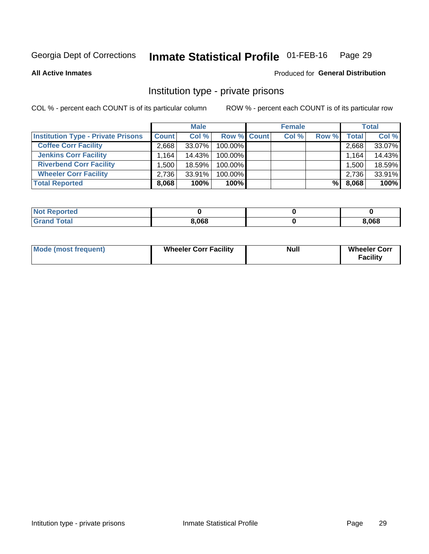#### Inmate Statistical Profile 01-FEB-16 Page 29

**All Active Inmates** 

### Produced for General Distribution

# Institution type - private prisons

COL % - percent each COUNT is of its particular column

|                                           | <b>Male</b>          |        |                    | <b>Female</b> |       |       | <b>Total</b> |        |
|-------------------------------------------|----------------------|--------|--------------------|---------------|-------|-------|--------------|--------|
| <b>Institution Type - Private Prisons</b> | <b>Count</b>         | Col %  | <b>Row % Count</b> |               | Col % | Row % | Total        | Col %  |
| <b>Coffee Corr Facility</b>               | 2.668                | 33.07% | 100.00%            |               |       |       | 2,668        | 33.07% |
| <b>Jenkins Corr Facility</b>              | $1,164$ <sup>1</sup> | 14.43% | 100.00%            |               |       |       | 1,164        | 14.43% |
| <b>Riverbend Corr Facility</b>            | ا 500. ا             | 18.59% | 100.00%            |               |       |       | 1,500        | 18.59% |
| <b>Wheeler Corr Facility</b>              | 2,736                | 33.91% | 100.00%            |               |       |       | 2,736        | 33.91% |
| <b>Total Reported</b>                     | 8,068                | 100%   | $100\%$            |               |       | %     | 8,068        | 100%   |

| <b>Not Reported</b> |       |       |
|---------------------|-------|-------|
| <b>Total</b>        | 8,068 | 3,068 |

| <b>Mode (most frequent)</b> | <b>Wheeler Corr Facility</b> | <b>Null</b> | <b>Wheeler Corr</b><br><b>Facility</b> |
|-----------------------------|------------------------------|-------------|----------------------------------------|
|-----------------------------|------------------------------|-------------|----------------------------------------|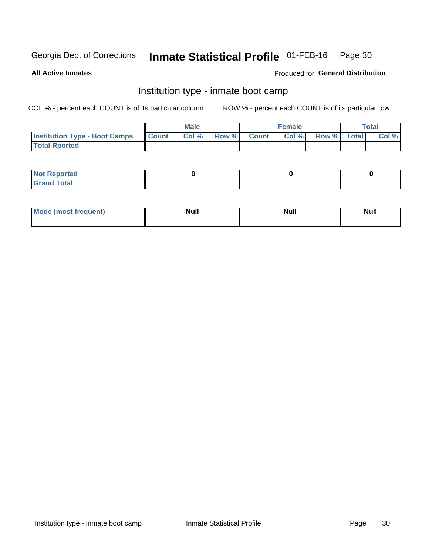#### Inmate Statistical Profile 01-FEB-16 Page 30

**All Active Inmates** 

### Produced for General Distribution

# Institution type - inmate boot camp

COL % - percent each COUNT is of its particular column

|                                      |                  | <b>Male</b> |              |              | <b>Female</b> |             | <b>Total</b> |
|--------------------------------------|------------------|-------------|--------------|--------------|---------------|-------------|--------------|
| <b>Institution Type - Boot Camps</b> | <b>I</b> Count I | Col %       | <b>Row %</b> | <b>Count</b> | Col %         | Row % Total | Col %        |
| <b>Total Rported</b>                 |                  |             |              |              |               |             |              |

| <b>Not Reported</b>            |  |  |
|--------------------------------|--|--|
| <b>Total</b><br>C <sub>r</sub> |  |  |

| Mod<br>uamo | Nul.<br>$- - - - - -$ | <b>Null</b> | . .<br>uu.<br>------ |
|-------------|-----------------------|-------------|----------------------|
|             |                       |             |                      |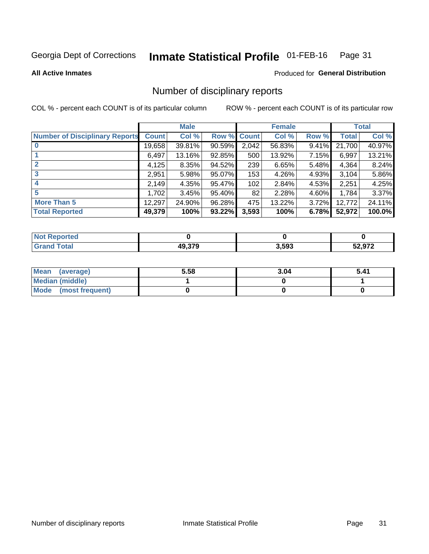#### Inmate Statistical Profile 01-FEB-16 Page 31

**All Active Inmates** 

### **Produced for General Distribution**

# Number of disciplinary reports

COL % - percent each COUNT is of its particular column

|                                       |              | <b>Male</b> |             | <b>Female</b> |        |       | <b>Total</b> |        |
|---------------------------------------|--------------|-------------|-------------|---------------|--------|-------|--------------|--------|
| <b>Number of Disciplinary Reports</b> | <b>Count</b> | Col %       | Row % Count |               | Col %  | Row % | Total        | Col %  |
| $\bf{0}$                              | 19,658       | 39.81%      | 90.59%      | 2,042         | 56.83% | 9.41% | 21,700       | 40.97% |
|                                       | 6,497        | 13.16%      | 92.85%      | 500           | 13.92% | 7.15% | 6,997        | 13.21% |
| $\mathbf{2}$                          | 4,125        | 8.35%       | 94.52%      | 239           | 6.65%  | 5.48% | 4,364        | 8.24%  |
| 3                                     | 2,951        | 5.98%       | 95.07%      | 153           | 4.26%  | 4.93% | 3,104        | 5.86%  |
|                                       | 2,149        | 4.35%       | 95.47%      | 102           | 2.84%  | 4.53% | 2,251        | 4.25%  |
| 5                                     | 1.7021       | 3.45%       | 95.40%      | 82            | 2.28%  | 4.60% | 1,784        | 3.37%  |
| <b>More Than 5</b>                    | 12,297       | 24.90%      | 96.28%      | 475           | 13.22% | 3.72% | 12,772       | 24.11% |
| <b>Total Reported</b>                 | 49,379       | 100%        | 93.22%      | 3,593         | 100%   | 6.78% | 52,972       | 100.0% |

| <b>oorted</b><br>וחש |        |       |        |
|----------------------|--------|-------|--------|
| Total                | 19.379 | 3,593 | 52,972 |

| Mean (average)         | 5.58 | 3.04 | 5.41 |
|------------------------|------|------|------|
| <b>Median (middle)</b> |      |      |      |
| Mode (most frequent)   |      |      |      |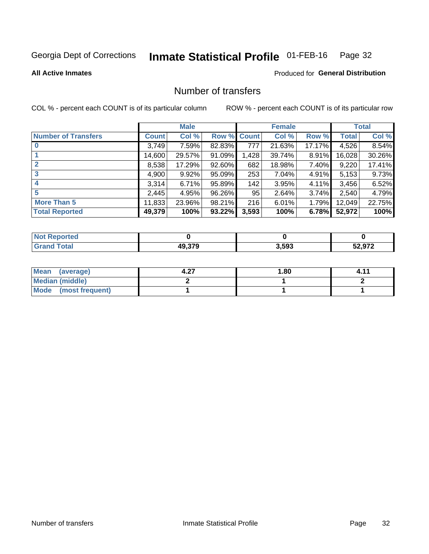#### Inmate Statistical Profile 01-FEB-16 Page 32

### **All Active Inmates**

### **Produced for General Distribution**

# Number of transfers

COL % - percent each COUNT is of its particular column

|                            | <b>Male</b>  |          | <b>Female</b> |              |        | <b>Total</b> |              |        |
|----------------------------|--------------|----------|---------------|--------------|--------|--------------|--------------|--------|
| <b>Number of Transfers</b> | <b>Count</b> | Col %    | Row %         | <b>Count</b> | Col %  | Row %        | <b>Total</b> | Col %  |
|                            | 3,749        | 7.59%    | 82.83%        | 777          | 21.63% | 17.17%       | 4,526        | 8.54%  |
|                            | 14,600       | 29.57%   | 91.09%        | 1,428        | 39.74% | $8.91\%$     | 16,028       | 30.26% |
| $\mathbf{2}$               | 8,538        | 17.29%   | 92.60%        | 682          | 18.98% | 7.40%        | 9,220        | 17.41% |
| 3                          | 4,900        | $9.92\%$ | 95.09%        | 253          | 7.04%  | $4.91\%$     | 5,153        | 9.73%  |
| 4                          | 3,314        | 6.71%    | 95.89%        | 142          | 3.95%  | $4.11\%$     | 3,456        | 6.52%  |
| 5                          | 2,445        | 4.95%    | 96.26%        | 95           | 2.64%  | 3.74%        | 2,540        | 4.79%  |
| <b>More Than 5</b>         | 11,833       | 23.96%   | 98.21%        | 216          | 6.01%  | $1.79\%$     | 12,049       | 22.75% |
| <b>Total Reported</b>      | 49,379       | 100%     | 93.22%        | 3,593        | 100%   | 6.78%        | 52,972       | 100%   |

| Reported<br>NOT I |        |       |        |
|-------------------|--------|-------|--------|
| Total             | 49.379 | 3,593 | 52 Q72 |

| Mean (average)         | דר | 1.80 | $4.1^{\prime}$ |
|------------------------|----|------|----------------|
| <b>Median (middle)</b> |    |      |                |
| Mode (most frequent)   |    |      |                |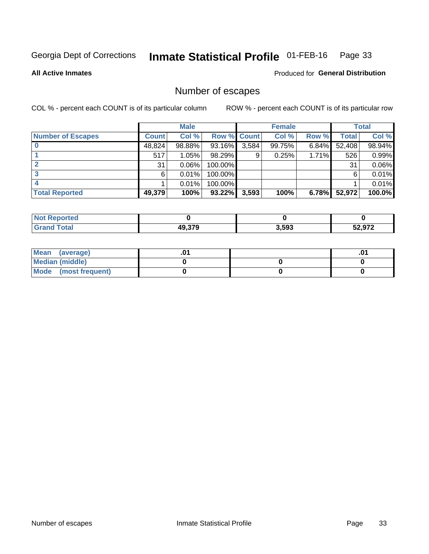#### Inmate Statistical Profile 01-FEB-16 Page 33

**All Active Inmates** 

Produced for General Distribution

# Number of escapes

COL % - percent each COUNT is of its particular column

|                          | <b>Male</b>  |        | <b>Female</b> |       |        | <b>Total</b> |        |        |
|--------------------------|--------------|--------|---------------|-------|--------|--------------|--------|--------|
| <b>Number of Escapes</b> | <b>Count</b> | Col %  | Row % Count   |       | Col %  | Row %        | Total  | Col %  |
|                          | 48,824       | 98.88% | 93.16%        | 3,584 | 99.75% | $6.84\%$     | 52,408 | 98.94% |
|                          | 517          | 1.05%  | 98.29%        | 9     | 0.25%  | 1.71%        | 526    | 0.99%  |
|                          | 31           | 0.06%  | 100.00%       |       |        |              | 31     | 0.06%  |
|                          | 6            | 0.01%  | $100.00\%$    |       |        |              | 6      | 0.01%  |
|                          |              | 0.01%  | 100.00%       |       |        |              |        | 0.01%  |
| <b>Total Reported</b>    | 49,379       | 100%   | 93.22%        | 3,593 | 100%   | 6.78%        | 52,972 | 100.0% |

| prted        |                         |       |        |
|--------------|-------------------------|-------|--------|
| <b>Total</b> | <b>10 270</b><br>43.373 | 3,593 | רדה ה־ |

| Mean<br>(average)    |  | .0 |
|----------------------|--|----|
| Median (middle)      |  |    |
| Mode (most frequent) |  |    |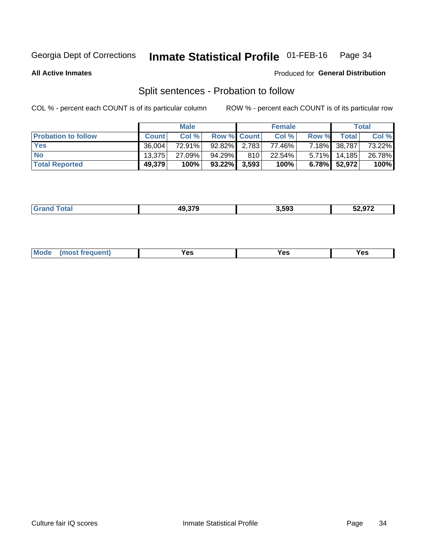#### Inmate Statistical Profile 01-FEB-16 Page 34

**All Active Inmates** 

### Produced for General Distribution

# Split sentences - Probation to follow

COL % - percent each COUNT is of its particular column

|                            | <b>Male</b>  |        |                    | <b>Female</b> |           |       | <b>Total</b>    |        |
|----------------------------|--------------|--------|--------------------|---------------|-----------|-------|-----------------|--------|
| <b>Probation to follow</b> | <b>Count</b> | Col%   | <b>Row % Count</b> |               | Col %     | Row % | <b>Total</b>    | Col %  |
| <b>Yes</b>                 | 36.004       | 72.91% | 92.82% 2.783       |               | 77.46%    |       | 7.18% 38,787    | 73.22% |
| <b>No</b>                  | 13.375       | 27.09% | 94.29%             | 810           | $22.54\%$ |       | $5.71\%$ 14,185 | 26.78% |
| <b>Total Reported</b>      | 49,379       | 100%   | $93.22\%$ 3,593    |               | 100%      |       | 6.78% 52,972    | 100%   |

| ________ | 10 270 | 3.593 | $\sim$ $\sim$ $\sim$<br>- 14<br>- - - |
|----------|--------|-------|---------------------------------------|
|          |        |       |                                       |

| $Moo$<br>requent<br>′es<br>Yes<br><b>YAC</b><br>. |
|---------------------------------------------------|
|---------------------------------------------------|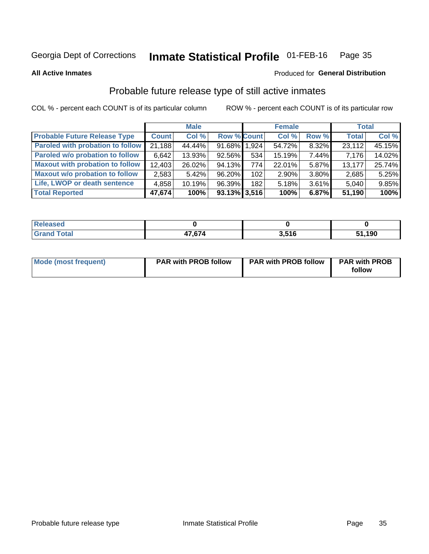#### Inmate Statistical Profile 01-FEB-16 Page 35

**All Active Inmates** 

### Produced for General Distribution

# Probable future release type of still active inmates

COL % - percent each COUNT is of its particular column

|                                         |              | <b>Male</b> |                    |     | <b>Female</b> |       | <b>Total</b> |        |
|-----------------------------------------|--------------|-------------|--------------------|-----|---------------|-------|--------------|--------|
| <b>Probable Future Release Type</b>     | <b>Count</b> | Col %       | <b>Row % Count</b> |     | Col %         | Row % | <b>Total</b> | Col %  |
| <b>Paroled with probation to follow</b> | 21,188       | 44.44%      | 91.68% 1,924       |     | 54.72%        | 8.32% | 23,112       | 45.15% |
| Paroled w/o probation to follow         | 6,642        | 13.93%      | 92.56%             | 534 | 15.19%        | 7.44% | 7,176        | 14.02% |
| <b>Maxout with probation to follow</b>  | 12,403       | 26.02%      | 94.13%             | 774 | 22.01%        | 5.87% | 13,177       | 25.74% |
| <b>Maxout w/o probation to follow</b>   | 2,583        | 5.42%       | 96.20%             | 102 | 2.90%         | 3.80% | 2,685        | 5.25%  |
| Life, LWOP or death sentence            | 4,858        | 10.19%      | 96.39%             | 182 | 5.18%         | 3.61% | 5,040        | 9.85%  |
| <b>Total Reported</b>                   | 47,674       | 100%        | $93.13\%$ 3,516    |     | 100%          | 6.87% | 51,190       | 100%   |

| яно          |        |     |      |
|--------------|--------|-----|------|
| <b>cotal</b> | 17 C71 | 546 | ,190 |

| <b>Mode (most frequent)</b> | <b>PAR with PROB follow</b> | <b>PAR with PROB follow</b> | <b>PAR with PROB</b> |
|-----------------------------|-----------------------------|-----------------------------|----------------------|
|                             |                             |                             | follow               |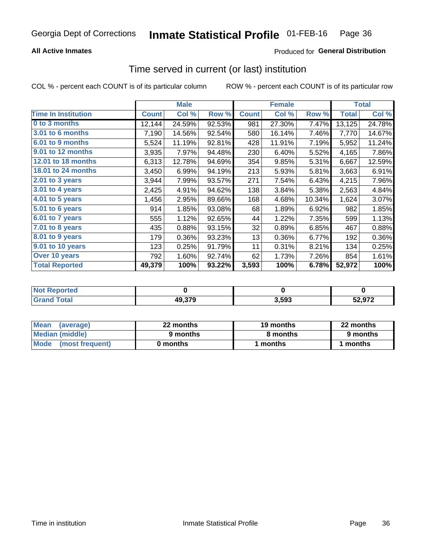### **All Active Inmates**

### Produced for General Distribution

# Time served in current (or last) institution

COL % - percent each COUNT is of its particular column

|                            |              | <b>Male</b> |        |              | <b>Female</b> |        |              | <b>Total</b> |
|----------------------------|--------------|-------------|--------|--------------|---------------|--------|--------------|--------------|
| <b>Time In Institution</b> | <b>Count</b> | Col %       | Row %  | <b>Count</b> | Col %         | Row %  | <b>Total</b> | Col %        |
| 0 to 3 months              | 12,144       | 24.59%      | 92.53% | 981          | 27.30%        | 7.47%  | 13,125       | 24.78%       |
| <b>3.01 to 6 months</b>    | 7,190        | 14.56%      | 92.54% | 580          | 16.14%        | 7.46%  | 7,770        | 14.67%       |
| 6.01 to 9 months           | 5,524        | 11.19%      | 92.81% | 428          | 11.91%        | 7.19%  | 5,952        | 11.24%       |
| 9.01 to 12 months          | 3,935        | 7.97%       | 94.48% | 230          | 6.40%         | 5.52%  | 4,165        | 7.86%        |
| 12.01 to 18 months         | 6,313        | 12.78%      | 94.69% | 354          | 9.85%         | 5.31%  | 6,667        | 12.59%       |
| <b>18.01 to 24 months</b>  | 3,450        | 6.99%       | 94.19% | 213          | 5.93%         | 5.81%  | 3,663        | 6.91%        |
| 2.01 to 3 years            | 3,944        | 7.99%       | 93.57% | 271          | 7.54%         | 6.43%  | 4,215        | 7.96%        |
| 3.01 to 4 years            | 2,425        | 4.91%       | 94.62% | 138          | 3.84%         | 5.38%  | 2,563        | 4.84%        |
| $4.01$ to 5 years          | 1,456        | 2.95%       | 89.66% | 168          | 4.68%         | 10.34% | 1,624        | 3.07%        |
| 5.01 to 6 years            | 914          | 1.85%       | 93.08% | 68           | 1.89%         | 6.92%  | 982          | 1.85%        |
| $6.01$ to 7 years          | 555          | 1.12%       | 92.65% | 44           | 1.22%         | 7.35%  | 599          | 1.13%        |
| 7.01 to 8 years            | 435          | 0.88%       | 93.15% | 32           | 0.89%         | 6.85%  | 467          | 0.88%        |
| $8.01$ to 9 years          | 179          | 0.36%       | 93.23% | 13           | 0.36%         | 6.77%  | 192          | 0.36%        |
| 9.01 to 10 years           | 123          | 0.25%       | 91.79% | 11           | 0.31%         | 8.21%  | 134          | 0.25%        |
| Over 10 years              | 792          | 1.60%       | 92.74% | 62           | 1.73%         | 7.26%  | 854          | 1.61%        |
| <b>Total Reported</b>      | 49,379       | 100%        | 93.22% | 3,593        | 100%          | 6.78%  | 52,972       | 100%         |

| <b>Penorted</b><br><b>Not</b> |        |      |                   |
|-------------------------------|--------|------|-------------------|
| <b>intal</b>                  | 49,379 | .593 | EA 870<br>$\cdot$ |

| <b>Mean</b><br>(average) | 22 months | 19 months | 22 months |
|--------------------------|-----------|-----------|-----------|
| Median (middle)          | 9 months  | 8 months  | 9 months  |
| Mode<br>(most frequent)  | 0 months  | months    | ∖ months  |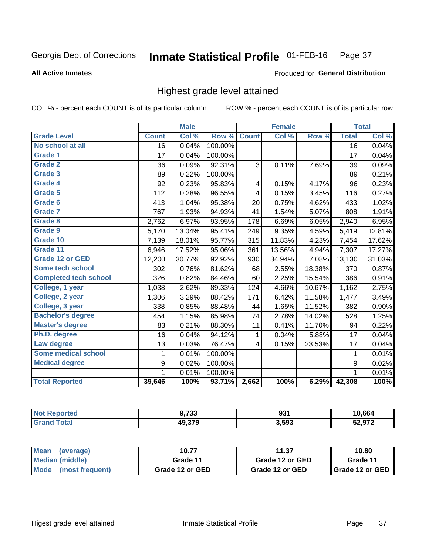#### Inmate Statistical Profile 01-FEB-16 Page 37

#### **All Active Inmates**

### Produced for General Distribution

## Highest grade level attained

COL % - percent each COUNT is of its particular column

|                              |                  | <b>Male</b> |         |                         | <b>Female</b> |        |                 | <b>Total</b> |
|------------------------------|------------------|-------------|---------|-------------------------|---------------|--------|-----------------|--------------|
| <b>Grade Level</b>           | <b>Count</b>     | Col %       | Row %   | <b>Count</b>            | Col %         | Row %  | <b>Total</b>    | Col %        |
| No school at all             | $\overline{16}$  | 0.04%       | 100.00% |                         |               |        | $\overline{16}$ | 0.04%        |
| <b>Grade 1</b>               | 17               | 0.04%       | 100.00% |                         |               |        | 17              | 0.04%        |
| <b>Grade 2</b>               | 36               | 0.09%       | 92.31%  | 3                       | 0.11%         | 7.69%  | 39              | 0.09%        |
| Grade 3                      | 89               | 0.22%       | 100.00% |                         |               |        | 89              | 0.21%        |
| <b>Grade 4</b>               | 92               | 0.23%       | 95.83%  | 4                       | 0.15%         | 4.17%  | 96              | 0.23%        |
| Grade 5                      | 112              | 0.28%       | 96.55%  | $\overline{\mathbf{4}}$ | 0.15%         | 3.45%  | 116             | 0.27%        |
| Grade 6                      | 413              | 1.04%       | 95.38%  | 20                      | 0.75%         | 4.62%  | 433             | 1.02%        |
| <b>Grade 7</b>               | 767              | 1.93%       | 94.93%  | 41                      | 1.54%         | 5.07%  | 808             | 1.91%        |
| Grade 8                      | 2,762            | 6.97%       | 93.95%  | 178                     | 6.69%         | 6.05%  | 2,940           | 6.95%        |
| Grade 9                      | 5,170            | 13.04%      | 95.41%  | 249                     | 9.35%         | 4.59%  | 5,419           | 12.81%       |
| Grade 10                     | 7,139            | 18.01%      | 95.77%  | 315                     | 11.83%        | 4.23%  | 7,454           | 17.62%       |
| Grade 11                     | 6,946            | 17.52%      | 95.06%  | 361                     | 13.56%        | 4.94%  | 7,307           | 17.27%       |
| <b>Grade 12 or GED</b>       | 12,200           | 30.77%      | 92.92%  | 930                     | 34.94%        | 7.08%  | 13,130          | 31.03%       |
| <b>Some tech school</b>      | 302              | 0.76%       | 81.62%  | 68                      | 2.55%         | 18.38% | 370             | 0.87%        |
| <b>Completed tech school</b> | 326              | 0.82%       | 84.46%  | 60                      | 2.25%         | 15.54% | 386             | 0.91%        |
| College, 1 year              | 1,038            | 2.62%       | 89.33%  | 124                     | 4.66%         | 10.67% | 1,162           | 2.75%        |
| College, 2 year              | 1,306            | 3.29%       | 88.42%  | 171                     | 6.42%         | 11.58% | 1,477           | 3.49%        |
| College, 3 year              | 338              | 0.85%       | 88.48%  | 44                      | 1.65%         | 11.52% | 382             | 0.90%        |
| <b>Bachelor's degree</b>     | 454              | 1.15%       | 85.98%  | 74                      | 2.78%         | 14.02% | 528             | 1.25%        |
| <b>Master's degree</b>       | 83               | 0.21%       | 88.30%  | 11                      | 0.41%         | 11.70% | 94              | 0.22%        |
| Ph.D. degree                 | 16               | 0.04%       | 94.12%  | $\mathbf{1}$            | 0.04%         | 5.88%  | 17              | 0.04%        |
| Law degree                   | 13               | 0.03%       | 76.47%  | 4                       | 0.15%         | 23.53% | 17              | 0.04%        |
| <b>Some medical school</b>   | 1                | 0.01%       | 100.00% |                         |               |        | 1               | 0.01%        |
| <b>Medical degree</b>        | $\boldsymbol{9}$ | 0.02%       | 100.00% |                         |               |        | 9               | 0.02%        |
|                              | 1                | 0.01%       | 100.00% |                         |               |        | 1               | 0.01%        |
| <b>Total Reported</b>        | 39,646           | 100%        | 93.71%  | 2,662                   | 100%          | 6.29%  | 42,308          | 100%         |

| ימי<br>נט ו      | no 1<br>. ২২ - | .664 |
|------------------|----------------|------|
| 10.270<br>כ וכ.נ | 3,593          | 0.70 |

| <b>Mean</b><br>(average) | 10.77           | 11.37           | 10.80           |
|--------------------------|-----------------|-----------------|-----------------|
| Median (middle)          | Grade 11        | Grade 12 or GED | Grade 11        |
| Mode (most frequent)     | Grade 12 or GED | Grade 12 or GED | Grade 12 or GED |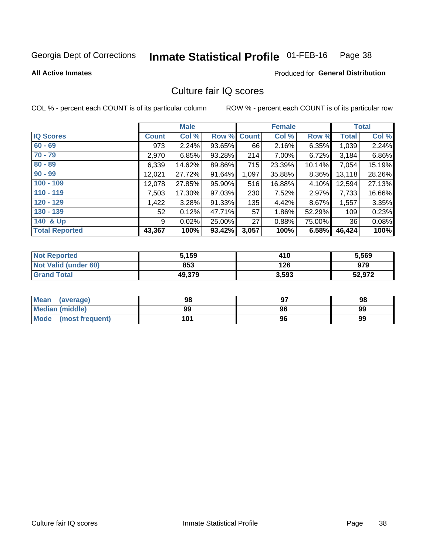#### Inmate Statistical Profile 01-FEB-16 Page 38

**All Active Inmates** 

### **Produced for General Distribution**

## Culture fair IQ scores

COL % - percent each COUNT is of its particular column

|                       |              | <b>Male</b> |             |       | <b>Female</b> |        |              | <b>Total</b> |
|-----------------------|--------------|-------------|-------------|-------|---------------|--------|--------------|--------------|
| <b>IQ Scores</b>      | <b>Count</b> | Col %       | Row % Count |       | Col %         | Row %  | <b>Total</b> | Col %        |
| $60 - 69$             | 973          | 2.24%       | 93.65%      | 66    | 2.16%         | 6.35%  | 1,039        | 2.24%        |
| $70 - 79$             | 2,970        | 6.85%       | 93.28%      | 214   | 7.00%         | 6.72%  | 3,184        | 6.86%        |
| $80 - 89$             | 6,339        | 14.62%      | 89.86%      | 715   | 23.39%        | 10.14% | 7,054        | 15.19%       |
| $90 - 99$             | 12,021       | 27.72%      | 91.64%      | 1,097 | 35.88%        | 8.36%  | 13,118       | 28.26%       |
| $100 - 109$           | 12,078       | 27.85%      | 95.90%      | 516   | 16.88%        | 4.10%  | 12,594       | 27.13%       |
| $110 - 119$           | 7,503        | 17.30%      | 97.03%      | 230   | 7.52%         | 2.97%  | 7,733        | 16.66%       |
| $120 - 129$           | 1,422        | 3.28%       | 91.33%      | 135   | 4.42%         | 8.67%  | 1,557        | 3.35%        |
| $130 - 139$           | 52           | 0.12%       | 47.71%      | 57    | 1.86%         | 52.29% | 109          | 0.23%        |
| 140 & Up              | 9            | 0.02%       | 25.00%      | 27    | 0.88%         | 75.00% | 36           | 0.08%        |
| <b>Total Reported</b> | 43,367       | 100%        | 93.42%      | 3,057 | 100%          | 6.58%  | 46,424       | 100%         |

| <b>Not Reported</b>         | 5,159  | 410   | 5,569  |
|-----------------------------|--------|-------|--------|
| <b>Not Valid (under 60)</b> | 853    | 126   | 979    |
| <b>Grand Total</b>          | 49,379 | 3,593 | 52,972 |

| Mean<br>(average)       | 98  |    | 98 |
|-------------------------|-----|----|----|
| Median (middle)         | 99  | 96 | 99 |
| Mode<br>(most frequent) | 101 | 96 | 99 |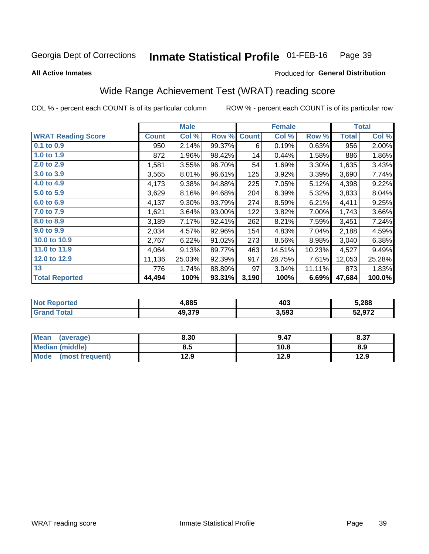#### Inmate Statistical Profile 01-FEB-16 Page 39

**All Active Inmates** 

## Produced for General Distribution

# Wide Range Achievement Test (WRAT) reading score

COL % - percent each COUNT is of its particular column

|                           |              | <b>Male</b> |        |              | <b>Female</b> |        |              | <b>Total</b> |
|---------------------------|--------------|-------------|--------|--------------|---------------|--------|--------------|--------------|
| <b>WRAT Reading Score</b> | <b>Count</b> | Col %       | Row %  | <b>Count</b> | Col %         | Row %  | <b>Total</b> | Col %        |
| $0.1$ to $0.9$            | 950          | 2.14%       | 99.37% | 6            | 0.19%         | 0.63%  | 956          | 2.00%        |
| 1.0 to 1.9                | 872          | 1.96%       | 98.42% | 14           | 0.44%         | 1.58%  | 886          | 1.86%        |
| 2.0 to 2.9                | 1,581        | 3.55%       | 96.70% | 54           | 1.69%         | 3.30%  | 1,635        | 3.43%        |
| 3.0 to 3.9                | 3,565        | 8.01%       | 96.61% | 125          | 3.92%         | 3.39%  | 3,690        | 7.74%        |
| 4.0 to 4.9                | 4,173        | 9.38%       | 94.88% | 225          | 7.05%         | 5.12%  | 4,398        | 9.22%        |
| 5.0 to 5.9                | 3,629        | 8.16%       | 94.68% | 204          | 6.39%         | 5.32%  | 3,833        | 8.04%        |
| 6.0 to 6.9                | 4,137        | 9.30%       | 93.79% | 274          | 8.59%         | 6.21%  | 4,411        | 9.25%        |
| 7.0 to 7.9                | 1,621        | 3.64%       | 93.00% | 122          | 3.82%         | 7.00%  | 1,743        | 3.66%        |
| 8.0 to 8.9                | 3,189        | 7.17%       | 92.41% | 262          | 8.21%         | 7.59%  | 3,451        | 7.24%        |
| 9.0 to 9.9                | 2,034        | 4.57%       | 92.96% | 154          | 4.83%         | 7.04%  | 2,188        | 4.59%        |
| 10.0 to 10.9              | 2,767        | 6.22%       | 91.02% | 273          | 8.56%         | 8.98%  | 3,040        | 6.38%        |
| 11.0 to 11.9              | 4,064        | 9.13%       | 89.77% | 463          | 14.51%        | 10.23% | 4,527        | 9.49%        |
| 12.0 to 12.9              | 11,136       | 25.03%      | 92.39% | 917          | 28.75%        | 7.61%  | 12,053       | 25.28%       |
| 13                        | 776          | 1.74%       | 88.89% | 97           | 3.04%         | 11.11% | 873          | 1.83%        |
| <b>Total Reported</b>     | 44,494       | 100%        | 93.31% | 3,190        | 100%          | 6.69%  | 47,684       | 100.0%       |

| onteo | 4,885  | 403   | 5,288             |
|-------|--------|-------|-------------------|
| otal  | 49.379 | 3,593 | 52 Q72<br>JZ.JI Z |

| <b>Mean</b><br>(average) | 8.30 | 9.47 | 8.37 |
|--------------------------|------|------|------|
| <b>Median (middle)</b>   | 8.5  | 10.8 | 8.9  |
| Mode (most frequent)     | 12.9 | 12.9 | 12.9 |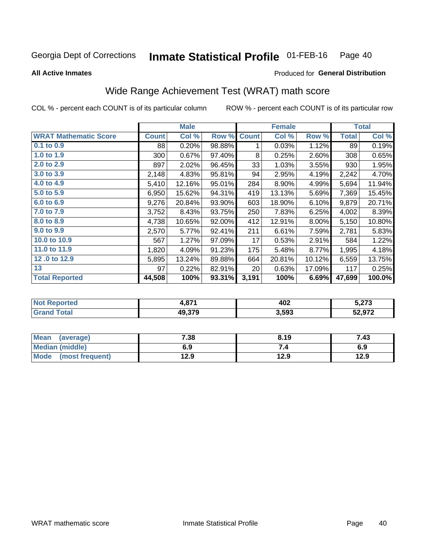#### Inmate Statistical Profile 01-FEB-16 Page 40

#### **All Active Inmates**

## Produced for General Distribution

# Wide Range Achievement Test (WRAT) math score

COL % - percent each COUNT is of its particular column

|                              |              | <b>Male</b> |        |              | <b>Female</b> |        |              | <b>Total</b> |
|------------------------------|--------------|-------------|--------|--------------|---------------|--------|--------------|--------------|
| <b>WRAT Mathematic Score</b> | <b>Count</b> | Col %       | Row %  | <b>Count</b> | Col %         | Row %  | <b>Total</b> | Col %        |
| $0.1$ to $0.9$               | 88           | 0.20%       | 98.88% | 1            | 0.03%         | 1.12%  | 89           | 0.19%        |
| 1.0 to 1.9                   | 300          | 0.67%       | 97.40% | 8            | 0.25%         | 2.60%  | 308          | 0.65%        |
| 2.0 to 2.9                   | 897          | 2.02%       | 96.45% | 33           | 1.03%         | 3.55%  | 930          | 1.95%        |
| 3.0 to 3.9                   | 2,148        | 4.83%       | 95.81% | 94           | 2.95%         | 4.19%  | 2,242        | 4.70%        |
| 4.0 to 4.9                   | 5,410        | 12.16%      | 95.01% | 284          | 8.90%         | 4.99%  | 5,694        | 11.94%       |
| 5.0 to 5.9                   | 6,950        | 15.62%      | 94.31% | 419          | 13.13%        | 5.69%  | 7,369        | 15.45%       |
| 6.0 to 6.9                   | 9,276        | 20.84%      | 93.90% | 603          | 18.90%        | 6.10%  | 9,879        | 20.71%       |
| 7.0 to 7.9                   | 3,752        | 8.43%       | 93.75% | 250          | 7.83%         | 6.25%  | 4,002        | 8.39%        |
| 8.0 to 8.9                   | 4,738        | 10.65%      | 92.00% | 412          | 12.91%        | 8.00%  | 5,150        | 10.80%       |
| 9.0 to 9.9                   | 2,570        | 5.77%       | 92.41% | 211          | 6.61%         | 7.59%  | 2,781        | 5.83%        |
| 10.0 to 10.9                 | 567          | 1.27%       | 97.09% | 17           | 0.53%         | 2.91%  | 584          | 1.22%        |
| 11.0 to 11.9                 | 1,820        | 4.09%       | 91.23% | 175          | 5.48%         | 8.77%  | 1,995        | 4.18%        |
| 12.0 to 12.9                 | 5,895        | 13.24%      | 89.88% | 664          | 20.81%        | 10.12% | 6,559        | 13.75%       |
| 13                           | 97           | 0.22%       | 82.91% | 20           | 0.63%         | 17.09% | 117          | 0.25%        |
| <b>Total Reported</b>        | 44,508       | 100%        | 93.31% | 3,191        | 100%          | 6.69%  | 47,699       | 100.0%       |
|                              |              |             |        |              |               |        |              |              |

| <b>Reported</b> | 074    | 402   | ^־~    |
|-----------------|--------|-------|--------|
| <b>NO</b>       | I.O 1  |       | 3.ZI J |
| <b>cotal</b>    | 49,379 | 3,593 | 52,972 |

| Mean (average)         | 7.38 | 8.19 | 7.43 |
|------------------------|------|------|------|
| <b>Median (middle)</b> | 6.9  |      | 6.9  |
| Mode (most frequent)   | 12.9 | 12.9 | 12.9 |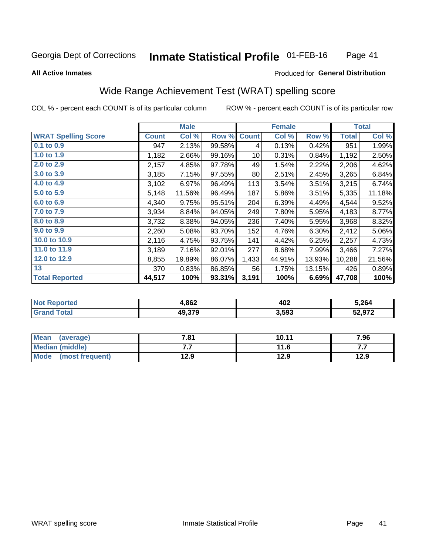#### **Inmate Statistical Profile 01-FEB-16** Page 41

#### **All Active Inmates**

### Produced for General Distribution

# Wide Range Achievement Test (WRAT) spelling score

COL % - percent each COUNT is of its particular column

|                            |              | <b>Male</b> |        |              | <b>Female</b> |          |              | <b>Total</b> |
|----------------------------|--------------|-------------|--------|--------------|---------------|----------|--------------|--------------|
| <b>WRAT Spelling Score</b> | <b>Count</b> | Col %       | Row %  | <b>Count</b> | Col %         | Row %    | <b>Total</b> | Col %        |
| $0.1$ to $0.9$             | 947          | 2.13%       | 99.58% | 4            | 0.13%         | 0.42%    | 951          | 1.99%        |
| 1.0 to 1.9                 | 1,182        | 2.66%       | 99.16% | 10           | 0.31%         | 0.84%    | 1,192        | 2.50%        |
| 2.0 to 2.9                 | 2,157        | 4.85%       | 97.78% | 49           | 1.54%         | 2.22%    | 2,206        | 4.62%        |
| 3.0 to 3.9                 | 3,185        | 7.15%       | 97.55% | 80           | 2.51%         | 2.45%    | 3,265        | 6.84%        |
| 4.0 to 4.9                 | 3,102        | 6.97%       | 96.49% | 113          | 3.54%         | $3.51\%$ | 3,215        | 6.74%        |
| 5.0 to 5.9                 | 5,148        | 11.56%      | 96.49% | 187          | 5.86%         | 3.51%    | 5,335        | 11.18%       |
| 6.0 to 6.9                 | 4,340        | 9.75%       | 95.51% | 204          | 6.39%         | 4.49%    | 4,544        | 9.52%        |
| 7.0 to 7.9                 | 3,934        | 8.84%       | 94.05% | 249          | 7.80%         | 5.95%    | 4,183        | 8.77%        |
| 8.0 to 8.9                 | 3,732        | 8.38%       | 94.05% | 236          | 7.40%         | 5.95%    | 3,968        | 8.32%        |
| 9.0 to 9.9                 | 2,260        | 5.08%       | 93.70% | 152          | 4.76%         | 6.30%    | 2,412        | 5.06%        |
| 10.0 to 10.9               | 2,116        | 4.75%       | 93.75% | 141          | 4.42%         | 6.25%    | 2,257        | 4.73%        |
| 11.0 to 11.9               | 3,189        | 7.16%       | 92.01% | 277          | 8.68%         | 7.99%    | 3,466        | 7.27%        |
| 12.0 to 12.9               | 8,855        | 19.89%      | 86.07% | 1,433        | 44.91%        | 13.93%   | 10,288       | 21.56%       |
| 13                         | 370          | 0.83%       | 86.85% | 56           | 1.75%         | 13.15%   | 426          | 0.89%        |
| <b>Total Reported</b>      | 44,517       | 100%        | 93.31% | 3,191        | 100%          | 6.69%    | 47,708       | 100%         |

| "Tet.<br>NO | 4,862  | 402   | 5,264  |
|-------------|--------|-------|--------|
|             | 49,379 | 3,593 | 52.972 |

| <b>Mean</b><br>(average) | 7.81 | 10.11 | 7.96 |
|--------------------------|------|-------|------|
| <b>Median (middle)</b>   | .    | 11.6  | .    |
| Mode (most frequent)     | 12.9 | 12.9  | 12.9 |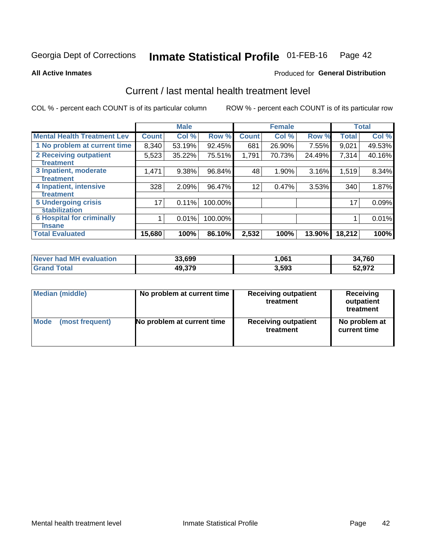#### Inmate Statistical Profile 01-FEB-16 Page 42

**All Active Inmates** 

### **Produced for General Distribution**

## Current / last mental health treatment level

COL % - percent each COUNT is of its particular column

|                                    |              | <b>Male</b> |         |              | <b>Female</b> |        |              | <b>Total</b> |
|------------------------------------|--------------|-------------|---------|--------------|---------------|--------|--------------|--------------|
| <b>Mental Health Treatment Lev</b> | <b>Count</b> | Col %       | Row %   | <b>Count</b> | Col %         | Row %  | <b>Total</b> | Col %        |
| 1 No problem at current time       | 8,340        | 53.19%      | 92.45%  | 681          | 26.90%        | 7.55%  | 9,021        | 49.53%       |
| 2 Receiving outpatient             | 5,523        | 35.22%      | 75.51%  | 1,791        | 70.73%        | 24.49% | 7,314        | 40.16%       |
| <b>Treatment</b>                   |              |             |         |              |               |        |              |              |
| 3 Inpatient, moderate              | 1,471        | 9.38%       | 96.84%  | 48           | 1.90%         | 3.16%  | 1,519        | 8.34%        |
| Treatment                          |              |             |         |              |               |        |              |              |
| 4 Inpatient, intensive             | 328          | 2.09%       | 96.47%  | 12           | 0.47%         | 3.53%  | 340          | 1.87%        |
| <b>Treatment</b>                   |              |             |         |              |               |        |              |              |
| <b>5 Undergoing crisis</b>         | 17           | 0.11%       | 100.00% |              |               |        | 17           | 0.09%        |
| <b>stabilization</b>               |              |             |         |              |               |        |              |              |
| <b>6 Hospital for criminally</b>   |              | 0.01%       | 100.00% |              |               |        |              | 0.01%        |
| <b>Tinsane</b>                     |              |             |         |              |               |        |              |              |
| <b>Total Evaluated</b>             | 15,680       | 100%        | 86.10%  | 2,532        | 100%          | 13.90% | 18,212       | 100%         |

| Never had MH evaluation | 33,699 | .,061 | 34,760 |
|-------------------------|--------|-------|--------|
| Total<br>Grand          | 49,379 | 3,593 | 52,972 |

| Median (middle) | No problem at current time | <b>Receiving outpatient</b><br>treatment | <b>Receiving</b><br>outpatient<br>treatment |  |  |
|-----------------|----------------------------|------------------------------------------|---------------------------------------------|--|--|
| <b>Mode</b>     | No problem at current time | <b>Receiving outpatient</b>              | No problem at                               |  |  |
| (most frequent) |                            | treatment                                | current time                                |  |  |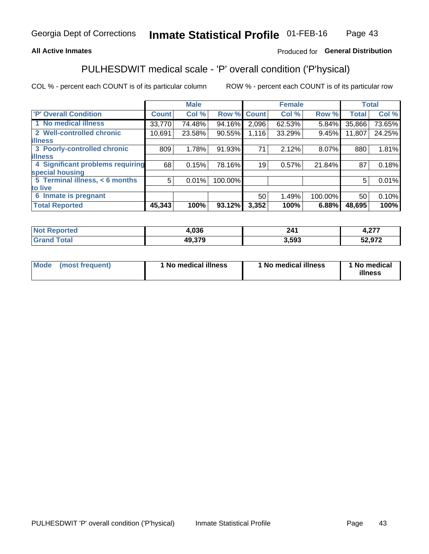## **All Active Inmates**

## Produced for General Distribution

# PULHESDWIT medical scale - 'P' overall condition ('P'hysical)

COL % - percent each COUNT is of its particular column

|                                  |              | <b>Male</b> |         |              | <b>Female</b> |         |              | <b>Total</b> |
|----------------------------------|--------------|-------------|---------|--------------|---------------|---------|--------------|--------------|
| 'P' Overall Condition            | <b>Count</b> | Col %       | Row %   | <b>Count</b> | Col %         | Row %   | <b>Total</b> | Col %        |
| 1 No medical illness             | 33,770       | 74.48%      | 94.16%  | 2,096        | 62.53%        | 5.84%   | 35,866       | 73.65%       |
| 2 Well-controlled chronic        | 10,691       | 23.58%      | 90.55%  | 1,116        | 33.29%        | 9.45%   | 11,807       | 24.25%       |
| <b>illness</b>                   |              |             |         |              |               |         |              |              |
| 3 Poorly-controlled chronic      | 809          | 1.78%       | 91.93%  | 71           | 2.12%         | 8.07%   | 880          | 1.81%        |
| <b>illness</b>                   |              |             |         |              |               |         |              |              |
| 4 Significant problems requiring | 68           | 0.15%       | 78.16%  | 19           | 0.57%         | 21.84%  | 87           | 0.18%        |
| special housing                  |              |             |         |              |               |         |              |              |
| 5 Terminal illness, < 6 months   | 5            | 0.01%       | 100.00% |              |               |         | 5            | 0.01%        |
| to live                          |              |             |         |              |               |         |              |              |
| 6 Inmate is pregnant             |              |             |         | 50           | 1.49%         | 100.00% | 50           | 0.10%        |
| <b>Total Reported</b>            | 45,343       | 100%        | 93.12%  | 3,352        | 100%          | 6.88%   | 48,695       | 100%         |

| тео | 02C<br>r.vju  | <b>914</b> | $\sim$<br>.                           |
|-----|---------------|------------|---------------------------------------|
|     | ,, 570<br>лι. | 593        | ra aya<br>. .<br>$\sim$ Ji and $\sim$ |

| Mode | (most frequent) | 1 No medical illness | 1 No medical illness | 1 No medical<br>illness |
|------|-----------------|----------------------|----------------------|-------------------------|
|------|-----------------|----------------------|----------------------|-------------------------|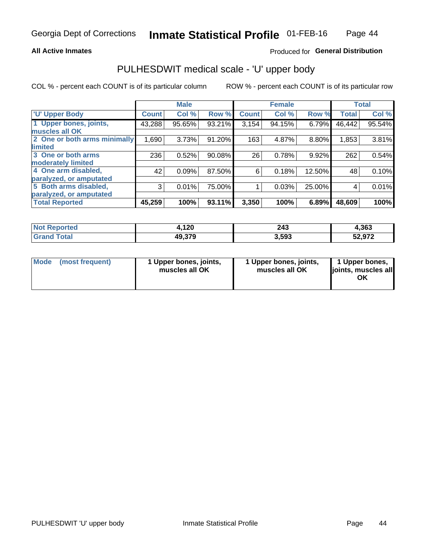### **All Active Inmates**

## Produced for General Distribution

# PULHESDWIT medical scale - 'U' upper body

COL % - percent each COUNT is of its particular column

|                              |                    | <b>Male</b> |        |              | <b>Female</b> |        |              | <b>Total</b> |
|------------------------------|--------------------|-------------|--------|--------------|---------------|--------|--------------|--------------|
| <b>U' Upper Body</b>         | Count <sup>1</sup> | Col %       | Row %  | <b>Count</b> | Col %         | Row %  | <b>Total</b> | Col %        |
| 1 Upper bones, joints,       | 43,288             | 95.65%      | 93.21% | 3,154        | 94.15%        | 6.79%  | 46,442       | 95.54%       |
| muscles all OK               |                    |             |        |              |               |        |              |              |
| 2 One or both arms minimally | 1,690              | 3.73%       | 91.20% | 163          | 4.87%         | 8.80%  | 1,853        | 3.81%        |
| limited                      |                    |             |        |              |               |        |              |              |
| 3 One or both arms           | 236                | 0.52%       | 90.08% | 26           | 0.78%         | 9.92%  | 262          | 0.54%        |
| <b>moderately limited</b>    |                    |             |        |              |               |        |              |              |
| 4 One arm disabled,          | 42                 | 0.09%       | 87.50% | 6            | 0.18%         | 12.50% | 48           | 0.10%        |
| paralyzed, or amputated      |                    |             |        |              |               |        |              |              |
| 5 Both arms disabled,        | 3                  | 0.01%       | 75.00% |              | 0.03%         | 25.00% | 4            | 0.01%        |
| paralyzed, or amputated      |                    |             |        |              |               |        |              |              |
| <b>Total Reported</b>        | 45,259             | 100%        | 93.11% | 3,350        | 100%          | 6.89%  | 48,609       | 100%         |

| <b>Not Reported</b>          | 4,120  | 243   | 4,363  |
|------------------------------|--------|-------|--------|
| <b>Total</b><br><b>Grand</b> | 49,379 | 3,593 | 52,972 |

| Mode (most frequent) | 1 Upper bones, joints,<br>muscles all OK | 1 Upper bones, joints,<br>muscles all OK | 1 Upper bones,<br>joints, muscles all<br>ΟK |
|----------------------|------------------------------------------|------------------------------------------|---------------------------------------------|
|----------------------|------------------------------------------|------------------------------------------|---------------------------------------------|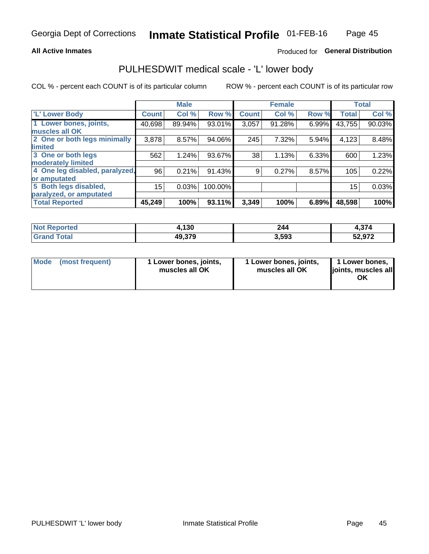### **All Active Inmates**

## Produced for General Distribution

## PULHESDWIT medical scale - 'L' lower body

COL % - percent each COUNT is of its particular column

|                                |                 | <b>Male</b> |         |              | <b>Female</b> |       |              | <b>Total</b> |
|--------------------------------|-----------------|-------------|---------|--------------|---------------|-------|--------------|--------------|
| 'L' Lower Body                 | <b>Count</b>    | Col %       | Row %   | <b>Count</b> | Col %         | Row % | <b>Total</b> | Col %        |
| 1 Lower bones, joints,         | 40,698          | 89.94%      | 93.01%  | 3,057        | 91.28%        | 6.99% | 43,755       | 90.03%       |
| muscles all OK                 |                 |             |         |              |               |       |              |              |
| 2 One or both legs minimally   | 3,878           | 8.57%       | 94.06%  | 245          | 7.32%         | 5.94% | 4,123        | 8.48%        |
| limited                        |                 |             |         |              |               |       |              |              |
| 3 One or both legs             | 562             | 1.24%       | 93.67%  | 38           | 1.13%         | 6.33% | 600          | 1.23%        |
| moderately limited             |                 |             |         |              |               |       |              |              |
| 4 One leg disabled, paralyzed, | 96              | 0.21%       | 91.43%  | 9            | 0.27%         | 8.57% | 105          | 0.22%        |
| or amputated                   |                 |             |         |              |               |       |              |              |
| 5 Both legs disabled,          | 15 <sub>2</sub> | 0.03%       | 100.00% |              |               |       | 15           | 0.03%        |
| paralyzed, or amputated        |                 |             |         |              |               |       |              |              |
| <b>Total Reported</b>          | 45,249          | 100%        | 93.11%  | 3,349        | 100%          | 6.89% | 48,598       | 100%         |

| <b>Not Reported</b>          | 4,130  | 244   | $\sim$<br>1.J/4 |
|------------------------------|--------|-------|-----------------|
| <b>Total</b><br><b>Grand</b> | 49,379 | 3,593 | 52,972          |

| Mode | (most frequent) | 1 Lower bones, joints,<br>muscles all OK | I Lower bones, joints,<br>muscles all OK | 1 Lower bones,<br>joints, muscles all<br>ΟK |
|------|-----------------|------------------------------------------|------------------------------------------|---------------------------------------------|
|------|-----------------|------------------------------------------|------------------------------------------|---------------------------------------------|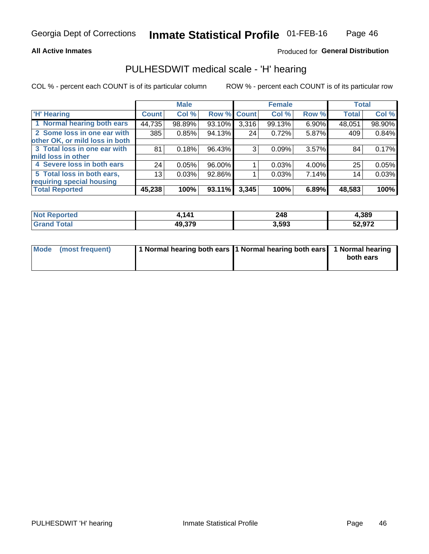### **All Active Inmates**

## Produced for General Distribution

## PULHESDWIT medical scale - 'H' hearing

COL % - percent each COUNT is of its particular column

|                                |              | <b>Male</b> |             |       | <b>Female</b> |          | <b>Total</b> |        |
|--------------------------------|--------------|-------------|-------------|-------|---------------|----------|--------------|--------|
| <b>'H' Hearing</b>             | <b>Count</b> | Col %       | Row % Count |       | Col %         | Row %    | <b>Total</b> | Col %  |
| 1 Normal hearing both ears     | 44,735       | 98.89%      | 93.10%      | 3,316 | 99.13%        | 6.90%    | 48,051       | 98.90% |
| 2 Some loss in one ear with    | 385          | 0.85%       | 94.13%      | 24    | 0.72%         | 5.87%    | 409          | 0.84%  |
| other OK, or mild loss in both |              |             |             |       |               |          |              |        |
| 3 Total loss in one ear with   | 81           | 0.18%       | 96.43%      | 3     | 0.09%         | $3.57\%$ | 84           | 0.17%  |
| mild loss in other             |              |             |             |       |               |          |              |        |
| 4 Severe loss in both ears     | 24           | 0.05%       | 96.00%      |       | 0.03%         | 4.00%    | 25           | 0.05%  |
| 5 Total loss in both ears,     | 13           | 0.03%       | 92.86%      |       | 0.03%         | 7.14%    | 14           | 0.03%  |
| requiring special housing      |              |             |             |       |               |          |              |        |
| <b>Total Reported</b>          | 45,238       | 100%        | 93.11%      | 3,345 | 100%          | 6.89%    | 48,583       | 100%   |

| <b>Not Reno</b><br>ాorted | $\overline{A}$<br>. | 248   | 1,389  |
|---------------------------|---------------------|-------|--------|
| ™otal                     | 49,379              | 3,593 | 52,972 |

| Mode (most frequent) | 1 Normal hearing both ears 11 Normal hearing both ears 1 Normal hearing | both ears |
|----------------------|-------------------------------------------------------------------------|-----------|
|                      |                                                                         |           |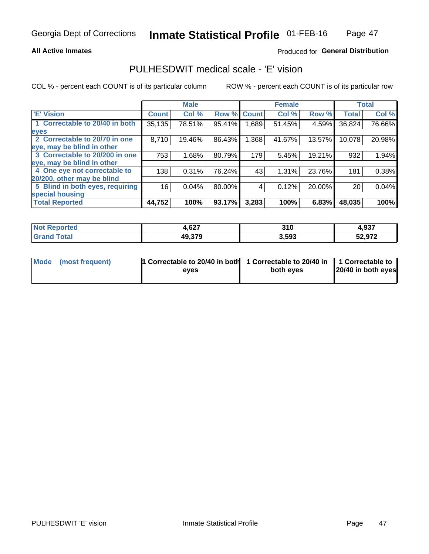### **All Active Inmates**

## Produced for General Distribution

## PULHESDWIT medical scale - 'E' vision

COL % - percent each COUNT is of its particular column

|                                 |              | <b>Male</b> |        |              | <b>Female</b> |        |              | <b>Total</b> |
|---------------------------------|--------------|-------------|--------|--------------|---------------|--------|--------------|--------------|
| <b>E' Vision</b>                | <b>Count</b> | Col %       | Row %  | <b>Count</b> | Col %         | Row %  | <b>Total</b> | Col %        |
| 1 Correctable to 20/40 in both  | 35,135       | 78.51%      | 95.41% | .689         | 51.45%        | 4.59%  | 36,824       | 76.66%       |
| eyes                            |              |             |        |              |               |        |              |              |
| 2 Correctable to 20/70 in one   | 8,710        | 19.46%      | 86.43% | 1,368        | 41.67%        | 13.57% | 10,078       | 20.98%       |
| eye, may be blind in other      |              |             |        |              |               |        |              |              |
| 3 Correctable to 20/200 in one  | 753          | 1.68%       | 80.79% | 179          | 5.45%         | 19.21% | 932          | 1.94%        |
| eye, may be blind in other      |              |             |        |              |               |        |              |              |
| 4 One eye not correctable to    | 138          | 0.31%       | 76.24% | 43           | 1.31%         | 23.76% | 181          | 0.38%        |
| 20/200, other may be blind      |              |             |        |              |               |        |              |              |
| 5 Blind in both eyes, requiring | 16           | 0.04%       | 80.00% | 4            | 0.12%         | 20.00% | 20           | 0.04%        |
| special housing                 |              |             |        |              |               |        |              |              |
| <b>Total Reported</b>           | 44,752       | 100%        | 93.17% | 3,283        | 100%          | 6.83%  | 48,035       | 100%         |

| <b>Not Reported</b> | 627<br>4.0ZI | 24C<br>J I U | 4,937  |
|---------------------|--------------|--------------|--------|
| <b>Tota</b>         | 49,379       | 3,593        | 52,972 |

| Mode (most frequent) | 1 Correctable to 20/40 in both<br>eves | 1 Correctable to 20/40 in   1 Correctable to  <br>both eves | 20/40 in both eyes |
|----------------------|----------------------------------------|-------------------------------------------------------------|--------------------|
|                      |                                        |                                                             |                    |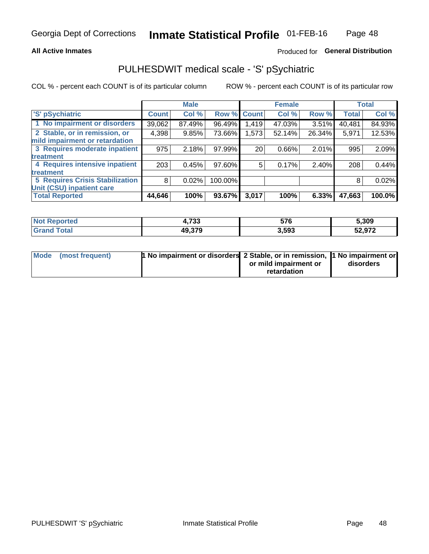### **All Active Inmates**

## Produced for General Distribution

# PULHESDWIT medical scale - 'S' pSychiatric

COL % - percent each COUNT is of its particular column

|                                        |              | <b>Male</b> |         |              | <b>Female</b> |          |              | <b>Total</b> |
|----------------------------------------|--------------|-------------|---------|--------------|---------------|----------|--------------|--------------|
| 'S' pSychiatric                        | <b>Count</b> | Col %       | Row %   | <b>Count</b> | Col %         | Row %    | <b>Total</b> | Col %        |
| 1 No impairment or disorders           | 39,062       | 87.49%      | 96.49%  | 1,419        | 47.03%        | 3.51%    | 40,481       | 84.93%       |
| 2 Stable, or in remission, or          | 4,398        | 9.85%       | 73.66%  | 1,573        | 52.14%        | 26.34%   | 5,971        | 12.53%       |
| mild impairment or retardation         |              |             |         |              |               |          |              |              |
| 3 Requires moderate inpatient          | 975          | 2.18%       | 97.99%  | 20           | 0.66%         | $2.01\%$ | 995          | 2.09%        |
| treatment                              |              |             |         |              |               |          |              |              |
| 4 Requires intensive inpatient         | 203          | 0.45%       | 97.60%  | 5            | 0.17%         | 2.40%    | 208          | 0.44%        |
| treatment                              |              |             |         |              |               |          |              |              |
| <b>5 Requires Crisis Stabilization</b> | 8            | 0.02%       | 100.00% |              |               |          | 8            | 0.02%        |
| Unit (CSU) inpatient care              |              |             |         |              |               |          |              |              |
| <b>Total Reported</b>                  | 44,646       | 100%        | 93.67%  | 3,017        | 100%          | 6.33%    | 47,663       | 100.0%       |

| <b>Not Reported</b>  | 700<br>1,733 | 576   | 5,309             |
|----------------------|--------------|-------|-------------------|
| <b>Total</b><br>Grar | 49,379       | 3,593 | רכם כג<br>32.YI Z |

| Mode | (most frequent) | <b>t No impairment or disorders 2 Stable, or in remission, 1 No impairment or</b> |                       |           |
|------|-----------------|-----------------------------------------------------------------------------------|-----------------------|-----------|
|      |                 |                                                                                   | or mild impairment or | disorders |
|      |                 |                                                                                   | retardation           |           |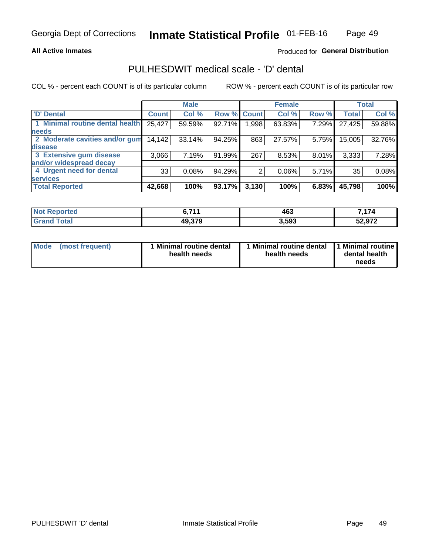### **All Active Inmates**

## Produced for General Distribution

# PULHESDWIT medical scale - 'D' dental

COL % - percent each COUNT is of its particular column

|                                 |              | <b>Male</b> |        |              | <b>Female</b> |          |              | <b>Total</b> |
|---------------------------------|--------------|-------------|--------|--------------|---------------|----------|--------------|--------------|
| <b>D'</b> Dental                | <b>Count</b> | Col %       | Row %  | <b>Count</b> | Col %         | Row %    | <b>Total</b> | Col %        |
| 1 Minimal routine dental health | 25,427       | 59.59%      | 92.71% | .998         | 63.83%        | 7.29%    | 27,425       | 59.88%       |
| <b>needs</b>                    |              |             |        |              |               |          |              |              |
| 2 Moderate cavities and/or gum  | 14,142       | 33.14%      | 94.25% | 863          | 27.57%        | 5.75%    | 15,005       | 32.76%       |
| disease                         |              |             |        |              |               |          |              |              |
| 3 Extensive gum disease         | 3,066        | 7.19%       | 91.99% | 267          | 8.53%         | 8.01%    | 3,333        | 7.28%        |
| and/or widespread decay         |              |             |        |              |               |          |              |              |
| 4 Urgent need for dental        | 33           | 0.08%       | 94.29% | 2            | 0.06%         | $5.71\%$ | 35           | 0.08%        |
| <b>services</b>                 |              |             |        |              |               |          |              |              |
| <b>Total Reported</b>           | 42,668       | 100%        | 93.17% | 3,130        | 100%          | 6.83%    | 45,798       | 100%         |

| Not Reno<br><b>ported</b> | C 744  | 463   | ,174   |
|---------------------------|--------|-------|--------|
| Гоtal                     | 49,379 | 3,593 | 52,972 |

| <b>Mode</b> | (most frequent) | <b>Minimal routine dental</b><br>health needs | 1 Minimal routine dental   1 Minimal routine  <br>health needs | dental health<br>needs |
|-------------|-----------------|-----------------------------------------------|----------------------------------------------------------------|------------------------|
|-------------|-----------------|-----------------------------------------------|----------------------------------------------------------------|------------------------|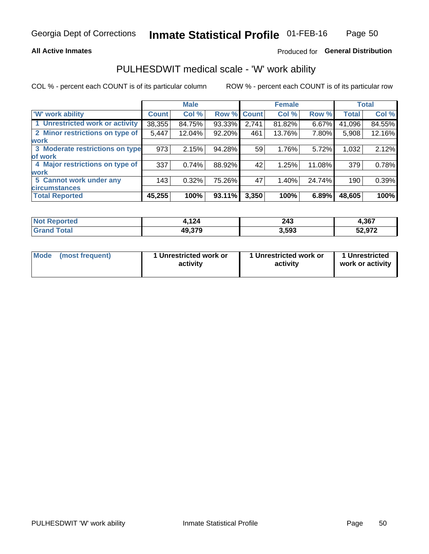### **All Active Inmates**

## Produced for General Distribution

## PULHESDWIT medical scale - 'W' work ability

COL % - percent each COUNT is of its particular column

|                                 |              | <b>Male</b> |        |             | <b>Female</b> |        |              | <b>Total</b> |
|---------------------------------|--------------|-------------|--------|-------------|---------------|--------|--------------|--------------|
| <b>W' work ability</b>          | <b>Count</b> | Col %       |        | Row % Count | Col %         | Row %  | <b>Total</b> | Col %        |
| 1 Unrestricted work or activity | 38,355       | 84.75%      | 93.33% | 2,741       | 81.82%        | 6.67%  | 41,096       | 84.55%       |
| 2 Minor restrictions on type of | 5,447        | 12.04%      | 92.20% | 461         | 13.76%        | 7.80%  | 5,908        | 12.16%       |
| <b>work</b>                     |              |             |        |             |               |        |              |              |
| 3 Moderate restrictions on type | 973          | 2.15%       | 94.28% | 59          | 1.76%         | 5.72%  | 1,032        | 2.12%        |
| lof work                        |              |             |        |             |               |        |              |              |
| 4 Major restrictions on type of | 337          | 0.74%       | 88.92% | 42          | 1.25%         | 11.08% | 379          | 0.78%        |
| <b>work</b>                     |              |             |        |             |               |        |              |              |
| 5 Cannot work under any         | 143          | 0.32%       | 75.26% | 47          | 1.40%         | 24.74% | 190          | 0.39%        |
| <b>circumstances</b>            |              |             |        |             |               |        |              |              |
| <b>Total Reported</b>           | 45,255       | 100%        | 93.11% | 3,350       | 100%          | 6.89%  | 48,605       | 100%         |

| Not R<br><b>Emorted</b> | 121<br>1 Z 4 | つんつ<br>27J<br>$\sim$ | 4,367  |
|-------------------------|--------------|----------------------|--------|
| <b>Total</b>            | 49,379       | 3,593                | 52,972 |

| Mode            | 1 Unrestricted work or | 1 Unrestricted work or | 1 Unrestricted   |
|-----------------|------------------------|------------------------|------------------|
| (most frequent) | activity               | activity               | work or activity |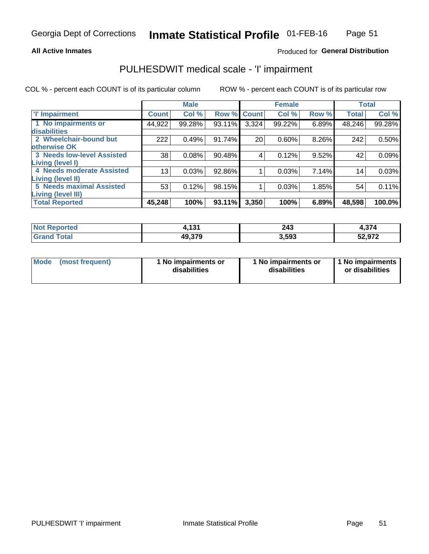### **All Active Inmates**

## Produced for General Distribution

## PULHESDWIT medical scale - 'I' impairment

COL % - percent each COUNT is of its particular column ROW % - percent each COUNT is of its particular row

 $\Gamma$ T **Male** Τ **Female Total** T

| <b>T' Impairment</b>              | <b>Count</b>    | Col %  | Row % Count |       | Col %  | Row % | <b>Total</b> | Col %  |
|-----------------------------------|-----------------|--------|-------------|-------|--------|-------|--------------|--------|
| 1 No impairments or               | 44,922          | 99.28% | 93.11%      | 3,324 | 99.22% | 6.89% | 48,246       | 99.28% |
| disabilities                      |                 |        |             |       |        |       |              |        |
| 2 Wheelchair-bound but            | 222             | 0.49%  | 91.74%      | 20    | 0.60%  | 8.26% | 242          | 0.50%  |
| <b>otherwise OK</b>               |                 |        |             |       |        |       |              |        |
| <b>3 Needs low-level Assisted</b> | 38              | 0.08%  | 90.48%      | 4     | 0.12%  | 9.52% | 42           | 0.09%  |
| Living (level I)                  |                 |        |             |       |        |       |              |        |
| 4 Needs moderate Assisted         | 13 <sub>1</sub> | 0.03%  | 92.86%      |       | 0.03%  | 7.14% | 14           | 0.03%  |
| Living (level II)                 |                 |        |             |       |        |       |              |        |
| <b>5 Needs maximal Assisted</b>   | 53              | 0.12%  | 98.15%      |       | 0.03%  | 1.85% | 54           | 0.11%  |
| Living (level III)                |                 |        |             |       |        |       |              |        |
| <b>Total Reported</b>             | 45,248          | 100%   | 93.11%      | 3,350 | 100%   | 6.89% | 48,598       | 100.0% |

| ported     | 121    | 243    | 4,374  |
|------------|--------|--------|--------|
| <b>NOT</b> | .      | $\sim$ |        |
| 'ntal      | 49,379 | 3,593  | 52,972 |

| <b>Mode</b> | (most frequent) | <b>No impairments or</b><br>disabilities | 1 No impairments or<br>disabilities | 1 No impairments<br>or disabilities |
|-------------|-----------------|------------------------------------------|-------------------------------------|-------------------------------------|
|-------------|-----------------|------------------------------------------|-------------------------------------|-------------------------------------|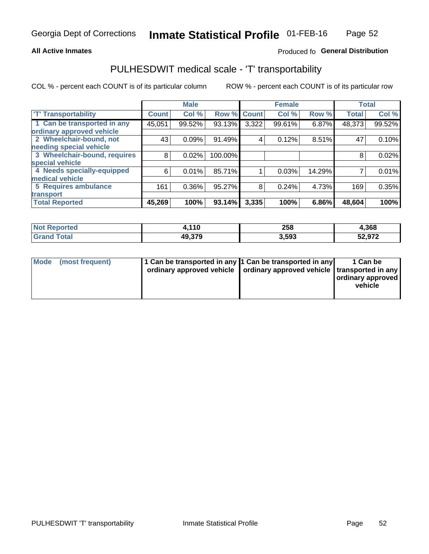### **All Active Inmates**

## Produced fo General Distribution

## PULHESDWIT medical scale - 'T' transportability

COL % - percent each COUNT is of its particular column

|                              |              | <b>Male</b> |         |              | <b>Female</b> |        | <b>Total</b> |        |
|------------------------------|--------------|-------------|---------|--------------|---------------|--------|--------------|--------|
| <b>T' Transportability</b>   | <b>Count</b> | Col %       | Row %   | <b>Count</b> | Col %         | Row %  | <b>Total</b> | Col %  |
| 1 Can be transported in any  | 45,051       | 99.52%      | 93.13%  | 3,322        | 99.61%        | 6.87%  | 48,373       | 99.52% |
| ordinary approved vehicle    |              |             |         |              |               |        |              |        |
| 2 Wheelchair-bound, not      | 43           | 0.09%       | 91.49%  | 4            | 0.12%         | 8.51%  | 47           | 0.10%  |
| needing special vehicle      |              |             |         |              |               |        |              |        |
| 3 Wheelchair-bound, requires | 8            | 0.02%       | 100.00% |              |               |        | 8            | 0.02%  |
| special vehicle              |              |             |         |              |               |        |              |        |
| 4 Needs specially-equipped   | 6            | 0.01%       | 85.71%  |              | 0.03%         | 14.29% |              | 0.01%  |
| medical vehicle              |              |             |         |              |               |        |              |        |
| <b>5 Requires ambulance</b>  | 161          | 0.36%       | 95.27%  | 8            | 0.24%         | 4.73%  | 169          | 0.35%  |
| transport                    |              |             |         |              |               |        |              |        |
| <b>Total Reported</b>        | 45,269       | 100%        | 93.14%  | 3,335        | 100%          | 6.86%  | 48,604       | 100%   |

| orted      | 440<br>1 U | 258   | 4,368  |
|------------|------------|-------|--------|
| <b>ota</b> | 49.379     | 3,593 | 52,972 |

|  | Mode (most frequent) | 1 Can be transported in any 1 Can be transported in any<br>ordinary approved vehicle   ordinary approved vehicle   transported in any |  | 1 Can be<br>  ordinary approved  <br>vehicle |
|--|----------------------|---------------------------------------------------------------------------------------------------------------------------------------|--|----------------------------------------------|
|--|----------------------|---------------------------------------------------------------------------------------------------------------------------------------|--|----------------------------------------------|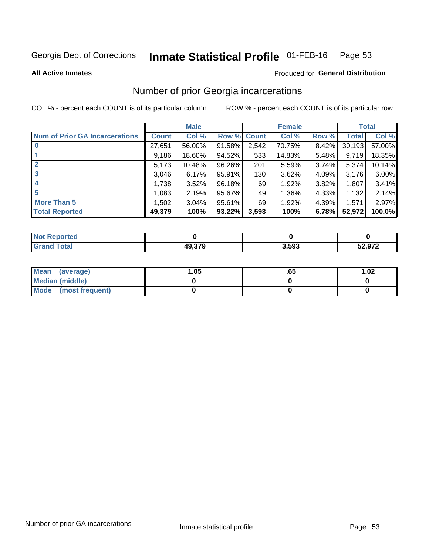#### Inmate Statistical Profile 01-FEB-16 Page 53

**All Active Inmates** 

### Produced for General Distribution

## Number of prior Georgia incarcerations

COL % - percent each COUNT is of its particular column

|                                       |              | <b>Male</b> |             |       | <b>Female</b> |       |        | <b>Total</b> |
|---------------------------------------|--------------|-------------|-------------|-------|---------------|-------|--------|--------------|
| <b>Num of Prior GA Incarcerations</b> | <b>Count</b> | Col %       | Row % Count |       | Col %         | Row % | Total  | Col %        |
|                                       | 27,651       | 56.00%      | 91.58%      | 2,542 | 70.75%        | 8.42% | 30,193 | 57.00%       |
|                                       | 9,186        | 18.60%      | 94.52%      | 533   | 14.83%        | 5.48% | 9,719  | 18.35%       |
| $\overline{2}$                        | 5,173        | 10.48%      | 96.26%      | 201   | 5.59%         | 3.74% | 5,374  | 10.14%       |
| 3                                     | 3,046        | 6.17%       | $95.91\%$   | 130   | 3.62%         | 4.09% | 3,176  | 6.00%        |
| $\boldsymbol{4}$                      | 1,738        | 3.52%       | 96.18%      | 69    | 1.92%         | 3.82% | 1,807  | 3.41%        |
| 5                                     | 1,083        | 2.19%       | 95.67%      | 49    | 1.36%         | 4.33% | 1,132  | 2.14%        |
| <b>More Than 5</b>                    | 1,502        | 3.04%       | 95.61%      | 69    | 1.92%         | 4.39% | 1,571  | 2.97%        |
| <b>Total Reported</b>                 | 49,379       | 100%        | 93.22%      | 3,593 | 100%          | 6.78% | 52,972 | 100.0%       |

| enorted<br>NO.   |                        |       |                  |
|------------------|------------------------|-------|------------------|
| <b>ota</b><br>Gr | 10 270<br>ДU<br>49.979 | 3,593 | הדה ה־<br>ว∠,७7∡ |

| Mean (average)       | 1.05 | כס. | 1.02 |
|----------------------|------|-----|------|
| Median (middle)      |      |     |      |
| Mode (most frequent) |      |     |      |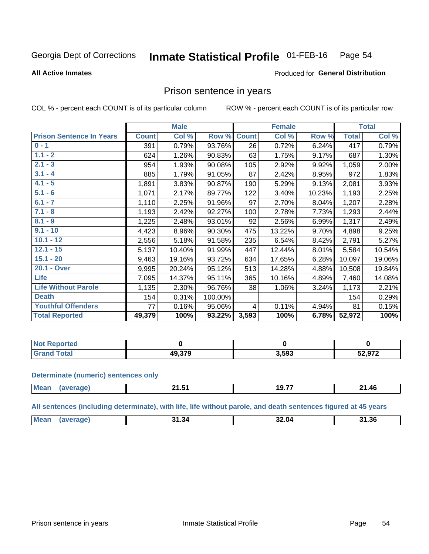#### Inmate Statistical Profile 01-FEB-16 Page 54

#### **All Active Inmates**

### Produced for General Distribution

## Prison sentence in years

COL % - percent each COUNT is of its particular column

ROW % - percent each COUNT is of its particular row

|                                 |              | <b>Male</b> |         |                 | <b>Female</b> |        |              | <b>Total</b> |
|---------------------------------|--------------|-------------|---------|-----------------|---------------|--------|--------------|--------------|
| <b>Prison Sentence In Years</b> | <b>Count</b> | Col %       | Row %   | <b>Count</b>    | Col %         | Row %  | <b>Total</b> | Col %        |
| $0 - 1$                         | 391          | 0.79%       | 93.76%  | $\overline{26}$ | 0.72%         | 6.24%  | 417          | 0.79%        |
| $1.1 - 2$                       | 624          | 1.26%       | 90.83%  | 63              | 1.75%         | 9.17%  | 687          | 1.30%        |
| $2.1 - 3$                       | 954          | 1.93%       | 90.08%  | 105             | 2.92%         | 9.92%  | 1,059        | 2.00%        |
| $3.1 - 4$                       | 885          | 1.79%       | 91.05%  | 87              | 2.42%         | 8.95%  | 972          | 1.83%        |
| $4.1 - 5$                       | 1,891        | 3.83%       | 90.87%  | 190             | 5.29%         | 9.13%  | 2,081        | 3.93%        |
| $5.1 - 6$                       | 1,071        | 2.17%       | 89.77%  | 122             | 3.40%         | 10.23% | 1,193        | 2.25%        |
| $6.1 - 7$                       | 1,110        | 2.25%       | 91.96%  | 97              | 2.70%         | 8.04%  | 1,207        | 2.28%        |
| $7.1 - 8$                       | 1,193        | 2.42%       | 92.27%  | 100             | 2.78%         | 7.73%  | 1,293        | 2.44%        |
| $8.1 - 9$                       | 1,225        | 2.48%       | 93.01%  | 92              | 2.56%         | 6.99%  | 1,317        | 2.49%        |
| $9.1 - 10$                      | 4,423        | 8.96%       | 90.30%  | 475             | 13.22%        | 9.70%  | 4,898        | 9.25%        |
| $10.1 - 12$                     | 2,556        | 5.18%       | 91.58%  | 235             | 6.54%         | 8.42%  | 2,791        | 5.27%        |
| $12.1 - 15$                     | 5,137        | 10.40%      | 91.99%  | 447             | 12.44%        | 8.01%  | 5,584        | 10.54%       |
| $15.1 - 20$                     | 9,463        | 19.16%      | 93.72%  | 634             | 17.65%        | 6.28%  | 10,097       | 19.06%       |
| 20.1 - Over                     | 9,995        | 20.24%      | 95.12%  | 513             | 14.28%        | 4.88%  | 10,508       | 19.84%       |
| <b>Life</b>                     | 7,095        | 14.37%      | 95.11%  | 365             | 10.16%        | 4.89%  | 7,460        | 14.08%       |
| <b>Life Without Parole</b>      | 1,135        | 2.30%       | 96.76%  | 38              | 1.06%         | 3.24%  | 1,173        | 2.21%        |
| <b>Death</b>                    | 154          | 0.31%       | 100.00% |                 |               |        | 154          | 0.29%        |
| <b>Youthful Offenders</b>       | 77           | 0.16%       | 95.06%  | $\overline{4}$  | 0.11%         | 4.94%  | 81           | 0.15%        |
| <b>Total Reported</b>           | 49,379       | 100%        | 93.22%  | 3,593           | 100%          | 6.78%  | 52,972       | 100%         |

| Reported<br>I NOT |                   |       |        |
|-------------------|-------------------|-------|--------|
|                   | lQ 37Q<br>19.JI 9 | 3,593 | 52,972 |

#### **Determinate (numeric) sentences only**

| Mear | .<br>41.J | $\rightarrow$ $\rightarrow$ $\rightarrow$<br>-19.7 . | 1.46∠ |
|------|-----------|------------------------------------------------------|-------|
|      |           |                                                      |       |

All sentences (including determinate), with life, life without parole, and death sentences figured at 45 years

| Me <sub>2</sub> | 1.34،<br><u>ты.</u> | $\cdots$<br>-.u <i>r</i><br>_____ | 31.36 |
|-----------------|---------------------|-----------------------------------|-------|
|                 |                     |                                   |       |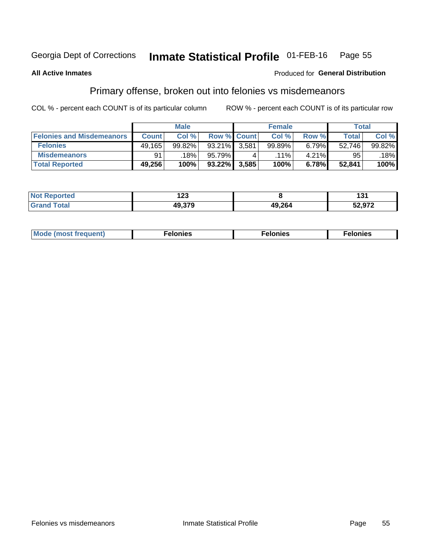#### Inmate Statistical Profile 01-FEB-16 Page 55

### **All Active Inmates**

### **Produced for General Distribution**

## Primary offense, broken out into felonies vs misdemeanors

COL % - percent each COUNT is of its particular column

|                                  |              | <b>Male</b> |           |                    | <b>Female</b> |       | Total  |        |
|----------------------------------|--------------|-------------|-----------|--------------------|---------------|-------|--------|--------|
| <b>Felonies and Misdemeanors</b> | <b>Count</b> | Col%        |           | <b>Row % Count</b> | Col%          | Row % | Total, | Col %  |
| <b>Felonies</b>                  | 49,165       | 99.82%      | 93.21%    | 3,581              | 99.89%        | 6.79% | 52.746 | 99.82% |
| <b>Misdemeanors</b>              | 91           | 18%         | 95.79%    |                    | $.11\%$       | 4.21% | 95     | 18%    |
| <b>Total Reported</b>            | 49,256       | 100%        | $93.22\%$ | 3,585              | 100%          | 6.78% | 52.841 | 100%   |

| <b>Not</b><br>Reported | י ה<br>14J |        | וטו    |
|------------------------|------------|--------|--------|
| <b>Grand</b><br>™otal  | 49.37C     | 49,264 | 52,972 |

| Mo | ____ | 11 C.S<br>. | onies<br>. |
|----|------|-------------|------------|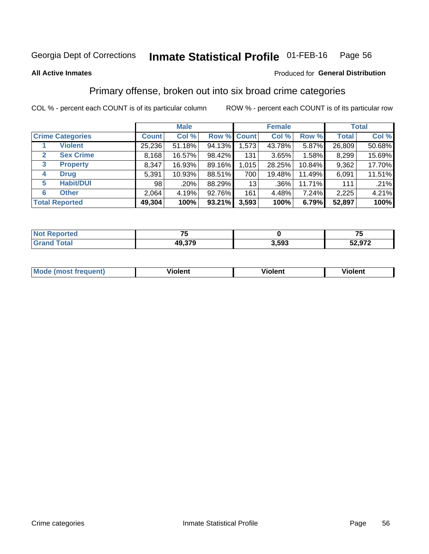#### Inmate Statistical Profile 01-FEB-16 Page 56

#### **All Active Inmates**

### Produced for General Distribution

## Primary offense, broken out into six broad crime categories

COL % - percent each COUNT is of its particular column

|                         |              | <b>Male</b> |           |             | <b>Female</b> |        |              | <b>Total</b> |
|-------------------------|--------------|-------------|-----------|-------------|---------------|--------|--------------|--------------|
| <b>Crime Categories</b> | <b>Count</b> | Col %       |           | Row % Count | Col %         | Row %  | <b>Total</b> | Col %        |
| <b>Violent</b>          | 25,236       | 51.18%      | 94.13%    | 1,573       | 43.78%        | 5.87%  | 26,809       | 50.68%       |
| <b>Sex Crime</b><br>2   | 8,168        | 16.57%      | 98.42%    | 131         | 3.65%         | 1.58%  | 8,299        | 15.69%       |
| 3<br><b>Property</b>    | 8,347        | 16.93%      | 89.16%    | 1,015       | 28.25%        | 10.84% | 9,362        | 17.70%       |
| <b>Drug</b><br>4        | 5,391        | 10.93%      | 88.51%    | 700         | 19.48%        | 11.49% | 6,091        | 11.51%       |
| <b>Habit/DUI</b><br>5   | 98           | .20%        | 88.29%    | 13          | $.36\%$       | 11.71% | 111          | .21%         |
| <b>Other</b><br>6       | 2,064        | 4.19%       | 92.76%    | 161         | 4.48%         | 7.24%  | 2,225        | 4.21%        |
| <b>Total Reported</b>   | 49,304       | 100%        | $93.21\%$ | 3,593       | 100%          | 6.79%  | 52,897       | 100%         |

| тес.<br>NG | --                   |       | --<br>w            |
|------------|----------------------|-------|--------------------|
|            | <b>270</b><br>49,375 | 3,593 | EO 070.<br>52.YI Z |

| Mo<br>uent)<br>nos | .<br>/iolent | <br>Violent | - --<br><b>Tiolent</b> |
|--------------------|--------------|-------------|------------------------|
|                    |              |             |                        |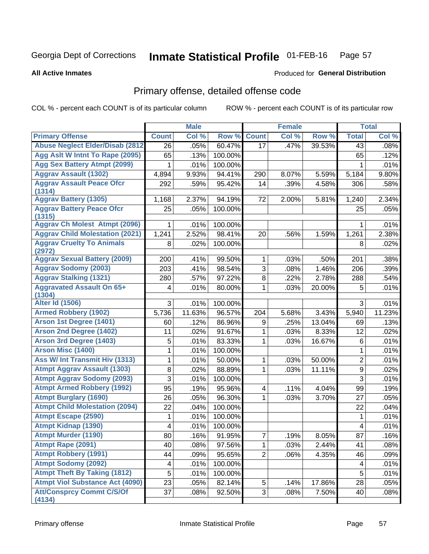#### Inmate Statistical Profile 01-FEB-16 Page 57

**All Active Inmates** 

### **Produced for General Distribution**

# Primary offense, detailed offense code

COL % - percent each COUNT is of its particular column

|                                            |                 | <b>Male</b> |         |                         | <b>Female</b> |        |                  | <b>Total</b> |
|--------------------------------------------|-----------------|-------------|---------|-------------------------|---------------|--------|------------------|--------------|
| <b>Primary Offense</b>                     | <b>Count</b>    | Col %       | Row %   | <b>Count</b>            | Col %         | Row %  | <b>Total</b>     | Col %        |
| <b>Abuse Neglect Elder/Disab (2812)</b>    | 26              | .05%        | 60.47%  | 17                      | .47%          | 39.53% | 43               | .08%         |
| Agg Aslt W Intnt To Rape (2095)            | 65              | .13%        | 100.00% |                         |               |        | 65               | .12%         |
| <b>Agg Sex Battery Atmpt (2099)</b>        | 1               | .01%        | 100.00% |                         |               |        | 1                | .01%         |
| <b>Aggrav Assault (1302)</b>               | 4,894           | 9.93%       | 94.41%  | 290                     | 8.07%         | 5.59%  | 5,184            | 9.80%        |
| <b>Aggrav Assault Peace Ofcr</b>           | 292             | .59%        | 95.42%  | 14                      | .39%          | 4.58%  | 306              | .58%         |
| (1314)<br><b>Aggrav Battery (1305)</b>     | 1,168           | 2.37%       | 94.19%  | 72                      | 2.00%         | 5.81%  | 1,240            | 2.34%        |
| <b>Aggrav Battery Peace Ofcr</b>           | 25              | .05%        | 100.00% |                         |               |        | 25               | .05%         |
| (1315)                                     |                 |             |         |                         |               |        |                  |              |
| <b>Aggrav Ch Molest Atmpt (2096)</b>       | 1               | .01%        | 100.00% |                         |               |        | 1                | .01%         |
| <b>Aggrav Child Molestation (2021)</b>     | 1,241           | 2.52%       | 98.41%  | 20                      | .56%          | 1.59%  | 1,261            | 2.38%        |
| <b>Aggrav Cruelty To Animals</b><br>(2972) | 8               | .02%        | 100.00% |                         |               |        | 8                | .02%         |
| <b>Aggrav Sexual Battery (2009)</b>        | 200             | .41%        | 99.50%  | $\mathbf{1}$            | .03%          | .50%   | 201              | .38%         |
| <b>Aggrav Sodomy (2003)</b>                | 203             | .41%        | 98.54%  | 3                       | .08%          | 1.46%  | 206              | .39%         |
| <b>Aggrav Stalking (1321)</b>              | 280             | .57%        | 97.22%  | 8                       | .22%          | 2.78%  | 288              | .54%         |
| <b>Aggravated Assault On 65+</b>           | 4               | .01%        | 80.00%  | 1                       | .03%          | 20.00% | 5                | .01%         |
| (1304)                                     |                 |             |         |                         |               |        |                  |              |
| <b>Alter Id (1506)</b>                     | 3               | .01%        | 100.00% |                         |               |        | 3                | .01%         |
| <b>Armed Robbery (1902)</b>                | 5,736           | 11.63%      | 96.57%  | 204                     | 5.68%         | 3.43%  | 5,940            | 11.23%       |
| Arson 1st Degree (1401)                    | 60              | .12%        | 86.96%  | 9                       | .25%          | 13.04% | 69               | .13%         |
| <b>Arson 2nd Degree (1402)</b>             | 11              | .02%        | 91.67%  | 1                       | .03%          | 8.33%  | 12               | .02%         |
| <b>Arson 3rd Degree (1403)</b>             | 5               | .01%        | 83.33%  | 1                       | .03%          | 16.67% | 6                | .01%         |
| <b>Arson Misc (1400)</b>                   | 1               | .01%        | 100.00% |                         |               |        | $\mathbf{1}$     | .01%         |
| Ass W/ Int Transmit Hiv (1313)             | 1               | .01%        | 50.00%  | 1                       | .03%          | 50.00% | $\overline{2}$   | .01%         |
| <b>Atmpt Aggrav Assault (1303)</b>         | 8               | .02%        | 88.89%  | 1                       | .03%          | 11.11% | $\boldsymbol{9}$ | .02%         |
| <b>Atmpt Aggrav Sodomy (2093)</b>          | 3               | .01%        | 100.00% |                         |               |        | 3                | .01%         |
| <b>Atmpt Armed Robbery (1992)</b>          | 95              | .19%        | 95.96%  | $\overline{\mathbf{4}}$ | .11%          | 4.04%  | 99               | .19%         |
| <b>Atmpt Burglary (1690)</b>               | 26              | .05%        | 96.30%  | 1                       | .03%          | 3.70%  | 27               | .05%         |
| <b>Atmpt Child Molestation (2094)</b>      | 22              | .04%        | 100.00% |                         |               |        | 22               | .04%         |
| <b>Atmpt Escape (2590)</b>                 | 1               | .01%        | 100.00% |                         |               |        | 1                | .01%         |
| <b>Atmpt Kidnap (1390)</b>                 | 4               | .01%        | 100.00% |                         |               |        | 4                | .01%         |
| <b>Atmpt Murder (1190)</b>                 | $\overline{80}$ | .16%        | 91.95%  | $\overline{7}$          | .19%          | 8.05%  | $\overline{87}$  | .16%         |
| Atmpt Rape (2091)                          | 40              | .08%        | 97.56%  | 1                       | .03%          | 2.44%  | 41               | .08%         |
| <b>Atmpt Robbery (1991)</b>                | 44              | .09%        | 95.65%  | $\overline{2}$          | .06%          | 4.35%  | 46               | .09%         |
| <b>Atmpt Sodomy (2092)</b>                 | 4               | .01%        | 100.00% |                         |               |        | 4                | .01%         |
| <b>Atmpt Theft By Taking (1812)</b>        | $\overline{5}$  | .01%        | 100.00% |                         |               |        | 5                | .01%         |
| <b>Atmpt Viol Substance Act (4090)</b>     | 23              | .05%        | 82.14%  | 5                       | .14%          | 17.86% | 28               | .05%         |
| <b>Att/Consprcy Commt C/S/Of</b><br>(4134) | $\overline{37}$ | .08%        | 92.50%  | 3                       | .08%          | 7.50%  | 40               | .08%         |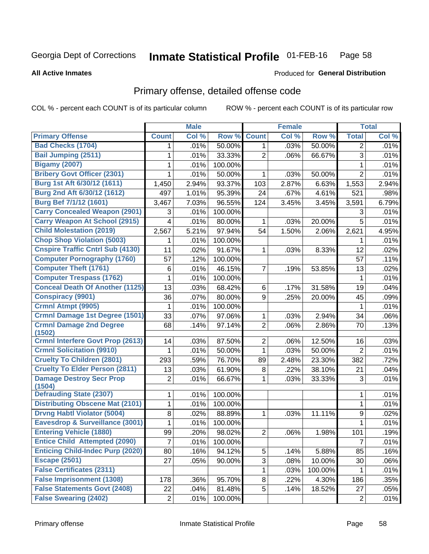#### Inmate Statistical Profile 01-FEB-16 Page 58

#### **All Active Inmates**

### **Produced for General Distribution**

# Primary offense, detailed offense code

COL % - percent each COUNT is of its particular column

|                                           |                | <b>Male</b> |         |                | <b>Female</b> |         |                | <b>Total</b> |
|-------------------------------------------|----------------|-------------|---------|----------------|---------------|---------|----------------|--------------|
| <b>Primary Offense</b>                    | <b>Count</b>   | Col %       | Row %   | <b>Count</b>   | Col %         | Row %   | <b>Total</b>   | Col %        |
| <b>Bad Checks (1704)</b>                  | 1              | .01%        | 50.00%  | $\mathbf{1}$   | .03%          | 50.00%  | 2              | .01%         |
| <b>Bail Jumping (2511)</b>                | 1              | .01%        | 33.33%  | $\overline{2}$ | .06%          | 66.67%  | 3              | .01%         |
| <b>Bigamy (2007)</b>                      | 1              | .01%        | 100.00% |                |               |         | 1              | .01%         |
| <b>Bribery Govt Officer (2301)</b>        | 1              | .01%        | 50.00%  | 1              | .03%          | 50.00%  | $\overline{2}$ | .01%         |
| Burg 1st Aft 6/30/12 (1611)               | 1,450          | 2.94%       | 93.37%  | 103            | 2.87%         | 6.63%   | 1,553          | 2.94%        |
| Burg 2nd Aft 6/30/12 (1612)               | 497            | 1.01%       | 95.39%  | 24             | .67%          | 4.61%   | 521            | .98%         |
| <b>Burg Bef 7/1/12 (1601)</b>             | 3,467          | 7.03%       | 96.55%  | 124            | 3.45%         | 3.45%   | 3,591          | 6.79%        |
| <b>Carry Concealed Weapon (2901)</b>      | 3              | .01%        | 100.00% |                |               |         | 3              | .01%         |
| <b>Carry Weapon At School (2915)</b>      | 4              | .01%        | 80.00%  | 1              | .03%          | 20.00%  | 5              | .01%         |
| <b>Child Molestation (2019)</b>           | 2,567          | 5.21%       | 97.94%  | 54             | 1.50%         | 2.06%   | 2,621          | 4.95%        |
| <b>Chop Shop Violation (5003)</b>         | 1              | .01%        | 100.00% |                |               |         | 1              | .01%         |
| <b>Cnspire Traffic Cntrl Sub (4130)</b>   | 11             | .02%        | 91.67%  | 1              | .03%          | 8.33%   | 12             | .02%         |
| <b>Computer Pornography (1760)</b>        | 57             | .12%        | 100.00% |                |               |         | 57             | .11%         |
| <b>Computer Theft (1761)</b>              | 6              | .01%        | 46.15%  | 7              | .19%          | 53.85%  | 13             | .02%         |
| <b>Computer Trespass (1762)</b>           | 1              | .01%        | 100.00% |                |               |         | 1              | .01%         |
| <b>Conceal Death Of Another (1125)</b>    | 13             | .03%        | 68.42%  | 6              | .17%          | 31.58%  | 19             | .04%         |
| <b>Conspiracy (9901)</b>                  | 36             | .07%        | 80.00%  | 9              | .25%          | 20.00%  | 45             | .09%         |
| Crmnl Atmpt (9905)                        | 1              | .01%        | 100.00% |                |               |         | 1              | .01%         |
| <b>Crmnl Damage 1st Degree (1501)</b>     | 33             | .07%        | 97.06%  | 1              | .03%          | 2.94%   | 34             | .06%         |
| <b>Crmnl Damage 2nd Degree</b><br>(1502)  | 68             | .14%        | 97.14%  | $\overline{2}$ | .06%          | 2.86%   | 70             | .13%         |
| <b>Crmnl Interfere Govt Prop (2613)</b>   | 14             | .03%        | 87.50%  | $\overline{2}$ | .06%          | 12.50%  | 16             | .03%         |
| <b>Crmnl Solicitation (9910)</b>          | 1              | .01%        | 50.00%  | 1              | .03%          | 50.00%  | $\overline{2}$ | .01%         |
| <b>Cruelty To Children (2801)</b>         | 293            | .59%        | 76.70%  | 89             | 2.48%         | 23.30%  | 382            | .72%         |
| <b>Cruelty To Elder Person (2811)</b>     | 13             | .03%        | 61.90%  | 8              | .22%          | 38.10%  | 21             | .04%         |
| <b>Damage Destroy Secr Prop</b><br>(1504) | $\overline{2}$ | .01%        | 66.67%  | 1              | .03%          | 33.33%  | 3              | .01%         |
| <b>Defrauding State (2307)</b>            | 1              | .01%        | 100.00% |                |               |         | $\mathbf 1$    | .01%         |
| <b>Distributing Obscene Mat (2101)</b>    | 1              | .01%        | 100.00% |                |               |         | 1              | .01%         |
| <b>Drvng Habtl Violator (5004)</b>        | 8              | .02%        | 88.89%  | 1              | .03%          | 11.11%  | 9              | .02%         |
| Eavesdrop & Surveillance (3001)           | 1              | .01%        | 100.00% |                |               |         | 1              | .01%         |
| <b>Entering Vehicle (1880)</b>            | 99             | .20%        | 98.02%  | $\overline{2}$ | .06%          | 1.98%   | 101            | .19%         |
| <b>Entice Child Attempted (2090)</b>      | $\overline{7}$ | .01%        | 100.00% |                |               |         | $\overline{7}$ | .01%         |
| <b>Enticing Child-Indec Purp (2020)</b>   | 80             | .16%        | 94.12%  | 5              | .14%          | 5.88%   | 85             | .16%         |
| <b>Escape (2501)</b>                      | 27             | .05%        | 90.00%  | 3              | .08%          | 10.00%  | 30             | .06%         |
| <b>False Certificates (2311)</b>          |                |             |         | 1              | .03%          | 100.00% | 1              | .01%         |
| <b>False Imprisonment (1308)</b>          | 178            | .36%        | 95.70%  | 8              | .22%          | 4.30%   | 186            | .35%         |
| <b>False Statements Govt (2408)</b>       | 22             | .04%        | 81.48%  | 5              | .14%          | 18.52%  | 27             | .05%         |
| <b>False Swearing (2402)</b>              | $\overline{2}$ | .01%        | 100.00% |                |               |         | $\overline{2}$ | .01%         |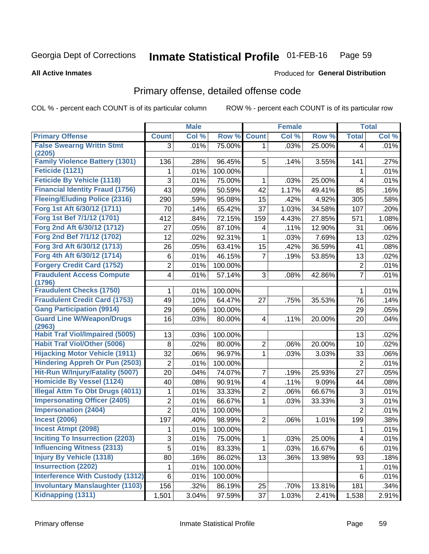#### Inmate Statistical Profile 01-FEB-16 Page 59

**All Active Inmates** 

### **Produced for General Distribution**

# Primary offense, detailed offense code

COL % - percent each COUNT is of its particular column

|                                            |                | <b>Male</b> |         |                         | <b>Female</b> |        |                           | <b>Total</b> |
|--------------------------------------------|----------------|-------------|---------|-------------------------|---------------|--------|---------------------------|--------------|
| <b>Primary Offense</b>                     | <b>Count</b>   | Col %       | Row %   | <b>Count</b>            | Col %         | Row %  | <b>Total</b>              | Col %        |
| <b>False Swearng Writtn Stmt</b>           | 3              | .01%        | 75.00%  | $\mathbf 1$             | .03%          | 25.00% | $\overline{\mathbf{4}}$   | .01%         |
| (2205)                                     |                |             |         |                         |               |        |                           |              |
| <b>Family Violence Battery (1301)</b>      | 136            | .28%        | 96.45%  | 5                       | .14%          | 3.55%  | 141                       | .27%         |
| Feticide (1121)                            | 1              | .01%        | 100.00% |                         |               |        | 1                         | .01%         |
| <b>Feticide By Vehicle (1118)</b>          | 3              | .01%        | 75.00%  | 1                       | .03%          | 25.00% | 4                         | .01%         |
| <b>Financial Identity Fraud (1756)</b>     | 43             | .09%        | 50.59%  | 42                      | 1.17%         | 49.41% | 85                        | .16%         |
| <b>Fleeing/Eluding Police (2316)</b>       | 290            | .59%        | 95.08%  | 15                      | .42%          | 4.92%  | 305                       | .58%         |
| Forg 1st Aft 6/30/12 (1711)                | 70             | .14%        | 65.42%  | 37                      | 1.03%         | 34.58% | 107                       | .20%         |
| Forg 1st Bef 7/1/12 (1701)                 | 412            | .84%        | 72.15%  | 159                     | 4.43%         | 27.85% | 571                       | 1.08%        |
| Forg 2nd Aft 6/30/12 (1712)                | 27             | .05%        | 87.10%  | 4                       | .11%          | 12.90% | 31                        | .06%         |
| Forg 2nd Bef 7/1/12 (1702)                 | 12             | .02%        | 92.31%  | 1                       | .03%          | 7.69%  | 13                        | .02%         |
| Forg 3rd Aft 6/30/12 (1713)                | 26             | .05%        | 63.41%  | 15                      | .42%          | 36.59% | 41                        | .08%         |
| Forg 4th Aft 6/30/12 (1714)                | 6              | .01%        | 46.15%  | 7                       | .19%          | 53.85% | 13                        | .02%         |
| <b>Forgery Credit Card (1752)</b>          | $\overline{c}$ | .01%        | 100.00% |                         |               |        | $\overline{2}$            | .01%         |
| <b>Fraudulent Access Compute</b><br>(1796) | 4              | .01%        | 57.14%  | 3                       | .08%          | 42.86% | $\overline{7}$            | .01%         |
| <b>Fraudulent Checks (1750)</b>            | 1              | .01%        | 100.00% |                         |               |        | 1                         | .01%         |
| <b>Fraudulent Credit Card (1753)</b>       | 49             | .10%        | 64.47%  | 27                      | .75%          | 35.53% | 76                        | .14%         |
| <b>Gang Participation (9914)</b>           | 29             | .06%        | 100.00% |                         |               |        | 29                        | .05%         |
| <b>Guard Line W/Weapon/Drugs</b>           | 16             | .03%        | 80.00%  | 4                       | .11%          | 20.00% | 20                        | .04%         |
| (2963)                                     |                |             |         |                         |               |        |                           |              |
| <b>Habit Traf Viol/Impaired (5005)</b>     | 13             | .03%        | 100.00% |                         |               |        | 13                        | .02%         |
| <b>Habit Traf Viol/Other (5006)</b>        | 8              | .02%        | 80.00%  | 2                       | .06%          | 20.00% | 10                        | .02%         |
| <b>Hijacking Motor Vehicle (1911)</b>      | 32             | .06%        | 96.97%  | 1                       | .03%          | 3.03%  | 33                        | .06%         |
| <b>Hindering Appreh Or Pun (2503)</b>      | $\overline{2}$ | .01%        | 100.00% |                         |               |        | $\overline{2}$            | .01%         |
| Hit-Run W/Injury/Fatality (5007)           | 20             | .04%        | 74.07%  | 7                       | .19%          | 25.93% | 27                        | .05%         |
| <b>Homicide By Vessel (1124)</b>           | 40             | .08%        | 90.91%  | $\overline{\mathbf{4}}$ | .11%          | 9.09%  | 44                        | .08%         |
| <b>Illegal Attm To Obt Drugs (4011)</b>    | 1              | .01%        | 33.33%  | 2                       | .06%          | 66.67% | 3                         | .01%         |
| <b>Impersonating Officer (2405)</b>        | $\overline{2}$ | .01%        | 66.67%  | 1                       | .03%          | 33.33% | $\ensuremath{\mathsf{3}}$ | .01%         |
| <b>Impersonation (2404)</b>                | $\overline{2}$ | .01%        | 100.00% |                         |               |        | $\overline{2}$            | .01%         |
| <b>Incest (2006)</b>                       | 197            | .40%        | 98.99%  | 2                       | .06%          | 1.01%  | 199                       | .38%         |
| <b>Incest Atmpt (2098)</b>                 | 1              | .01%        | 100.00% |                         |               |        | 1                         | .01%         |
| Inciting To Insurrection (2203)            | 3              | .01%        | 75.00%  | 1                       | .03%          | 25.00% | 4                         | .01%         |
| <b>Influencing Witness (2313)</b>          | 5              | .01%        | 83.33%  | 1                       | .03%          | 16.67% | 6                         | .01%         |
| <b>Injury By Vehicle (1318)</b>            | 80             | .16%        | 86.02%  | 13                      | .36%          | 13.98% | 93                        | .18%         |
| <b>Insurrection (2202)</b>                 | 1              | .01%        | 100.00% |                         |               |        | $\mathbf 1$               | .01%         |
| <b>Interference With Custody (1312)</b>    | 6              | .01%        | 100.00% |                         |               |        | 6                         | .01%         |
| <b>Involuntary Manslaughter (1103)</b>     | 156            | .32%        | 86.19%  | 25                      | .70%          | 13.81% | 181                       | .34%         |
| Kidnapping (1311)                          | 1,501          | 3.04%       | 97.59%  | 37                      | 1.03%         | 2.41%  | 1,538                     | 2.91%        |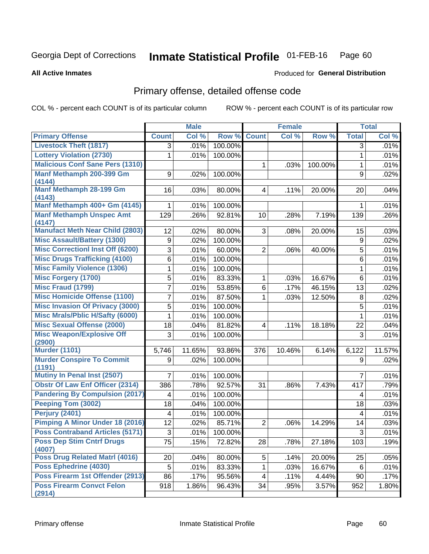#### Inmate Statistical Profile 01-FEB-16 Page 60

#### **All Active Inmates**

# **Produced for General Distribution**

## Primary offense, detailed offense code

COL % - percent each COUNT is of its particular column

|                                            |                  | <b>Male</b> |         |                | <b>Female</b> |         |              | <b>Total</b> |
|--------------------------------------------|------------------|-------------|---------|----------------|---------------|---------|--------------|--------------|
| <b>Primary Offense</b>                     | <b>Count</b>     | Col %       | Row %   | <b>Count</b>   | Col %         | Row %   | <b>Total</b> | Col %        |
| <b>Livestock Theft (1817)</b>              | 3                | .01%        | 100.00% |                |               |         | 3            | .01%         |
| <b>Lottery Violation (2730)</b>            | 1                | .01%        | 100.00% |                |               |         | 1            | .01%         |
| <b>Malicious Conf Sane Pers (1310)</b>     |                  |             |         | 1              | .03%          | 100.00% | 1            | .01%         |
| Manf Methamph 200-399 Gm                   | 9                | .02%        | 100.00% |                |               |         | 9            | .02%         |
| (4144)                                     |                  |             |         |                |               |         |              |              |
| Manf Methamph 28-199 Gm<br>(4143)          | 16               | .03%        | 80.00%  | 4              | .11%          | 20.00%  | 20           | .04%         |
| Manf Methamph 400+ Gm (4145)               | 1                | .01%        | 100.00% |                |               |         | 1            | .01%         |
| <b>Manf Methamph Unspec Amt</b>            | 129              | .26%        | 92.81%  | 10             | .28%          | 7.19%   | 139          | .26%         |
| (4147)                                     |                  |             |         |                |               |         |              |              |
| <b>Manufact Meth Near Child (2803)</b>     | 12               | .02%        | 80.00%  | 3              | .08%          | 20.00%  | 15           | .03%         |
| <b>Misc Assault/Battery (1300)</b>         | $\boldsymbol{9}$ | .02%        | 100.00% |                |               |         | 9            | .02%         |
| <b>Misc Correctionl Inst Off (6200)</b>    | 3                | .01%        | 60.00%  | $\overline{2}$ | .06%          | 40.00%  | 5            | .01%         |
| <b>Misc Drugs Trafficking (4100)</b>       | 6                | .01%        | 100.00% |                |               |         | 6            | .01%         |
| <b>Misc Family Violence (1306)</b>         | 1                | .01%        | 100.00% |                |               |         | 1            | .01%         |
| <b>Misc Forgery (1700)</b>                 | 5                | .01%        | 83.33%  | 1              | .03%          | 16.67%  | 6            | .01%         |
| <b>Misc Fraud (1799)</b>                   | 7                | .01%        | 53.85%  | $\,6$          | .17%          | 46.15%  | 13           | .02%         |
| <b>Misc Homicide Offense (1100)</b>        | 7                | .01%        | 87.50%  | 1              | .03%          | 12.50%  | 8            | .02%         |
| <b>Misc Invasion Of Privacy (3000)</b>     | 5                | .01%        | 100.00% |                |               |         | 5            | .01%         |
| <b>Misc Mrals/Pblic H/Safty (6000)</b>     | 1                | .01%        | 100.00% |                |               |         | 1            | .01%         |
| <b>Misc Sexual Offense (2000)</b>          | 18               | .04%        | 81.82%  | 4              | .11%          | 18.18%  | 22           | .04%         |
| <b>Misc Weapon/Explosive Off</b><br>(2900) | 3                | .01%        | 100.00% |                |               |         | 3            | .01%         |
| <b>Murder (1101)</b>                       | 5,746            | 11.65%      | 93.86%  | 376            | 10.46%        | 6.14%   | 6,122        | 11.57%       |
| <b>Murder Conspire To Commit</b>           | 9                | .02%        | 100.00% |                |               |         | 9            | .02%         |
| (1191)                                     |                  |             |         |                |               |         |              |              |
| Mutiny In Penal Inst (2507)                | 7                | .01%        | 100.00% |                |               |         | 7            | .01%         |
| <b>Obstr Of Law Enf Officer (2314)</b>     | 386              | .78%        | 92.57%  | 31             | .86%          | 7.43%   | 417          | .79%         |
| <b>Pandering By Compulsion (2017)</b>      | 4                | .01%        | 100.00% |                |               |         | 4            | .01%         |
| Peeping Tom (3002)                         | 18               | .04%        | 100.00% |                |               |         | 18           | .03%         |
| Perjury (2401)                             | 4                | .01%        | 100.00% |                |               |         | 4            | .01%         |
| Pimping A Minor Under 18 (2016)            | 12               | .02%        | 85.71%  | $\overline{2}$ | .06%          | 14.29%  | 14           | .03%         |
| <b>Poss Contraband Articles (5171)</b>     | 3                | .01%        | 100.00% |                |               |         | 3            | .01%         |
| <b>Poss Dep Stim Cntrf Drugs</b><br>(4007) | 75               | .15%        | 72.82%  | 28             | .78%          | 27.18%  | 103          | .19%         |
| Poss Drug Related Matrl (4016)             | 20               | .04%        | 80.00%  | 5              | .14%          | 20.00%  | 25           | .05%         |
| Poss Ephedrine (4030)                      | 5                | .01%        | 83.33%  | 1              | .03%          | 16.67%  | 6            | .01%         |
| Poss Firearm 1st Offender (2913)           | 86               | .17%        | 95.56%  | 4              | .11%          | 4.44%   | 90           | .17%         |
| <b>Poss Firearm Convct Felon</b>           | 918              | 1.86%       | 96.43%  | 34             | .95%          | 3.57%   | 952          | 1.80%        |
| (2914)                                     |                  |             |         |                |               |         |              |              |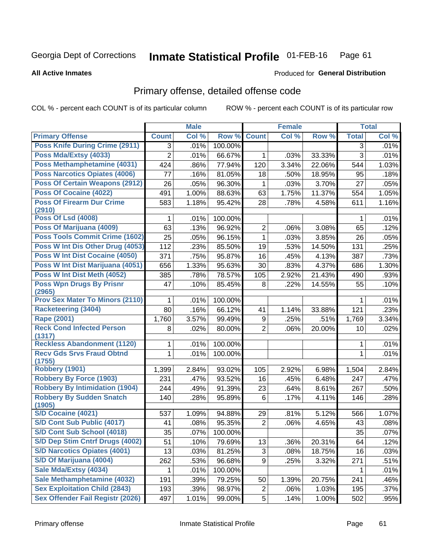#### Inmate Statistical Profile 01-FEB-16 Page 61

**All Active Inmates** 

### Produced for General Distribution

# Primary offense, detailed offense code

COL % - percent each COUNT is of its particular column

|                                            |                | <b>Male</b> |         |                | <b>Female</b> |        |              | <b>Total</b> |
|--------------------------------------------|----------------|-------------|---------|----------------|---------------|--------|--------------|--------------|
| <b>Primary Offense</b>                     | <b>Count</b>   | Col %       | Row %   | <b>Count</b>   | Col %         | Row %  | <b>Total</b> | Col %        |
| <b>Poss Knife During Crime (2911)</b>      | 3              | .01%        | 100.00% |                |               |        | 3            | .01%         |
| Poss Mda/Extsy (4033)                      | $\overline{2}$ | .01%        | 66.67%  | 1              | .03%          | 33.33% | 3            | .01%         |
| Poss Methamphetamine (4031)                | 424            | .86%        | 77.94%  | 120            | 3.34%         | 22.06% | 544          | 1.03%        |
| <b>Poss Narcotics Opiates (4006)</b>       | 77             | .16%        | 81.05%  | 18             | .50%          | 18.95% | 95           | .18%         |
| <b>Poss Of Certain Weapons (2912)</b>      | 26             | .05%        | 96.30%  | 1              | .03%          | 3.70%  | 27           | .05%         |
| Poss Of Cocaine (4022)                     | 491            | 1.00%       | 88.63%  | 63             | 1.75%         | 11.37% | 554          | 1.05%        |
| <b>Poss Of Firearm Dur Crime</b><br>(2910) | 583            | 1.18%       | 95.42%  | 28             | .78%          | 4.58%  | 611          | 1.16%        |
| <b>Poss Of Lsd (4008)</b>                  | 1              | .01%        | 100.00% |                |               |        | 1            | .01%         |
| Poss Of Marijuana (4009)                   | 63             | .13%        | 96.92%  | $\overline{2}$ | .06%          | 3.08%  | 65           | .12%         |
| Poss Tools Commit Crime (1602)             | 25             | .05%        | 96.15%  | $\mathbf{1}$   | .03%          | 3.85%  | 26           | .05%         |
| Poss W Int Dis Other Drug (4053)           | 112            | .23%        | 85.50%  | 19             | .53%          | 14.50% | 131          | .25%         |
| Poss W Int Dist Cocaine (4050)             | 371            | .75%        | 95.87%  | 16             | .45%          | 4.13%  | 387          | .73%         |
| Poss W Int Dist Marijuana (4051)           | 656            | 1.33%       | 95.63%  | 30             | .83%          | 4.37%  | 686          | 1.30%        |
| Poss W Int Dist Meth (4052)                | 385            | .78%        | 78.57%  | 105            | 2.92%         | 21.43% | 490          | .93%         |
| <b>Poss Wpn Drugs By Prisnr</b><br>(2965)  | 47             | .10%        | 85.45%  | 8              | .22%          | 14.55% | 55           | .10%         |
| <b>Prov Sex Mater To Minors (2110)</b>     | 1              | .01%        | 100.00% |                |               |        | 1            | .01%         |
| <b>Racketeering (3404)</b>                 | 80             | .16%        | 66.12%  | 41             | 1.14%         | 33.88% | 121          | .23%         |
| Rape (2001)                                | 1,760          | 3.57%       | 99.49%  | 9              | .25%          | .51%   | 1,769        | 3.34%        |
| <b>Reck Cond Infected Person</b><br>(1317) | 8              | .02%        | 80.00%  | $\overline{2}$ | .06%          | 20.00% | 10           | .02%         |
| <b>Reckless Abandonment (1120)</b>         | 1              | .01%        | 100.00% |                |               |        | 1            | .01%         |
| <b>Recv Gds Srvs Fraud Obtnd</b><br>(1755) | 1              | .01%        | 100.00% |                |               |        | 1            | .01%         |
| <b>Robbery (1901)</b>                      | 1,399          | 2.84%       | 93.02%  | 105            | 2.92%         | 6.98%  | 1,504        | 2.84%        |
| <b>Robbery By Force (1903)</b>             | 231            | .47%        | 93.52%  | 16             | .45%          | 6.48%  | 247          | .47%         |
| <b>Robbery By Intimidation (1904)</b>      | 244            | .49%        | 91.39%  | 23             | .64%          | 8.61%  | 267          | .50%         |
| <b>Robbery By Sudden Snatch</b><br>(1905)  | 140            | .28%        | 95.89%  | 6              | .17%          | 4.11%  | 146          | .28%         |
| <b>S/D Cocaine (4021)</b>                  | 537            | 1.09%       | 94.88%  | 29             | .81%          | 5.12%  | 566          | 1.07%        |
| S/D Cont Sub Public (4017)                 | 41             | .08%        | 95.35%  | $\overline{2}$ | .06%          | 4.65%  | 43           | .08%         |
| S/D Cont Sub School (4018)                 | 35             | .07%        | 100.00% |                |               |        | 35           | .07%         |
| S/D Dep Stim Cntrf Drugs (4002)            | 51             | .10%        | 79.69%  | 13             | .36%          | 20.31% | 64           | .12%         |
| <b>S/D Narcotics Opiates (4001)</b>        | 13             | .03%        | 81.25%  | 3              | .08%          | 18.75% | 16           | .03%         |
| S/D Of Marijuana (4004)                    | 262            | .53%        | 96.68%  | 9              | .25%          | 3.32%  | 271          | .51%         |
| Sale Mda/Extsy (4034)                      | 1              | .01%        | 100.00% |                |               |        | 1            | .01%         |
| Sale Methamphetamine (4032)                | 191            | .39%        | 79.25%  | 50             | 1.39%         | 20.75% | 241          | .46%         |
| <b>Sex Exploitation Child (2843)</b>       | 193            | .39%        | 98.97%  | $\overline{c}$ | .06%          | 1.03%  | 195          | .37%         |
| <b>Sex Offender Fail Registr (2026)</b>    | 497            | 1.01%       | 99.00%  | 5              | .14%          | 1.00%  | 502          | .95%         |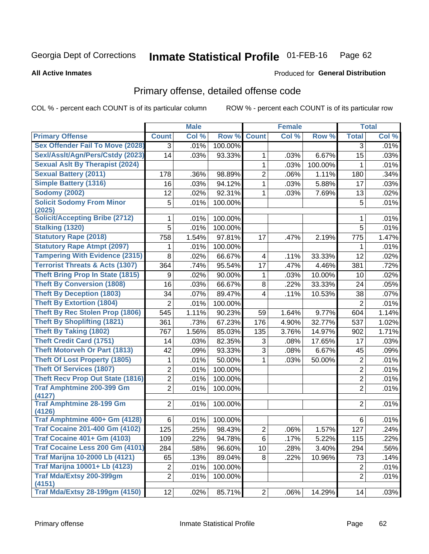#### Inmate Statistical Profile 01-FEB-16 Page 62

**All Active Inmates** 

## **Produced for General Distribution**

## Primary offense, detailed offense code

COL % - percent each COUNT is of its particular column

|                                                     |                | <b>Male</b> |         |                | <b>Female</b> |         |                | <b>Total</b> |
|-----------------------------------------------------|----------------|-------------|---------|----------------|---------------|---------|----------------|--------------|
| <b>Primary Offense</b>                              | <b>Count</b>   | Col %       | Row %   | <b>Count</b>   | Col %         | Row %   | <b>Total</b>   | Col %        |
| <b>Sex Offender Fail To Move (2028)</b>             | 3              | .01%        | 100.00% |                |               |         | 3              | .01%         |
| Sexl/Asslt/Agn/Pers/Cstdy (2023)                    | 14             | .03%        | 93.33%  | 1              | .03%          | 6.67%   | 15             | .03%         |
| <b>Sexual Aslt By Therapist (2024)</b>              |                |             |         | 1              | .03%          | 100.00% | 1              | .01%         |
| <b>Sexual Battery (2011)</b>                        | 178            | .36%        | 98.89%  | $\overline{2}$ | .06%          | 1.11%   | 180            | .34%         |
| <b>Simple Battery (1316)</b>                        | 16             | .03%        | 94.12%  | 1              | .03%          | 5.88%   | 17             | .03%         |
| <b>Sodomy (2002)</b>                                | 12             | .02%        | 92.31%  | 1              | .03%          | 7.69%   | 13             | .02%         |
| <b>Solicit Sodomy From Minor</b><br>(2025)          | 5              | .01%        | 100.00% |                |               |         | 5              | .01%         |
| <b>Solicit/Accepting Bribe (2712)</b>               | 1              | .01%        | 100.00% |                |               |         | 1              | .01%         |
| <b>Stalking (1320)</b>                              | 5              | .01%        | 100.00% |                |               |         | 5              | .01%         |
| <b>Statutory Rape (2018)</b>                        | 758            | 1.54%       | 97.81%  | 17             | .47%          | 2.19%   | 775            | 1.47%        |
| <b>Statutory Rape Atmpt (2097)</b>                  | 1              | .01%        | 100.00% |                |               |         | 1              | .01%         |
| <b>Tampering With Evidence (2315)</b>               | 8              | .02%        | 66.67%  | 4              | .11%          | 33.33%  | 12             | .02%         |
| <b>Terrorist Threats &amp; Acts (1307)</b>          | 364            | .74%        | 95.54%  | 17             | .47%          | 4.46%   | 381            | .72%         |
| <b>Theft Bring Prop In State (1815)</b>             | 9              | .02%        | 90.00%  | 1              | .03%          | 10.00%  | 10             | .02%         |
| <b>Theft By Conversion (1808)</b>                   | 16             | .03%        | 66.67%  | 8              | .22%          | 33.33%  | 24             | .05%         |
| <b>Theft By Deception (1803)</b>                    | 34             | .07%        | 89.47%  | 4              | .11%          | 10.53%  | 38             | .07%         |
| <b>Theft By Extortion (1804)</b>                    | $\overline{2}$ | .01%        | 100.00% |                |               |         | $\overline{2}$ | .01%         |
| <b>Theft By Rec Stolen Prop (1806)</b>              | 545            | 1.11%       | 90.23%  | 59             | 1.64%         | 9.77%   | 604            | 1.14%        |
| <b>Theft By Shoplifting (1821)</b>                  | 361            | .73%        | 67.23%  | 176            | 4.90%         | 32.77%  | 537            | 1.02%        |
| <b>Theft By Taking (1802)</b>                       | 767            | 1.56%       | 85.03%  | 135            | 3.76%         | 14.97%  | 902            | 1.71%        |
| <b>Theft Credit Card (1751)</b>                     | 14             | .03%        | 82.35%  | 3              | .08%          | 17.65%  | 17             | .03%         |
| <b>Theft Motorveh Or Part (1813)</b>                | 42             | .09%        | 93.33%  | 3              | .08%          | 6.67%   | 45             | .09%         |
| <b>Theft Of Lost Property (1805)</b>                | 1              | .01%        | 50.00%  | $\mathbf{1}$   | .03%          | 50.00%  | $\overline{2}$ | .01%         |
| <b>Theft Of Services (1807)</b>                     | $\overline{2}$ | .01%        | 100.00% |                |               |         | $\overline{2}$ | .01%         |
| <b>Theft Recv Prop Out State (1816)</b>             | 2              | .01%        | 100.00% |                |               |         | $\overline{2}$ | .01%         |
| <b>Traf Amphtmine 200-399 Gm</b>                    | $\overline{2}$ | .01%        | 100.00% |                |               |         | $\overline{2}$ | .01%         |
| (4127)<br><b>Traf Amphtmine 28-199 Gm</b><br>(4126) | $\overline{2}$ | .01%        | 100.00% |                |               |         | $\overline{2}$ | .01%         |
| Traf Amphtmine 400+ Gm (4128)                       | 6              | .01%        | 100.00% |                |               |         | 6              | .01%         |
| <b>Traf Cocaine 201-400 Gm (4102)</b>               | 125            | .25%        | 98.43%  | $\overline{2}$ | .06%          | 1.57%   | 127            | .24%         |
| <b>Traf Cocaine 401+ Gm (4103)</b>                  | 109            | .22%        | 94.78%  | 6              | .17%          | 5.22%   | 115            | .22%         |
| Traf Cocaine Less 200 Gm (4101)                     | 284            | .58%        | 96.60%  | 10             | .28%          | 3.40%   | 294            | .56%         |
| <b>Traf Marijna 10-2000 Lb (4121)</b>               | 65             | .13%        | 89.04%  | 8              | .22%          | 10.96%  | 73             | .14%         |
| <b>Traf Marijna 10001+ Lb (4123)</b>                | $\overline{c}$ | .01%        | 100.00% |                |               |         | $\overline{2}$ | .01%         |
| Traf Mda/Extsy 200-399gm                            | $\overline{2}$ | .01%        | 100.00% |                |               |         | $\overline{2}$ | .01%         |
| (4151)                                              |                |             |         |                |               |         |                |              |
| <b>Traf Mda/Extsy 28-199gm (4150)</b>               | 12             | .02%        | 85.71%  | 2              | $.06\%$       | 14.29%  | 14             | .03%         |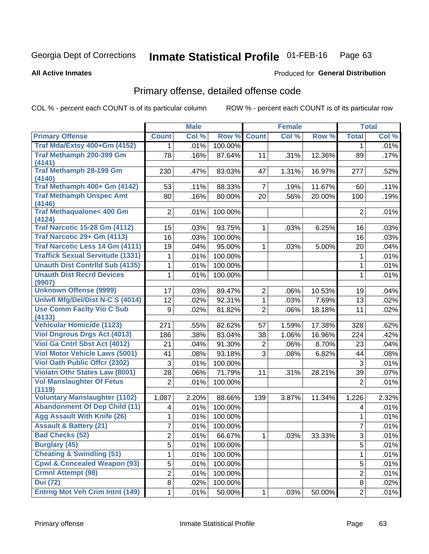#### Inmate Statistical Profile 01-FEB-16 Page 63

**All Active Inmates** 

## **Produced for General Distribution**

## Primary offense, detailed offense code

COL % - percent each COUNT is of its particular column

|                                               |                | <b>Male</b> |         |                | <b>Female</b> |        |                | <b>Total</b> |
|-----------------------------------------------|----------------|-------------|---------|----------------|---------------|--------|----------------|--------------|
| <b>Primary Offense</b>                        | <b>Count</b>   | Col %       | Row %   | <b>Count</b>   | Col %         | Row %  | <b>Total</b>   | Col %        |
| Traf Mda/Extsy 400+Gm (4152)                  | 1.             | .01%        | 100.00% |                |               |        | 1              | .01%         |
| Traf Methamph 200-399 Gm                      | 78             | .16%        | 87.64%  | 11             | .31%          | 12.36% | 89             | .17%         |
| (4141)                                        |                |             |         |                |               |        |                |              |
| <b>Traf Methamph 28-199 Gm</b><br>(4140)      | 230            | .47%        | 83.03%  | 47             | 1.31%         | 16.97% | 277            | .52%         |
| Traf Methamph 400+ Gm (4142)                  | 53             | .11%        | 88.33%  | $\overline{7}$ | .19%          | 11.67% | 60             | .11%         |
| <b>Traf Methamph Unspec Amt</b>               | 80             | .16%        | 80.00%  | 20             | .56%          | 20.00% | 100            | .19%         |
| (4146)                                        |                |             |         |                |               |        |                |              |
| <b>Traf Methaqualone&lt; 400 Gm</b><br>(4124) | $\overline{2}$ | .01%        | 100.00% |                |               |        | $\overline{2}$ | .01%         |
| <b>Traf Narcotic 15-28 Gm (4112)</b>          | 15             | .03%        | 93.75%  | 1              | .03%          | 6.25%  | 16             | .03%         |
| Traf Narcotic 29+ Gm (4113)                   | 16             | .03%        | 100.00% |                |               |        | 16             | .03%         |
| Traf Narcotic Less 14 Gm (4111)               | 19             | .04%        | 95.00%  | $\mathbf 1$    | .03%          | 5.00%  | 20             | .04%         |
| <b>Traffick Sexual Servitude (1331)</b>       | 1              | .01%        | 100.00% |                |               |        | 1              | .01%         |
| <b>Unauth Dist Contrild Sub (4135)</b>        | 1              | .01%        | 100.00% |                |               |        | 1              | .01%         |
| <b>Unauth Dist Recrd Devices</b><br>(9907)    | 1              | .01%        | 100.00% |                |               |        | 1              | .01%         |
| <b>Unknown Offense (9999)</b>                 | 17             | .03%        | 89.47%  | $\overline{c}$ | .06%          | 10.53% | 19             | .04%         |
| Uniwfl Mfg/Del/Dist N-C S (4014)              | 12             | .02%        | 92.31%  | $\mathbf 1$    | .03%          | 7.69%  | 13             | .02%         |
| <b>Use Comm Facity Vio C Sub</b>              | 9              | .02%        | 81.82%  | $\overline{2}$ | .06%          | 18.18% | 11             | .02%         |
| (4133)                                        |                |             |         |                |               |        |                |              |
| <b>Vehicular Homicide (1123)</b>              | 271            | .55%        | 82.62%  | 57             | 1.59%         | 17.38% | 328            | .62%         |
| <b>Viol Dngrous Drgs Act (4013)</b>           | 186            | .38%        | 83.04%  | 38             | 1.06%         | 16.96% | 224            | .42%         |
| <b>Viol Ga Cntrl Sbst Act (4012)</b>          | 21             | .04%        | 91.30%  | $\overline{2}$ | .06%          | 8.70%  | 23             | .04%         |
| <b>Viol Motor Vehicle Laws (5001)</b>         | 41             | .08%        | 93.18%  | 3              | .08%          | 6.82%  | 44             | .08%         |
| <b>Viol Oath Public Offcr (2302)</b>          | 3              | .01%        | 100.00% |                |               |        | 3              | .01%         |
| Violatn Othr States Law (8001)                | 28             | .06%        | 71.79%  | 11             | .31%          | 28.21% | 39             | .07%         |
| <b>Vol Manslaughter Of Fetus</b><br>(1119)    | $\overline{2}$ | .01%        | 100.00% |                |               |        | $\overline{2}$ | .01%         |
| <b>Voluntary Manslaughter (1102)</b>          | 1,087          | 2.20%       | 88.66%  | 139            | 3.87%         | 11.34% | 1,226          | 2.32%        |
| <b>Abandonment Of Dep Child (11)</b>          | 4              | .01%        | 100.00% |                |               |        | $\overline{4}$ | .01%         |
| <b>Agg Assault With Knife (26)</b>            | 1              | .01%        | 100.00% |                |               |        | 1              | .01%         |
| <b>Assault &amp; Battery (21)</b>             | 7              | .01%        | 100.00% |                |               |        | 7              | .01%         |
| <b>Bad Checks (52)</b>                        | $\overline{2}$ | .01%        | 66.67%  | 1              | .03%          | 33.33% | 3              | .01%         |
| <b>Burglary (45)</b>                          | 5              | .01%        | 100.00% |                |               |        | 5              | .01%         |
| <b>Cheating &amp; Swindling (51)</b>          | 1              | .01%        | 100.00% |                |               |        | 1              | .01%         |
| <b>Cpwl &amp; Concealed Weapon (93)</b>       | 5              | .01%        | 100.00% |                |               |        | 5              | .01%         |
| <b>Crmnl Attempt (98)</b>                     | $\overline{2}$ | .01%        | 100.00% |                |               |        | $\overline{2}$ | .01%         |
| <b>Dui</b> (72)                               | 8              | .02%        | 100.00% |                |               |        | 8              | .02%         |
| <b>Entrng Mot Veh Crim Intnt (149)</b>        | $\mathbf{1}$   | .01%        | 50.00%  | 1              | .03%          | 50.00% | $\overline{2}$ | .01%         |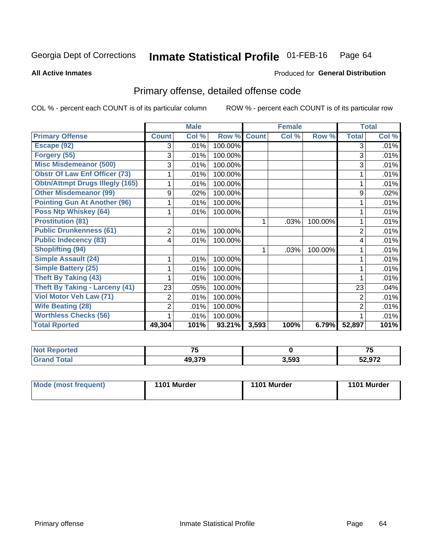#### Inmate Statistical Profile 01-FEB-16 Page 64

**All Active Inmates** 

### Produced for General Distribution

# Primary offense, detailed offense code

COL % - percent each COUNT is of its particular column

|                                        |              | <b>Male</b> |         |              | <b>Female</b> |         |                | <b>Total</b> |
|----------------------------------------|--------------|-------------|---------|--------------|---------------|---------|----------------|--------------|
| <b>Primary Offense</b>                 | <b>Count</b> | Col %       | Row %   | <b>Count</b> | Col %         | Row %   | <b>Total</b>   | Col %        |
| Escape (92)                            | 3            | .01%        | 100.00% |              |               |         | 3              | .01%         |
| Forgery (55)                           | 3            | .01%        | 100.00% |              |               |         | 3              | .01%         |
| <b>Misc Misdemeanor (500)</b>          | 3            | .01%        | 100.00% |              |               |         | 3              | .01%         |
| <b>Obstr Of Law Enf Officer (73)</b>   |              | .01%        | 100.00% |              |               |         |                | .01%         |
| <b>Obtn/Attmpt Drugs Illegly (165)</b> |              | .01%        | 100.00% |              |               |         |                | .01%         |
| <b>Other Misdemeanor (99)</b>          | 9            | .02%        | 100.00% |              |               |         | 9              | .02%         |
| <b>Pointing Gun At Another (96)</b>    |              | .01%        | 100.00% |              |               |         |                | .01%         |
| Poss Ntp Whiskey (64)                  |              | .01%        | 100.00% |              |               |         |                | .01%         |
| <b>Prostitution (81)</b>               |              |             |         | 1            | .03%          | 100.00% |                | .01%         |
| <b>Public Drunkenness (61)</b>         | 2            | .01%        | 100.00% |              |               |         | $\overline{2}$ | .01%         |
| <b>Public Indecency (83)</b>           | 4            | .01%        | 100.00% |              |               |         | 4              | .01%         |
| <b>Shoplifting (94)</b>                |              |             |         | 1            | .03%          | 100.00% |                | .01%         |
| <b>Simple Assault (24)</b>             |              | .01%        | 100.00% |              |               |         |                | .01%         |
| <b>Simple Battery (25)</b>             |              | .01%        | 100.00% |              |               |         |                | .01%         |
| <b>Theft By Taking (43)</b>            |              | .01%        | 100.00% |              |               |         |                | .01%         |
| <b>Theft By Taking - Larceny (41)</b>  | 23           | .05%        | 100.00% |              |               |         | 23             | .04%         |
| Viol Motor Veh Law (71)                | 2            | .01%        | 100.00% |              |               |         | $\overline{2}$ | .01%         |
| <b>Wife Beating (28)</b>               | 2            | .01%        | 100.00% |              |               |         | 2              | .01%         |
| <b>Worthless Checks (56)</b>           |              | .01%        | 100.00% |              |               |         |                | .01%         |
| <b>Total Rported</b>                   | 49,304       | 101%        | 93.21%  | 3,593        | 100%          | 6.79%   | 52,897         | 101%         |

| n n<br><i>r</i> reo | --               |       | --<br>. . |
|---------------------|------------------|-------|-----------|
|                     | 10 270<br>49.37S | 3,593 | 52,972    |

| Mode (most frequent) | 1101 Murder | 1101 Murder | 1101 Murder |
|----------------------|-------------|-------------|-------------|
|                      |             |             |             |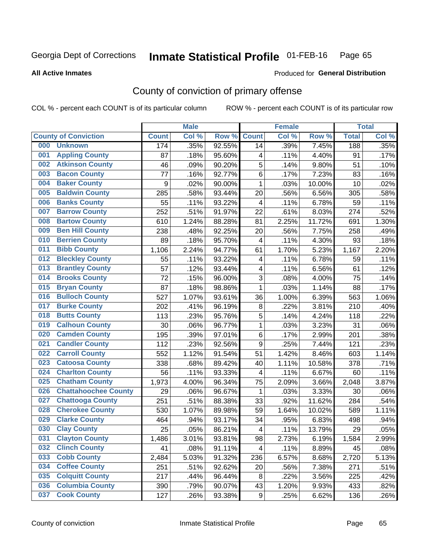#### Inmate Statistical Profile 01-FEB-16 Page 65

#### **All Active Inmates**

### Produced for General Distribution

# County of conviction of primary offense

COL % - percent each COUNT is of its particular column

|                                    |              | <b>Male</b> |        |                          | <b>Female</b> |        |              | <b>Total</b> |
|------------------------------------|--------------|-------------|--------|--------------------------|---------------|--------|--------------|--------------|
| <b>County of Conviction</b>        | <b>Count</b> | Col %       | Row %  | <b>Count</b>             | Col %         | Row %  | <b>Total</b> | Col %        |
| 000<br><b>Unknown</b>              | 174          | .35%        | 92.55% | 14                       | .39%          | 7.45%  | 188          | .35%         |
| <b>Appling County</b><br>001       | 87           | .18%        | 95.60% | 4                        | .11%          | 4.40%  | 91           | .17%         |
| <b>Atkinson County</b><br>002      | 46           | .09%        | 90.20% | 5                        | .14%          | 9.80%  | 51           | .10%         |
| <b>Bacon County</b><br>003         | 77           | .16%        | 92.77% | 6                        | .17%          | 7.23%  | 83           | .16%         |
| <b>Baker County</b><br>004         | 9            | .02%        | 90.00% | $\mathbf{1}$             | .03%          | 10.00% | 10           | .02%         |
| <b>Baldwin County</b><br>005       | 285          | .58%        | 93.44% | 20                       | .56%          | 6.56%  | 305          | .58%         |
| <b>Banks County</b><br>006         | 55           | .11%        | 93.22% | $\overline{\mathbf{4}}$  | .11%          | 6.78%  | 59           | .11%         |
| <b>Barrow County</b><br>007        | 252          | .51%        | 91.97% | 22                       | .61%          | 8.03%  | 274          | .52%         |
| <b>Bartow County</b><br>008        | 610          | 1.24%       | 88.28% | 81                       | 2.25%         | 11.72% | 691          | 1.30%        |
| <b>Ben Hill County</b><br>009      | 238          | .48%        | 92.25% | 20                       | .56%          | 7.75%  | 258          | .49%         |
| <b>Berrien County</b><br>010       | 89           | .18%        | 95.70% | $\overline{\mathbf{4}}$  | .11%          | 4.30%  | 93           | .18%         |
| <b>Bibb County</b><br>011          | 1,106        | 2.24%       | 94.77% | 61                       | 1.70%         | 5.23%  | 1,167        | 2.20%        |
| <b>Bleckley County</b><br>012      | 55           | .11%        | 93.22% | 4                        | .11%          | 6.78%  | 59           | .11%         |
| 013<br><b>Brantley County</b>      | 57           | .12%        | 93.44% | 4                        | .11%          | 6.56%  | 61           | .12%         |
| <b>Brooks County</b><br>014        | 72           | .15%        | 96.00% | 3                        | .08%          | 4.00%  | 75           | .14%         |
| <b>Bryan County</b><br>015         | 87           | .18%        | 98.86% | $\mathbf 1$              | .03%          | 1.14%  | 88           | .17%         |
| <b>Bulloch County</b><br>016       | 527          | 1.07%       | 93.61% | 36                       | 1.00%         | 6.39%  | 563          | 1.06%        |
| <b>Burke County</b><br>017         | 202          | .41%        | 96.19% | 8                        | .22%          | 3.81%  | 210          | .40%         |
| <b>Butts County</b><br>018         | 113          | .23%        | 95.76% | 5                        | .14%          | 4.24%  | 118          | .22%         |
| <b>Calhoun County</b><br>019       | 30           | .06%        | 96.77% | $\mathbf{1}$             | .03%          | 3.23%  | 31           | .06%         |
| <b>Camden County</b><br>020        | 195          | .39%        | 97.01% | 6                        | .17%          | 2.99%  | 201          | .38%         |
| <b>Candler County</b><br>021       | 112          | .23%        | 92.56% | $\boldsymbol{9}$         | .25%          | 7.44%  | 121          | .23%         |
| <b>Carroll County</b><br>022       | 552          | 1.12%       | 91.54% | 51                       | 1.42%         | 8.46%  | 603          | 1.14%        |
| <b>Catoosa County</b><br>023       | 338          | .68%        | 89.42% | 40                       | 1.11%         | 10.58% | 378          | .71%         |
| <b>Charlton County</b><br>024      | 56           | .11%        | 93.33% | 4                        | .11%          | 6.67%  | 60           | .11%         |
| <b>Chatham County</b><br>025       | 1,973        | 4.00%       | 96.34% | 75                       | 2.09%         | 3.66%  | 2,048        | 3.87%        |
| <b>Chattahoochee County</b><br>026 | 29           | .06%        | 96.67% | 1                        | .03%          | 3.33%  | 30           | .06%         |
| <b>Chattooga County</b><br>027     | 251          | .51%        | 88.38% | 33                       | .92%          | 11.62% | 284          | .54%         |
| <b>Cherokee County</b><br>028      | 530          | 1.07%       | 89.98% | 59                       | 1.64%         | 10.02% | 589          | 1.11%        |
| <b>Clarke County</b><br>029        | 464          | .94%        | 93.17% | 34                       | .95%          | 6.83%  | 498          | .94%         |
| <b>Clay County</b><br>030          | 25           | .05%        | 86.21% | $\overline{\mathcal{A}}$ | .11%          | 13.79% | 29           | .05%         |
| 031<br><b>Clayton County</b>       | 1,486        | 3.01%       | 93.81% | 98                       | 2.73%         | 6.19%  | 1,584        | 2.99%        |
| <b>Clinch County</b><br>032        | 41           | .08%        | 91.11% | 4                        | .11%          | 8.89%  | 45           | .08%         |
| <b>Cobb County</b><br>033          | 2,484        | 5.03%       | 91.32% | 236                      | 6.57%         | 8.68%  | 2,720        | 5.13%        |
| <b>Coffee County</b><br>034        | 251          | .51%        | 92.62% | 20                       | .56%          | 7.38%  | 271          | .51%         |
| <b>Colquitt County</b><br>035      | 217          | .44%        | 96.44% | 8                        | .22%          | 3.56%  | 225          | .42%         |
| <b>Columbia County</b><br>036      | 390          | .79%        | 90.07% | 43                       | 1.20%         | 9.93%  | 433          | .82%         |
| <b>Cook County</b><br>037          | 127          | .26%        | 93.38% | 9                        | .25%          | 6.62%  | 136          | .26%         |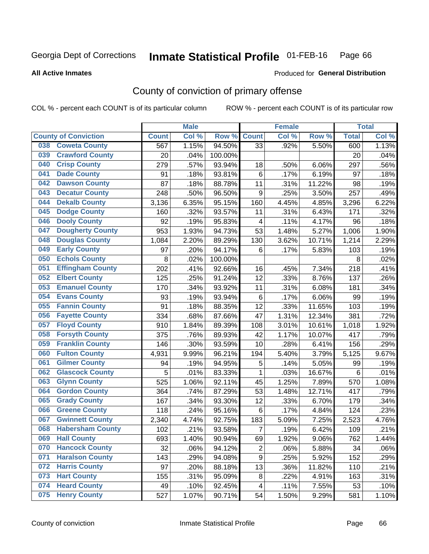#### Inmate Statistical Profile 01-FEB-16 Page 66

**All Active Inmates** 

### Produced for General Distribution

# County of conviction of primary offense

COL % - percent each COUNT is of its particular column

|     |                             |              | <b>Male</b> |         |                         | <b>Female</b> |        |                 | <b>Total</b> |
|-----|-----------------------------|--------------|-------------|---------|-------------------------|---------------|--------|-----------------|--------------|
|     | <b>County of Conviction</b> | <b>Count</b> | Col %       | Row %   | <b>Count</b>            | Col %         | Row %  | <b>Total</b>    | Col %        |
| 038 | <b>Coweta County</b>        | 567          | 1.15%       | 94.50%  | 33                      | .92%          | 5.50%  | 600             | 1.13%        |
| 039 | <b>Crawford County</b>      | 20           | .04%        | 100.00% |                         |               |        | 20              | .04%         |
| 040 | <b>Crisp County</b>         | 279          | .57%        | 93.94%  | 18                      | .50%          | 6.06%  | 297             | .56%         |
| 041 | <b>Dade County</b>          | 91           | .18%        | 93.81%  | $\,6$                   | .17%          | 6.19%  | 97              | .18%         |
| 042 | <b>Dawson County</b>        | 87           | .18%        | 88.78%  | 11                      | .31%          | 11.22% | 98              | .19%         |
| 043 | <b>Decatur County</b>       | 248          | .50%        | 96.50%  | 9                       | .25%          | 3.50%  | 257             | .49%         |
| 044 | <b>Dekalb County</b>        | 3,136        | 6.35%       | 95.15%  | 160                     | 4.45%         | 4.85%  | 3,296           | 6.22%        |
| 045 | <b>Dodge County</b>         | 160          | .32%        | 93.57%  | 11                      | .31%          | 6.43%  | 171             | .32%         |
| 046 | <b>Dooly County</b>         | 92           | .19%        | 95.83%  | $\overline{\mathbf{4}}$ | .11%          | 4.17%  | 96              | .18%         |
| 047 | <b>Dougherty County</b>     | 953          | 1.93%       | 94.73%  | 53                      | 1.48%         | 5.27%  | 1,006           | 1.90%        |
| 048 | <b>Douglas County</b>       | 1,084        | 2.20%       | 89.29%  | 130                     | 3.62%         | 10.71% | 1,214           | 2.29%        |
| 049 | <b>Early County</b>         | 97           | .20%        | 94.17%  | $\,6$                   | .17%          | 5.83%  | 103             | .19%         |
| 050 | <b>Echols County</b>        | 8            | .02%        | 100.00% |                         |               |        | 8               | .02%         |
| 051 | <b>Effingham County</b>     | 202          | .41%        | 92.66%  | 16                      | .45%          | 7.34%  | 218             | .41%         |
| 052 | <b>Elbert County</b>        | 125          | .25%        | 91.24%  | 12                      | .33%          | 8.76%  | 137             | .26%         |
| 053 | <b>Emanuel County</b>       | 170          | .34%        | 93.92%  | 11                      | .31%          | 6.08%  | 181             | .34%         |
| 054 | <b>Evans County</b>         | 93           | .19%        | 93.94%  | $\,6$                   | .17%          | 6.06%  | 99              | .19%         |
| 055 | <b>Fannin County</b>        | 91           | .18%        | 88.35%  | 12                      | .33%          | 11.65% | 103             | .19%         |
| 056 | <b>Fayette County</b>       | 334          | .68%        | 87.66%  | 47                      | 1.31%         | 12.34% | 381             | .72%         |
| 057 | <b>Floyd County</b>         | 910          | 1.84%       | 89.39%  | 108                     | 3.01%         | 10.61% | 1,018           | 1.92%        |
| 058 | <b>Forsyth County</b>       | 375          | .76%        | 89.93%  | 42                      | 1.17%         | 10.07% | 417             | .79%         |
| 059 | <b>Franklin County</b>      | 146          | .30%        | 93.59%  | 10                      | .28%          | 6.41%  | 156             | .29%         |
| 060 | <b>Fulton County</b>        | 4,931        | 9.99%       | 96.21%  | 194                     | 5.40%         | 3.79%  | 5,125           | 9.67%        |
| 061 | <b>Gilmer County</b>        | 94           | .19%        | 94.95%  | 5                       | .14%          | 5.05%  | 99              | .19%         |
| 062 | <b>Glascock County</b>      | 5            | .01%        | 83.33%  | $\mathbf{1}$            | .03%          | 16.67% | $6\phantom{1}6$ | .01%         |
| 063 | <b>Glynn County</b>         | 525          | 1.06%       | 92.11%  | 45                      | 1.25%         | 7.89%  | 570             | 1.08%        |
| 064 | <b>Gordon County</b>        | 364          | .74%        | 87.29%  | 53                      | 1.48%         | 12.71% | 417             | .79%         |
| 065 | <b>Grady County</b>         | 167          | .34%        | 93.30%  | 12                      | .33%          | 6.70%  | 179             | .34%         |
| 066 | <b>Greene County</b>        | 118          | .24%        | 95.16%  | $6\phantom{1}$          | .17%          | 4.84%  | 124             | .23%         |
| 067 | <b>Gwinnett County</b>      | 2,340        | 4.74%       | 92.75%  | 183                     | 5.09%         | 7.25%  | 2,523           | 4.76%        |
| 068 | <b>Habersham County</b>     | 102          | .21%        | 93.58%  | $\overline{7}$          | .19%          | 6.42%  | 109             | .21%         |
| 069 | <b>Hall County</b>          | 693          | 1.40%       | 90.94%  | 69                      | 1.92%         | 9.06%  | 762             | 1.44%        |
| 070 | <b>Hancock County</b>       | 32           | .06%        | 94.12%  | $\overline{2}$          | .06%          | 5.88%  | 34              | .06%         |
| 071 | <b>Haralson County</b>      | 143          | .29%        | 94.08%  | 9                       | .25%          | 5.92%  | 152             | .29%         |
| 072 | <b>Harris County</b>        | 97           | .20%        | 88.18%  | 13                      | .36%          | 11.82% | 110             | .21%         |
| 073 | <b>Hart County</b>          | 155          | .31%        | 95.09%  | 8                       | .22%          | 4.91%  | 163             | .31%         |
| 074 | <b>Heard County</b>         | 49           | .10%        | 92.45%  | $\overline{4}$          | .11%          | 7.55%  | 53              | .10%         |
| 075 | <b>Henry County</b>         | 527          | 1.07%       | 90.71%  | 54                      | 1.50%         | 9.29%  | 581             | 1.10%        |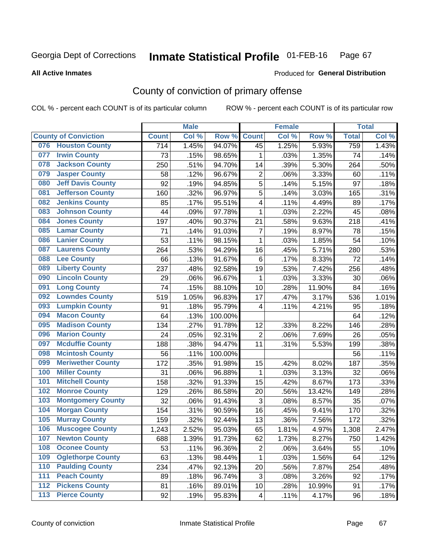#### Inmate Statistical Profile 01-FEB-16 Page 67

#### **All Active Inmates**

### Produced for General Distribution

# County of conviction of primary offense

COL % - percent each COUNT is of its particular column

|     |                             |              | <b>Male</b> |         |                           | <b>Female</b> |        |              | <b>Total</b> |
|-----|-----------------------------|--------------|-------------|---------|---------------------------|---------------|--------|--------------|--------------|
|     | <b>County of Conviction</b> | <b>Count</b> | Col %       | Row %   | <b>Count</b>              | Col %         | Row %  | <b>Total</b> | Col %        |
| 076 | <b>Houston County</b>       | 714          | 1.45%       | 94.07%  | 45                        | 1.25%         | 5.93%  | 759          | 1.43%        |
| 077 | <b>Irwin County</b>         | 73           | .15%        | 98.65%  | 1                         | .03%          | 1.35%  | 74           | .14%         |
| 078 | <b>Jackson County</b>       | 250          | .51%        | 94.70%  | 14                        | .39%          | 5.30%  | 264          | .50%         |
| 079 | <b>Jasper County</b>        | 58           | .12%        | 96.67%  | $\overline{2}$            | .06%          | 3.33%  | 60           | .11%         |
| 080 | <b>Jeff Davis County</b>    | 92           | .19%        | 94.85%  | 5                         | .14%          | 5.15%  | 97           | .18%         |
| 081 | <b>Jefferson County</b>     | 160          | .32%        | 96.97%  | 5                         | .14%          | 3.03%  | 165          | .31%         |
| 082 | <b>Jenkins County</b>       | 85           | .17%        | 95.51%  | 4                         | .11%          | 4.49%  | 89           | .17%         |
| 083 | <b>Johnson County</b>       | 44           | .09%        | 97.78%  | $\mathbf{1}$              | .03%          | 2.22%  | 45           | .08%         |
| 084 | <b>Jones County</b>         | 197          | .40%        | 90.37%  | 21                        | .58%          | 9.63%  | 218          | .41%         |
| 085 | <b>Lamar County</b>         | 71           | .14%        | 91.03%  | $\overline{7}$            | .19%          | 8.97%  | 78           | .15%         |
| 086 | <b>Lanier County</b>        | 53           | .11%        | 98.15%  | $\mathbf{1}$              | .03%          | 1.85%  | 54           | .10%         |
| 087 | <b>Laurens County</b>       | 264          | .53%        | 94.29%  | 16                        | .45%          | 5.71%  | 280          | .53%         |
| 088 | <b>Lee County</b>           | 66           | .13%        | 91.67%  | 6                         | .17%          | 8.33%  | 72           | .14%         |
| 089 | <b>Liberty County</b>       | 237          | .48%        | 92.58%  | 19                        | .53%          | 7.42%  | 256          | .48%         |
| 090 | <b>Lincoln County</b>       | 29           | .06%        | 96.67%  | 1                         | .03%          | 3.33%  | 30           | .06%         |
| 091 | <b>Long County</b>          | 74           | .15%        | 88.10%  | 10                        | .28%          | 11.90% | 84           | .16%         |
| 092 | <b>Lowndes County</b>       | 519          | 1.05%       | 96.83%  | 17                        | .47%          | 3.17%  | 536          | 1.01%        |
| 093 | <b>Lumpkin County</b>       | 91           | .18%        | 95.79%  | 4                         | .11%          | 4.21%  | 95           | .18%         |
| 094 | <b>Macon County</b>         | 64           | .13%        | 100.00% |                           |               |        | 64           | .12%         |
| 095 | <b>Madison County</b>       | 134          | .27%        | 91.78%  | 12                        | .33%          | 8.22%  | 146          | .28%         |
| 096 | <b>Marion County</b>        | 24           | .05%        | 92.31%  | $\overline{2}$            | .06%          | 7.69%  | 26           | .05%         |
| 097 | <b>Mcduffie County</b>      | 188          | .38%        | 94.47%  | 11                        | .31%          | 5.53%  | 199          | .38%         |
| 098 | <b>Mcintosh County</b>      | 56           | .11%        | 100.00% |                           |               |        | 56           | .11%         |
| 099 | <b>Meriwether County</b>    | 172          | .35%        | 91.98%  | 15                        | .42%          | 8.02%  | 187          | .35%         |
| 100 | <b>Miller County</b>        | 31           | .06%        | 96.88%  | $\mathbf{1}$              | .03%          | 3.13%  | 32           | .06%         |
| 101 | <b>Mitchell County</b>      | 158          | .32%        | 91.33%  | 15                        | .42%          | 8.67%  | 173          | .33%         |
| 102 | <b>Monroe County</b>        | 129          | .26%        | 86.58%  | 20                        | .56%          | 13.42% | 149          | .28%         |
| 103 | <b>Montgomery County</b>    | 32           | .06%        | 91.43%  | $\ensuremath{\mathsf{3}}$ | .08%          | 8.57%  | 35           | .07%         |
| 104 | <b>Morgan County</b>        | 154          | .31%        | 90.59%  | 16                        | .45%          | 9.41%  | 170          | .32%         |
| 105 | <b>Murray County</b>        | 159          | .32%        | 92.44%  | 13                        | .36%          | 7.56%  | 172          | .32%         |
| 106 | <b>Muscogee County</b>      | 1,243        | 2.52%       | 95.03%  | 65                        | 1.81%         | 4.97%  | 1,308        | 2.47%        |
| 107 | <b>Newton County</b>        | 688          | 1.39%       | 91.73%  | 62                        | 1.73%         | 8.27%  | 750          | 1.42%        |
| 108 | <b>Oconee County</b>        | 53           | .11%        | 96.36%  | $\overline{2}$            | .06%          | 3.64%  | 55           | .10%         |
| 109 | <b>Oglethorpe County</b>    | 63           | .13%        | 98.44%  | $\mathbf{1}$              | .03%          | 1.56%  | 64           | .12%         |
| 110 | <b>Paulding County</b>      | 234          | .47%        | 92.13%  | 20                        | .56%          | 7.87%  | 254          | .48%         |
| 111 | <b>Peach County</b>         | 89           | .18%        | 96.74%  | 3                         | .08%          | 3.26%  | 92           | .17%         |
| 112 | <b>Pickens County</b>       | 81           | .16%        | 89.01%  | 10                        | .28%          | 10.99% | 91           | .17%         |
| 113 | <b>Pierce County</b>        | 92           | .19%        | 95.83%  | 4                         | .11%          | 4.17%  | 96           | .18%         |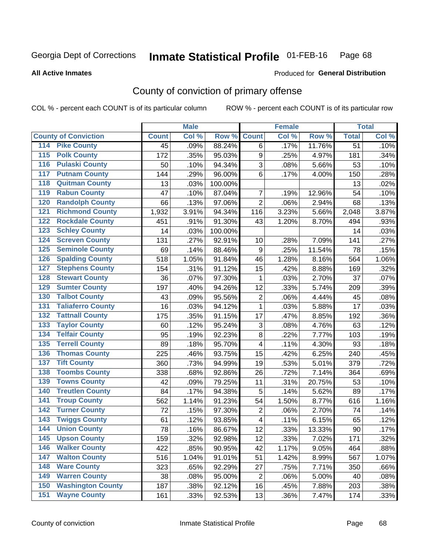#### Inmate Statistical Profile 01-FEB-16 Page 68

**All Active Inmates** 

### Produced for General Distribution

# County of conviction of primary offense

COL % - percent each COUNT is of its particular column

|                  |                             |              | <b>Male</b> |         |                         | <b>Female</b> |        |              | <b>Total</b> |
|------------------|-----------------------------|--------------|-------------|---------|-------------------------|---------------|--------|--------------|--------------|
|                  | <b>County of Conviction</b> | <b>Count</b> | Col %       | Row %   | <b>Count</b>            | Col %         | Row %  | <b>Total</b> | Col %        |
| 114              | <b>Pike County</b>          | 45           | .09%        | 88.24%  | 6                       | .17%          | 11.76% | 51           | .10%         |
| $\overline{115}$ | <b>Polk County</b>          | 172          | .35%        | 95.03%  | $\boldsymbol{9}$        | .25%          | 4.97%  | 181          | .34%         |
| 116              | <b>Pulaski County</b>       | 50           | .10%        | 94.34%  | $\sqrt{3}$              | .08%          | 5.66%  | 53           | .10%         |
| 117              | <b>Putnam County</b>        | 144          | .29%        | 96.00%  | 6                       | .17%          | 4.00%  | 150          | .28%         |
| 118              | <b>Quitman County</b>       | 13           | .03%        | 100.00% |                         |               |        | 13           | .02%         |
| 119              | <b>Rabun County</b>         | 47           | .10%        | 87.04%  | 7                       | .19%          | 12.96% | 54           | .10%         |
| 120              | <b>Randolph County</b>      | 66           | .13%        | 97.06%  | $\overline{2}$          | .06%          | 2.94%  | 68           | .13%         |
| 121              | <b>Richmond County</b>      | 1,932        | 3.91%       | 94.34%  | 116                     | 3.23%         | 5.66%  | 2,048        | 3.87%        |
| 122              | <b>Rockdale County</b>      | 451          | .91%        | 91.30%  | 43                      | 1.20%         | 8.70%  | 494          | .93%         |
| 123              | <b>Schley County</b>        | 14           | .03%        | 100.00% |                         |               |        | 14           | .03%         |
| 124              | <b>Screven County</b>       | 131          | .27%        | 92.91%  | 10                      | .28%          | 7.09%  | 141          | .27%         |
| 125              | <b>Seminole County</b>      | 69           | .14%        | 88.46%  | 9                       | .25%          | 11.54% | 78           | .15%         |
| 126              | <b>Spalding County</b>      | 518          | 1.05%       | 91.84%  | 46                      | 1.28%         | 8.16%  | 564          | 1.06%        |
| 127              | <b>Stephens County</b>      | 154          | .31%        | 91.12%  | 15                      | .42%          | 8.88%  | 169          | .32%         |
| 128              | <b>Stewart County</b>       | 36           | .07%        | 97.30%  | $\mathbf{1}$            | .03%          | 2.70%  | 37           | .07%         |
| 129              | <b>Sumter County</b>        | 197          | .40%        | 94.26%  | 12                      | .33%          | 5.74%  | 209          | .39%         |
| 130              | <b>Talbot County</b>        | 43           | .09%        | 95.56%  | $\boldsymbol{2}$        | .06%          | 4.44%  | 45           | .08%         |
| 131              | <b>Taliaferro County</b>    | 16           | .03%        | 94.12%  | $\mathbf{1}$            | .03%          | 5.88%  | 17           | .03%         |
| 132              | <b>Tattnall County</b>      | 175          | .35%        | 91.15%  | 17                      | .47%          | 8.85%  | 192          | .36%         |
| 133              | <b>Taylor County</b>        | 60           | .12%        | 95.24%  | 3                       | .08%          | 4.76%  | 63           | .12%         |
| 134              | <b>Telfair County</b>       | 95           | .19%        | 92.23%  | $\bf 8$                 | .22%          | 7.77%  | 103          | .19%         |
| 135              | <b>Terrell County</b>       | 89           | .18%        | 95.70%  | $\overline{\mathbf{4}}$ | .11%          | 4.30%  | 93           | .18%         |
| 136              | <b>Thomas County</b>        | 225          | .46%        | 93.75%  | 15                      | .42%          | 6.25%  | 240          | .45%         |
| 137              | <b>Tift County</b>          | 360          | .73%        | 94.99%  | 19                      | .53%          | 5.01%  | 379          | .72%         |
| 138              | <b>Toombs County</b>        | 338          | .68%        | 92.86%  | 26                      | .72%          | 7.14%  | 364          | .69%         |
| 139              | <b>Towns County</b>         | 42           | .09%        | 79.25%  | 11                      | .31%          | 20.75% | 53           | .10%         |
| 140              | <b>Treutlen County</b>      | 84           | .17%        | 94.38%  | $\mathbf 5$             | .14%          | 5.62%  | 89           | .17%         |
| 141              | <b>Troup County</b>         | 562          | 1.14%       | 91.23%  | 54                      | 1.50%         | 8.77%  | 616          | 1.16%        |
| 142              | <b>Turner County</b>        | 72           | .15%        | 97.30%  | $\overline{2}$          | .06%          | 2.70%  | 74           | .14%         |
| 143              | <b>Twiggs County</b>        | 61           | .12%        | 93.85%  | $\overline{\mathbf{4}}$ | .11%          | 6.15%  | 65           | .12%         |
| 144              | <b>Union County</b>         | 78           | .16%        | 86.67%  | 12                      | .33%          | 13.33% | 90           | .17%         |
| 145              | <b>Upson County</b>         | 159          | .32%        | 92.98%  | 12                      | .33%          | 7.02%  | 171          | .32%         |
| 146              | <b>Walker County</b>        | 422          | .85%        | 90.95%  | 42                      | 1.17%         | 9.05%  | 464          | .88%         |
| 147              | <b>Walton County</b>        | 516          | 1.04%       | 91.01%  | 51                      | 1.42%         | 8.99%  | 567          | 1.07%        |
| 148              | <b>Ware County</b>          | 323          | .65%        | 92.29%  | 27                      | .75%          | 7.71%  | 350          | .66%         |
| 149              | <b>Warren County</b>        | 38           | .08%        | 95.00%  | $\overline{2}$          | .06%          | 5.00%  | 40           | .08%         |
| 150              | <b>Washington County</b>    | 187          | .38%        | 92.12%  | 16                      | .45%          | 7.88%  | 203          | .38%         |
| 151              | <b>Wayne County</b>         | 161          | .33%        | 92.53%  | 13                      | .36%          | 7.47%  | 174          | .33%         |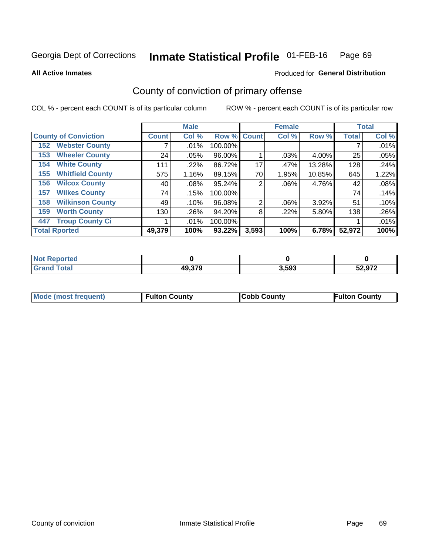#### Inmate Statistical Profile 01-FEB-16 Page 69

**All Active Inmates** 

## **Produced for General Distribution**

# County of conviction of primary offense

COL % - percent each COUNT is of its particular column

|                                |              | <b>Male</b> |             |                | <b>Female</b> |        |              | <b>Total</b> |
|--------------------------------|--------------|-------------|-------------|----------------|---------------|--------|--------------|--------------|
| <b>County of Conviction</b>    | <b>Count</b> | Col %       | Row % Count |                | Col %         | Row %  | <b>Total</b> | Col %        |
| <b>Webster County</b><br>152   |              | $.01\%$     | 100.00%     |                |               |        |              | .01%         |
| <b>Wheeler County</b><br>153   | 24           | $.05\%$     | 96.00%      |                | .03%          | 4.00%  | 25           | .05%         |
| <b>White County</b><br>154     | 111          | .22%        | 86.72%      | 17             | .47%          | 13.28% | 128          | .24%         |
| <b>Whitfield County</b><br>155 | 575          | 1.16%       | 89.15%      | 70             | 1.95%         | 10.85% | 645          | 1.22%        |
| <b>Wilcox County</b><br>156    | 40           | $.08\%$     | 95.24%      | 2              | $.06\%$       | 4.76%  | 42           | .08%         |
| <b>Wilkes County</b><br>157    | 74           | .15%        | 100.00%     |                |               |        | 74           | .14%         |
| <b>Wilkinson County</b><br>158 | 49           | .10%        | 96.08%      | $\overline{2}$ | .06%          | 3.92%  | 51           | .10%         |
| <b>Worth County</b><br>159     | 130          | .26%        | 94.20%      | 8              | .22%          | 5.80%  | 138          | .26%         |
| <b>Troup County Ci</b><br>447  |              | $.01\%$     | 100.00%     |                |               |        |              | .01%         |
| <b>Total Rported</b>           | 49,379       | 100%        | 93.22%      | 3,593          | 100%          | 6.78%  | 52,972       | 100%         |

| <b>Not Reported</b> |        |       |        |
|---------------------|--------|-------|--------|
| <b>Grand Total</b>  | 49,379 | 3,593 | 52,972 |

|  | <b>Mode (most frequent)</b> | <b>Fulton County</b> | <b>Cobb County</b> | <b>Fulton County</b> |
|--|-----------------------------|----------------------|--------------------|----------------------|
|--|-----------------------------|----------------------|--------------------|----------------------|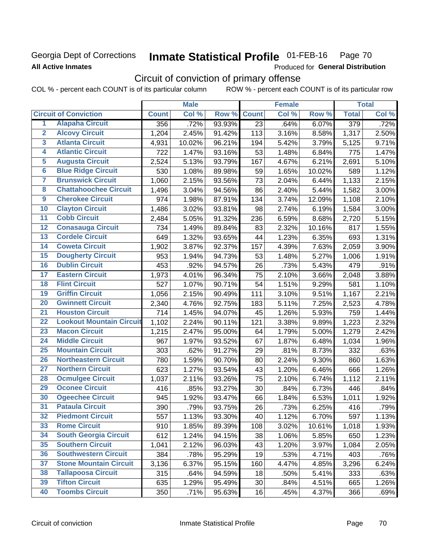## Georgia Dept of Corrections **All Active Inmates**

#### Inmate Statistical Profile 01-FEB-16 Page 70

Produced for General Distribution

# Circuit of conviction of primary offense

COL % - percent each COUNT is of its particular column ROW % - percent each COUNT is of its particular row

|                         |                                 |              | <b>Male</b> |        |              | <b>Female</b> |        |                  | <b>Total</b> |
|-------------------------|---------------------------------|--------------|-------------|--------|--------------|---------------|--------|------------------|--------------|
|                         | <b>Circuit of Conviction</b>    | <b>Count</b> | Col %       | Row %  | <b>Count</b> | Col %         | Row %  | <b>Total</b>     | Col %        |
| 1                       | <b>Alapaha Circuit</b>          | 356          | .72%        | 93.93% | 23           | .64%          | 6.07%  | $\overline{379}$ | .72%         |
| $\overline{2}$          | <b>Alcovy Circuit</b>           | 1,204        | 2.45%       | 91.42% | 113          | 3.16%         | 8.58%  | 1,317            | 2.50%        |
| $\overline{\mathbf{3}}$ | <b>Atlanta Circuit</b>          | 4,931        | 10.02%      | 96.21% | 194          | 5.42%         | 3.79%  | 5,125            | 9.71%        |
| 4                       | <b>Atlantic Circuit</b>         | 722          | 1.47%       | 93.16% | 53           | 1.48%         | 6.84%  | 775              | 1.47%        |
| 5                       | <b>Augusta Circuit</b>          | 2,524        | 5.13%       | 93.79% | 167          | 4.67%         | 6.21%  | 2,691            | 5.10%        |
| $\overline{\mathbf{6}}$ | <b>Blue Ridge Circuit</b>       | 530          | 1.08%       | 89.98% | 59           | 1.65%         | 10.02% | 589              | 1.12%        |
| $\overline{\mathbf{7}}$ | <b>Brunswick Circuit</b>        | 1,060        | 2.15%       | 93.56% | 73           | 2.04%         | 6.44%  | 1,133            | 2.15%        |
| 8                       | <b>Chattahoochee Circuit</b>    | 1,496        | 3.04%       | 94.56% | 86           | 2.40%         | 5.44%  | 1,582            | 3.00%        |
| $\overline{9}$          | <b>Cherokee Circuit</b>         | 974          | 1.98%       | 87.91% | 134          | 3.74%         | 12.09% | 1,108            | 2.10%        |
| 10                      | <b>Clayton Circuit</b>          | 1,486        | 3.02%       | 93.81% | 98           | 2.74%         | 6.19%  | 1,584            | 3.00%        |
| $\overline{11}$         | <b>Cobb Circuit</b>             | 2,484        | 5.05%       | 91.32% | 236          | 6.59%         | 8.68%  | 2,720            | 5.15%        |
| 12                      | <b>Conasauga Circuit</b>        | 734          | 1.49%       | 89.84% | 83           | 2.32%         | 10.16% | 817              | 1.55%        |
| $\overline{13}$         | <b>Cordele Circuit</b>          | 649          | 1.32%       | 93.65% | 44           | 1.23%         | 6.35%  | 693              | 1.31%        |
| $\overline{14}$         | <b>Coweta Circuit</b>           | 1,902        | 3.87%       | 92.37% | 157          | 4.39%         | 7.63%  | 2,059            | 3.90%        |
| $\overline{15}$         | <b>Dougherty Circuit</b>        | 953          | 1.94%       | 94.73% | 53           | 1.48%         | 5.27%  | 1,006            | 1.91%        |
| 16                      | <b>Dublin Circuit</b>           | 453          | .92%        | 94.57% | 26           | .73%          | 5.43%  | 479              | .91%         |
| $\overline{17}$         | <b>Eastern Circuit</b>          | 1,973        | 4.01%       | 96.34% | 75           | 2.10%         | 3.66%  | 2,048            | 3.88%        |
| 18                      | <b>Flint Circuit</b>            | 527          | 1.07%       | 90.71% | 54           | 1.51%         | 9.29%  | 581              | 1.10%        |
| 19                      | <b>Griffin Circuit</b>          | 1,056        | 2.15%       | 90.49% | 111          | 3.10%         | 9.51%  | 1,167            | 2.21%        |
| 20                      | <b>Gwinnett Circuit</b>         | 2,340        | 4.76%       | 92.75% | 183          | 5.11%         | 7.25%  | 2,523            | 4.78%        |
| $\overline{21}$         | <b>Houston Circuit</b>          | 714          | 1.45%       | 94.07% | 45           | 1.26%         | 5.93%  | 759              | 1.44%        |
| $\overline{22}$         | <b>Lookout Mountain Circuit</b> | 1,102        | 2.24%       | 90.11% | 121          | 3.38%         | 9.89%  | 1,223            | 2.32%        |
| 23                      | <b>Macon Circuit</b>            | 1,215        | 2.47%       | 95.00% | 64           | 1.79%         | 5.00%  | 1,279            | 2.42%        |
| 24                      | <b>Middle Circuit</b>           | 967          | 1.97%       | 93.52% | 67           | 1.87%         | 6.48%  | 1,034            | 1.96%        |
| $\overline{25}$         | <b>Mountain Circuit</b>         | 303          | .62%        | 91.27% | 29           | .81%          | 8.73%  | 332              | .63%         |
| 26                      | <b>Northeastern Circuit</b>     | 780          | 1.59%       | 90.70% | 80           | 2.24%         | 9.30%  | 860              | 1.63%        |
| $\overline{27}$         | <b>Northern Circuit</b>         | 623          | 1.27%       | 93.54% | 43           | 1.20%         | 6.46%  | 666              | 1.26%        |
| 28                      | <b>Ocmulgee Circuit</b>         | 1,037        | 2.11%       | 93.26% | 75           | 2.10%         | 6.74%  | 1,112            | 2.11%        |
| 29                      | <b>Oconee Circuit</b>           | 416          | .85%        | 93.27% | 30           | .84%          | 6.73%  | 446              | .84%         |
| 30                      | <b>Ogeechee Circuit</b>         | 945          | 1.92%       | 93.47% | 66           | 1.84%         | 6.53%  | 1,011            | 1.92%        |
| $\overline{31}$         | <b>Pataula Circuit</b>          | 390          | .79%        | 93.75% | 26           | .73%          | 6.25%  | 416              | .79%         |
| 32                      | <b>Piedmont Circuit</b>         | 557          | 1.13%       | 93.30% | 40           | 1.12%         | 6.70%  | 597              | 1.13%        |
| 33                      | <b>Rome Circuit</b>             | 910          | 1.85%       | 89.39% | 108          | 3.02%         | 10.61% | 1,018            | 1.93%        |
| 34                      | <b>South Georgia Circuit</b>    | 612          | 1.24%       | 94.15% | 38           | 1.06%         | 5.85%  | 650              | 1.23%        |
| 35                      | <b>Southern Circuit</b>         | 1,041        | 2.12%       | 96.03% | 43           | 1.20%         | 3.97%  | 1,084            | 2.05%        |
| 36                      | <b>Southwestern Circuit</b>     | 384          | .78%        | 95.29% | 19           | .53%          | 4.71%  | 403              | .76%         |
| 37                      | <b>Stone Mountain Circuit</b>   | 3,136        | 6.37%       | 95.15% | 160          | 4.47%         | 4.85%  | 3,296            | 6.24%        |
| 38                      | <b>Tallapoosa Circuit</b>       | 315          | .64%        | 94.59% | 18           | .50%          | 5.41%  | 333              | .63%         |
| 39                      | <b>Tifton Circuit</b>           | 635          | 1.29%       | 95.49% | 30           | .84%          | 4.51%  | 665              | 1.26%        |
| 40                      | <b>Toombs Circuit</b>           | 350          | .71%        | 95.63% | 16           | .45%          | 4.37%  | 366              | .69%         |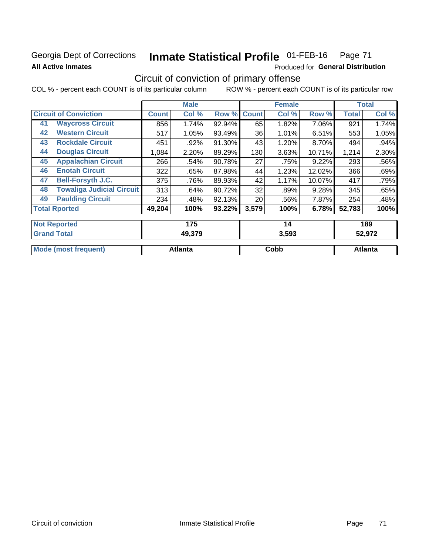## Georgia Dept of Corrections **All Active Inmates**

#### Inmate Statistical Profile 01-FEB-16 Page 71

Produced for General Distribution

# Circuit of conviction of primary offense

COL % - percent each COUNT is of its particular column ROW % - percent each COUNT is of its particular row

|    |                                  |              | <b>Male</b> |        |              | <b>Female</b> |        |              | <b>Total</b> |
|----|----------------------------------|--------------|-------------|--------|--------------|---------------|--------|--------------|--------------|
|    | <b>Circuit of Conviction</b>     | <b>Count</b> | Col %       | Row %  | <b>Count</b> | Col %         | Row %  | <b>Total</b> | Col %        |
| 41 | <b>Waycross Circuit</b>          | 856          | 1.74%       | 92.94% | 65           | 1.82%         | 7.06%  | 921          | 1.74%        |
| 42 | <b>Western Circuit</b>           | 517          | 1.05%       | 93.49% | 36           | 1.01%         | 6.51%  | 553          | 1.05%        |
| 43 | <b>Rockdale Circuit</b>          | 451          | .92%        | 91.30% | 43           | 1.20%         | 8.70%  | 494          | .94%         |
| 44 | <b>Douglas Circuit</b>           | 1,084        | 2.20%       | 89.29% | 130          | 3.63%         | 10.71% | 1,214        | 2.30%        |
| 45 | <b>Appalachian Circuit</b>       | 266          | .54%        | 90.78% | 27           | .75%          | 9.22%  | 293          | .56%         |
| 46 | <b>Enotah Circuit</b>            | 322          | .65%        | 87.98% | 44           | 1.23%         | 12.02% | 366          | .69%         |
| 47 | <b>Bell-Forsyth J.C.</b>         | 375          | .76%        | 89.93% | 42           | 1.17%         | 10.07% | 417          | .79%         |
| 48 | <b>Towaliga Judicial Circuit</b> | 313          | .64%        | 90.72% | 32           | .89%          | 9.28%  | 345          | .65%         |
| 49 | <b>Paulding Circuit</b>          | 234          | .48%        | 92.13% | 20           | .56%          | 7.87%  | 254          | .48%         |
|    | <b>Total Rported</b>             | 49,204       | 100%        | 93.22% | 3,579        | 100%          | 6.78%  | 52,783       | 100%         |
|    | <b>Not Reported</b>              |              | 175         |        |              | 14            |        |              | 189          |
|    | <b>Grand Total</b>               |              | 49.379      |        |              | 3.593         |        |              | 52.972       |

| M | <br>∴nh⊦<br><b>UUNU</b> | 'ant. |
|---|-------------------------|-------|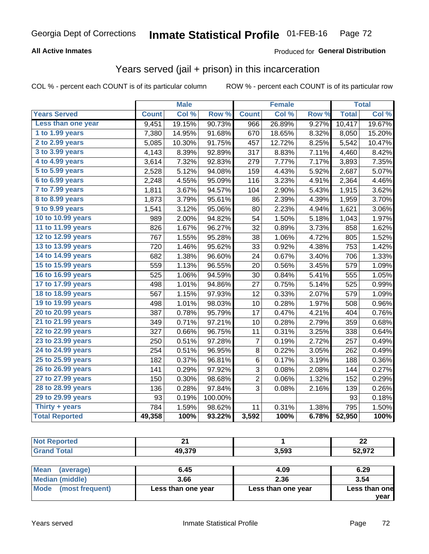# Georgia Dept of Corrections **Inmate Statistical Profile** 01-FEB-16 Page 72

## **All Active Inmates**

## Produced for **General Distribution**

## Years served (jail + prison) in this incarceration

COL % - percent each COUNT is of its particular column ROW % - percent each COUNT is of its particular row

|                       |              | <b>Male</b> |                  |                | <b>Female</b> |       |              | <b>Total</b> |
|-----------------------|--------------|-------------|------------------|----------------|---------------|-------|--------------|--------------|
| <b>Years Served</b>   | <b>Count</b> | Col %       | Row <sup>%</sup> | <b>Count</b>   | Col %         | Row % | <b>Total</b> | Col %        |
| Less than one year    | 9,451        | 19.15%      | 90.73%           | 966            | 26.89%        | 9.27% | 10,417       | 19.67%       |
| 1 to 1.99 years       | 7,380        | 14.95%      | 91.68%           | 670            | 18.65%        | 8.32% | 8,050        | 15.20%       |
| 2 to 2.99 years       | 5,085        | 10.30%      | 91.75%           | 457            | 12.72%        | 8.25% | 5,542        | 10.47%       |
| 3 to 3.99 years       | 4,143        | 8.39%       | 92.89%           | 317            | 8.83%         | 7.11% | 4,460        | 8.42%        |
| 4 to 4.99 years       | 3,614        | 7.32%       | 92.83%           | 279            | 7.77%         | 7.17% | 3,893        | 7.35%        |
| 5 to 5.99 years       | 2,528        | 5.12%       | 94.08%           | 159            | 4.43%         | 5.92% | 2,687        | 5.07%        |
| $6$ to $6.99$ years   | 2,248        | 4.55%       | 95.09%           | 116            | 3.23%         | 4.91% | 2,364        | 4.46%        |
| 7 to 7.99 years       | 1,811        | 3.67%       | 94.57%           | 104            | 2.90%         | 5.43% | 1,915        | 3.62%        |
| 8 to 8.99 years       | 1,873        | 3.79%       | 95.61%           | 86             | 2.39%         | 4.39% | 1,959        | 3.70%        |
| 9 to 9.99 years       | 1,541        | 3.12%       | 95.06%           | 80             | 2.23%         | 4.94% | 1,621        | 3.06%        |
| 10 to 10.99 years     | 989          | 2.00%       | 94.82%           | 54             | 1.50%         | 5.18% | 1,043        | 1.97%        |
| 11 to 11.99 years     | 826          | 1.67%       | 96.27%           | 32             | 0.89%         | 3.73% | 858          | 1.62%        |
| 12 to 12.99 years     | 767          | 1.55%       | 95.28%           | 38             | 1.06%         | 4.72% | 805          | 1.52%        |
| 13 to 13.99 years     | 720          | 1.46%       | 95.62%           | 33             | 0.92%         | 4.38% | 753          | 1.42%        |
| 14 to 14.99 years     | 682          | 1.38%       | 96.60%           | 24             | 0.67%         | 3.40% | 706          | 1.33%        |
| 15 to 15.99 years     | 559          | 1.13%       | 96.55%           | 20             | 0.56%         | 3.45% | 579          | 1.09%        |
| 16 to 16.99 years     | 525          | 1.06%       | 94.59%           | 30             | 0.84%         | 5.41% | 555          | 1.05%        |
| 17 to 17.99 years     | 498          | 1.01%       | 94.86%           | 27             | 0.75%         | 5.14% | 525          | 0.99%        |
| 18 to 18.99 years     | 567          | 1.15%       | 97.93%           | 12             | 0.33%         | 2.07% | 579          | 1.09%        |
| 19 to 19.99 years     | 498          | 1.01%       | 98.03%           | 10             | 0.28%         | 1.97% | 508          | 0.96%        |
| 20 to 20.99 years     | 387          | 0.78%       | 95.79%           | 17             | 0.47%         | 4.21% | 404          | 0.76%        |
| 21 to 21.99 years     | 349          | 0.71%       | 97.21%           | 10             | 0.28%         | 2.79% | 359          | 0.68%        |
| 22 to 22.99 years     | 327          | 0.66%       | 96.75%           | 11             | 0.31%         | 3.25% | 338          | 0.64%        |
| 23 to 23.99 years     | 250          | 0.51%       | 97.28%           | $\overline{7}$ | 0.19%         | 2.72% | 257          | 0.49%        |
| 24 to 24.99 years     | 254          | 0.51%       | 96.95%           | 8              | 0.22%         | 3.05% | 262          | 0.49%        |
| 25 to 25.99 years     | 182          | 0.37%       | 96.81%           | 6              | 0.17%         | 3.19% | 188          | 0.36%        |
| 26 to 26.99 years     | 141          | 0.29%       | 97.92%           | 3              | 0.08%         | 2.08% | 144          | 0.27%        |
| 27 to 27.99 years     | 150          | 0.30%       | 98.68%           | $\overline{c}$ | 0.06%         | 1.32% | 152          | 0.29%        |
| 28 to 28.99 years     | 136          | 0.28%       | 97.84%           | 3              | 0.08%         | 2.16% | 139          | 0.26%        |
| 29 to 29.99 years     | 93           | 0.19%       | 100.00%          |                |               |       | 93           | 0.18%        |
| Thirty + years        | 784          | 1.59%       | 98.62%           | 11             | 0.31%         | 1.38% | 795          | 1.50%        |
| <b>Total Reported</b> | 49,358       | 100%        | 93.22%           | 3,592          | 100%          | 6.78% | 52,950       | 100%         |

| <b>Not Reported</b> | ີ      |            | n.<br>LL |
|---------------------|--------|------------|----------|
| <b>Grand Total</b>  | 49,379 | 3,593      | 52,972   |
|                     |        |            |          |
| $R = 1$<br>$\sim$   | C AF   | $\sqrt{2}$ | 0.22     |

| ∣Mean<br>(average)   | 6.45               | 4.09               | 6.29          |
|----------------------|--------------------|--------------------|---------------|
| Median (middle)      | 3.66               | 2.36               | 3.54          |
| Mode (most frequent) | Less than one year | Less than one year | Less than one |
|                      |                    |                    | vear          |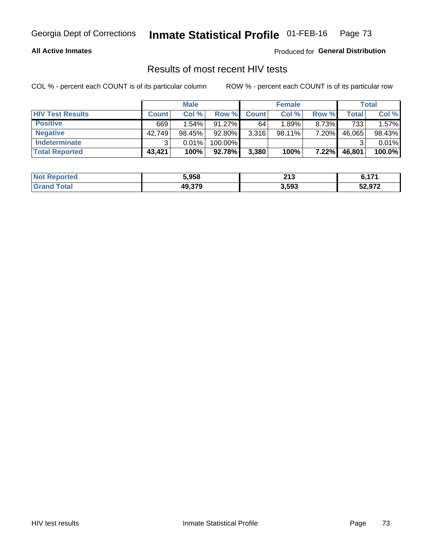#### **All Active Inmates**

Produced for **General Distribution**

## Results of most recent HIV tests

|                         | <b>Male</b>  |          |           | <b>Female</b> |        |          | Total  |        |
|-------------------------|--------------|----------|-----------|---------------|--------|----------|--------|--------|
| <b>HIV Test Results</b> | <b>Count</b> | Col %    | Row %I    | <b>Count</b>  | Col %  | Row %    | Total  | Col %  |
| <b>Positive</b>         | 669          | $1.54\%$ | $91.27\%$ | 64 i          | 1.89%  | 8.73%    | 733    | 1.57%  |
| <b>Negative</b>         | 42,749       | 98.45%   | 92.80%    | 3,316         | 98.11% | 7.20%    | 46,065 | 98.43% |
| <b>Indeterminate</b>    | 2            | 0.01%    | 100.00%   |               |        |          |        | 0.01%  |
| <b>Total Reported</b>   | 43,421       | 100%     | 92.78%    | 3,380         | 100%   | $7.22\%$ | 46,801 | 100.0% |

| <b>Not Reported</b>   | 5,958  | <b>049</b><br>2 I J | $C$ $A$ $74$ |
|-----------------------|--------|---------------------|--------------|
| <b>Total</b><br>Grand | 49,379 | 3,593               | 52,972       |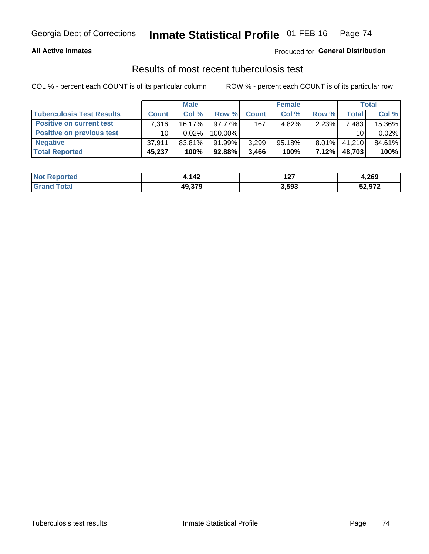#### **All Active Inmates**

### Produced for **General Distribution**

## Results of most recent tuberculosis test

|                                  | <b>Male</b>     |           |           | <b>Female</b> |           |          | Total        |        |
|----------------------------------|-----------------|-----------|-----------|---------------|-----------|----------|--------------|--------|
| <b>Tuberculosis Test Results</b> | <b>Count</b>    | Col%      | Row %     | <b>Count</b>  | Col %     | Row %    | <b>Total</b> | Col %  |
| <b>Positive on current test</b>  | 7,316           | $16.17\%$ | 97.77%I   | 167           | 4.82%     | 2.23%    | 7,483        | 15.36% |
| <b>Positive on previous test</b> | 10 <sup>1</sup> | $0.02\%$  | 100.00%   |               |           |          | 10           | 0.02%  |
| <b>Negative</b>                  | 37,911          | 83.81%    | 91.99%    | 3,299         | $95.18\%$ | $8.01\%$ | 41.210       | 84.61% |
| <b>Total Reported</b>            | 45,237          | 100%      | $92.88\%$ | 3,466         | 100%      | $7.12\%$ | 48,703       | 100%   |

| <b>Not Reported</b> | 1,142  | יים<br>. | 4,269  |
|---------------------|--------|----------|--------|
| ⊺otal               | 49,379 | 3,593    | 52,972 |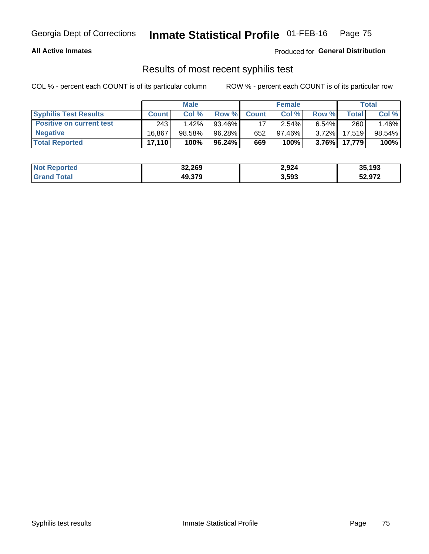#### **All Active Inmates**

Produced for **General Distribution**

## Results of most recent syphilis test

|                                 | <b>Male</b>  |          |           | <b>Female</b> |        |          | Total  |        |
|---------------------------------|--------------|----------|-----------|---------------|--------|----------|--------|--------|
| <b>Syphilis Test Results</b>    | <b>Count</b> | Col%     | Row %     | <b>Count</b>  | Col %  | Row %    | Total  | Col %  |
| <b>Positive on current test</b> | 243          | $1.42\%$ | 93.46%    |               | 2.54%  | $6.54\%$ | 260    | 1.46%  |
| <b>Negative</b>                 | 16.867       | 98.58%   | 96.28%    | 652           | 97.46% | $3.72\%$ | 17.519 | 98.54% |
| <b>Total Reported</b>           | 17.110       | 100%     | $96.24\%$ | 669           | 100%   | 3.76%    | 17,779 | 100%   |

| <b>Not Reported</b> | 32,269 | 2,924 | 35,193 |
|---------------------|--------|-------|--------|
| <b>Grand Total</b>  | 49,379 | 3,593 | 52,972 |